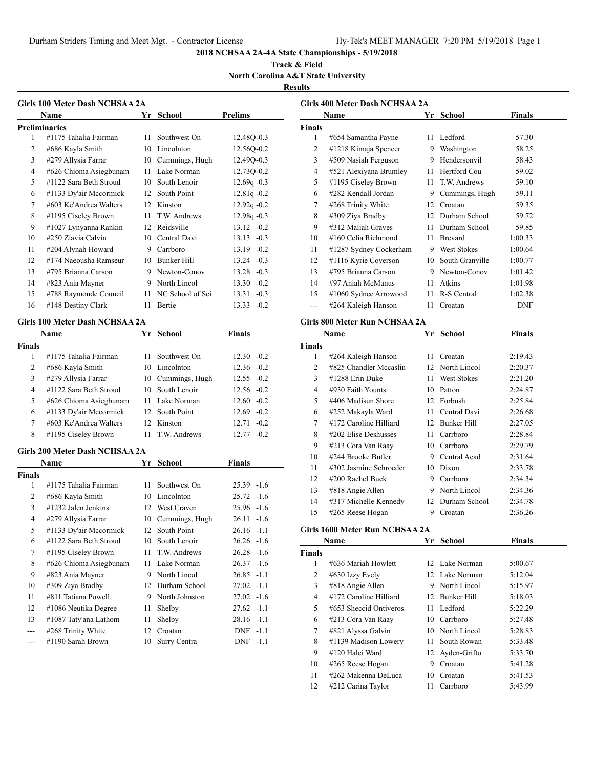**Track & Field North Carolina A&T State University**

# **Results**

|    | Name                   | Yr. | School           | <b>Prelims</b>  |
|----|------------------------|-----|------------------|-----------------|
|    | <b>Preliminaries</b>   |     |                  |                 |
| 1  | #1175 Tahalia Fairman  | 11  | Southwest On     | 12.48Q-0.3      |
| 2  | #686 Kayla Smith       | 10  | Lincolnton       | 12.56Q-0.2      |
| 3  | #279 Allysia Farrar    | 10  | Cummings, Hugh   | 12.49Q-0.3      |
| 4  | #626 Chioma Asiegbunam | 11  | Lake Norman      | 12.73Q-0.2      |
| 5  | #1122 Sara Beth Stroud | 10  | South Lenoir     | $12.69q -0.3$   |
| 6  | #1133 Dy'air Mccormick | 12  | South Point      | $12.81q - 0.2$  |
| 7  | #603 Ke'Andrea Walters | 12  | Kinston          | $12.92q - 0.2$  |
| 8  | #1195 Ciseley Brown    | 11  | T.W. Andrews     | $12.98q - 0.3$  |
| 9  | #1027 Lynyanna Rankin  | 12  | Reidsville       | $13.12 -0.2$    |
| 10 | #250 Ziavia Calvin     | 10  | Central Davi     | $13.13 - 0.3$   |
| 11 | #204 Alynah Howard     | 9   | Carrboro         | $13.19 - 0.2$   |
| 12 | #174 Naeousha Ramseur  | 10  | Bunker Hill      | $13.24 -0.3$    |
| 13 | #795 Brianna Carson    | 9   | Newton-Conov     | $13.28 - 0.3$   |
| 14 | #823 Ania Mayner       | 9   | North Lincol     | $13.30 -0.2$    |
| 15 | #788 Raymonde Council  | 11  | NC School of Sci | 13.31<br>$-0.3$ |
| 16 | #148 Destiny Clark     | 11  | Bertie           | $13.33 - 0.2$   |

#### **Name Yr School Finals Finals** #1175 Tahalia Fairman 11 Southwest On 12.30 -0.2 #686 Kayla Smith 10 Lincolnton 12.36 -0.2 #279 Allysia Farrar 10 Cummings, Hugh 12.55 -0.2 #1122 Sara Beth Stroud 10 South Lenoir 12.56 -0.2 #626 Chioma Asiegbunam 11 Lake Norman 12.60 -0.2 #1133 Dy'air Mccormick 12 South Point 12.69 -0.2 #603 Ke'Andrea Walters 12 Kinston 12.71 -0.2 #1195 Ciseley Brown 11 T.W. Andrews 12.77 -0.2

#### **Girls 200 Meter Dash NCHSAA 2A**

|                | Name                   | Yr | School         | <b>Finals</b>        |  |
|----------------|------------------------|----|----------------|----------------------|--|
| Finals         |                        |    |                |                      |  |
| 1              | #1175 Tahalia Fairman  | 11 | Southwest On   | $25.39 -1.6$         |  |
| $\overline{2}$ | #686 Kayla Smith       | 10 | Lincolnton     | $25.72 -1.6$         |  |
| 3              | $\#1232$ Jalen Jenkins |    | 12 West Craven | $25.96 -1.6$         |  |
| 4              | #279 Allysia Farrar    | 10 | Cummings, Hugh | $26.11 - 1.6$        |  |
| 5              | #1133 Dy'air Mccormick | 12 | South Point    | $26.16 - 1.1$        |  |
| 6              | #1122 Sara Beth Stroud | 10 | South Lenoir   | $26.26 - 1.6$        |  |
| 7              | #1195 Ciseley Brown    | 11 | T.W. Andrews   | $26.28 - 1.6$        |  |
| 8              | #626 Chioma Asiegbunam | 11 | Lake Norman    | $26.37 - 1.6$        |  |
| 9              | #823 Ania Mayner       | 9  | North Lincol   | $26.85 -1.1$         |  |
| 10             | #309 Ziya Bradby       | 12 | Durham School  | $27.02 -1.1$         |  |
| 11             | #811 Tatiana Powell    | 9  | North Johnston | $27.02 -1.6$         |  |
| 12             | #1086 Neutika Degree   | 11 | Shelby         | $27.62 -1.1$         |  |
| 13             | #1087 Taty'ana Lathom  | 11 | Shelby         | $28.16 - 1.1$        |  |
| ---            | #268 Trinity White     | 12 | Croatan        | $DNF -1.1$           |  |
|                | #1190 Sarah Brown      | 10 | Surry Centra   | <b>DNF</b><br>$-1.1$ |  |

|                | Name                   | Yr | School          | Finals     |
|----------------|------------------------|----|-----------------|------------|
| Finals         |                        |    |                 |            |
| 1              | #654 Samantha Payne    | 11 | Ledford         | 57.30      |
| $\overline{c}$ | #1218 Kimaja Spencer   | 9  | Washington      | 58.25      |
| 3              | #509 Nasiah Ferguson   | 9  | Hendersonvil    | 58.43      |
| 4              | #521 Alexiyana Brumley | 11 | Hertford Cou    | 59.02      |
| 5              | #1195 Ciseley Brown    | 11 | T.W. Andrews    | 59.10      |
| 6              | #282 Kendall Jordan    | 9  | Cummings, Hugh  | 59.11      |
| 7              | #268 Trinity White     | 12 | Croatan         | 59.35      |
| 8              | #309 Ziya Bradby       | 12 | Durham School   | 59.72      |
| 9              | #312 Maliah Graves     | 11 | Durham School   | 59.85      |
| 10             | #160 Celia Richmond    | 11 | <b>Brevard</b>  | 1:00.33    |
| 11             | #1287 Sydney Cockerham | 9  | West Stokes     | 1:00.64    |
| 12             | #1116 Kyrie Coverson   | 10 | South Granville | 1:00.77    |
| 13             | #795 Brianna Carson    | 9  | Newton-Conov    | 1:01.42    |
| 14             | #97 Aniah McManus      | 11 | Atkins          | 1:01.98    |
| 15             | #1060 Sydnee Arrowood  | 11 | R-S Central     | 1:02.38    |
|                | #264 Kaleigh Hanson    | 11 | Croatan         | <b>DNF</b> |

#### **Girls 800 Meter Run NCHSAA 2A**

|               | Name                      | Yr              | <b>School</b>      | Finals  |  |
|---------------|---------------------------|-----------------|--------------------|---------|--|
| <b>Finals</b> |                           |                 |                    |         |  |
| 1             | #264 Kaleigh Hanson       | 11              | Croatan            | 2:19.43 |  |
| 2             | #825 Chandler Mccaslin    |                 | 12 North Lincol    | 2:20.37 |  |
| 3             | #1288 Erin Duke           | 11              | <b>West Stokes</b> | 2:21.20 |  |
| 4             | #930 Faith Younts         | 10              | Patton             | 2:24.87 |  |
| 5             | #406 Madisun Shore        | 12 <sup>2</sup> | Forbush            | 2:25.84 |  |
| 6             | #252 Makayla Ward         | 11              | Central Davi       | 2:26.68 |  |
| 7             | #172 Caroline Hilliard    | 12              | Bunker Hill        | 2:27.05 |  |
| 8             | #202 Elise Deshusses      | 11              | Carrboro           | 2:28.84 |  |
| 9             | #213 Cora Van Raay        | 10              | Carrboro           | 2:29.79 |  |
| 10            | #244 Brooke Butler        | 9               | Central Acad       | 2:31.64 |  |
| 11            | $\#302$ Jasmine Schroeder | 10              | Dixon              | 2:33.78 |  |
| 12            | $\#200$ Rachel Buck       | 9               | Carrboro           | 2:34.34 |  |
| 13            | #818 Angie Allen          | 9               | North Lincol       | 2:34.36 |  |
| 14            | #317 Michelle Kennedy     | 12              | Durham School      | 2:34.78 |  |
| 15            | #265 Reese Hogan          | 9               | Croatan            | 2:36.26 |  |

#### **Girls 1600 Meter Run NCHSAA 2A**

|               | Name                   | Yr  | <b>School</b>   | Finals  |  |
|---------------|------------------------|-----|-----------------|---------|--|
| <b>Finals</b> |                        |     |                 |         |  |
| 1             | #636 Mariah Howlett    |     | 12 Lake Norman  | 5:00.67 |  |
| 2             | #630 Izzy Evely        |     | 12 Lake Norman  | 5:12.04 |  |
| 3             | #818 Angie Allen       | 9   | North Lincol    | 5:15.97 |  |
| 4             | #172 Caroline Hilliard | 12. | Bunker Hill     | 5:18.03 |  |
| 5             | #653 Sheccid Ontiveros | 11  | Ledford         | 5:22.29 |  |
| 6             | #213 Cora Van Raay     | 10  | Carrboro        | 5:27.48 |  |
| 7             | #821 Alyssa Galvin     | 10  | North Lincol    | 5:28.83 |  |
| 8             | #1139 Madison Lowery   | 11. | South Rowan     | 5:33.48 |  |
| 9             | #120 Halei Ward        |     | 12 Ayden-Grifto | 5:33.70 |  |
| 10            | #265 Reese Hogan       | 9   | Croatan         | 5:41.28 |  |
| 11            | #262 Makenna DeLuca    | 10  | Croatan         | 5:41.53 |  |
| 12            | #212 Carina Taylor     | 11  | Carrboro        | 5:43.99 |  |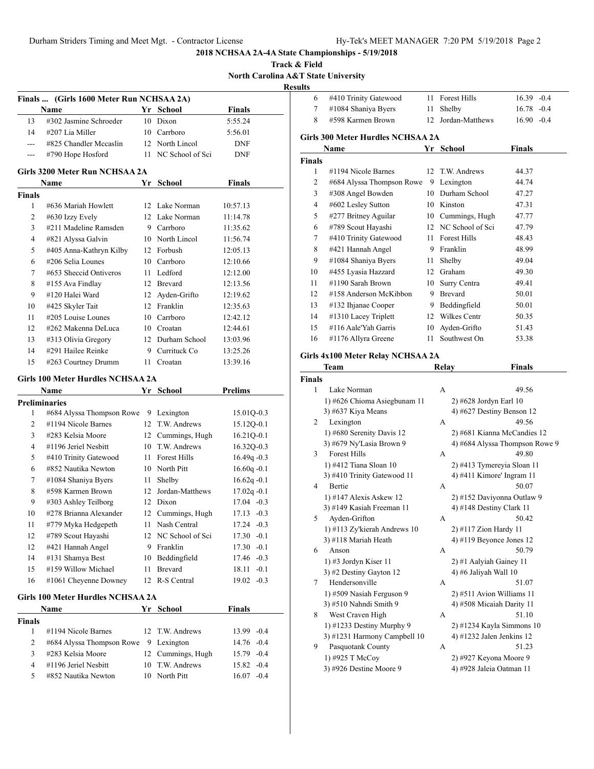**Track & Field North Carolina A&T State University**

**Results**

|                | Finals  (Girls 1600 Meter Run NCHSAA 2A)<br>Name |      | Yr School           | <b>Finals</b>   |
|----------------|--------------------------------------------------|------|---------------------|-----------------|
| 13             | #302 Jasmine Schroeder                           | 10   | Dixon               | 5:55.24         |
| 14             | #207 Lia Miller                                  |      | 10 Carrboro         | 5:56.01         |
| $---$          | #825 Chandler Mccaslin                           |      | 12 North Lincol     | <b>DNF</b>      |
| $- - -$        | #790 Hope Hosford                                |      | 11 NC School of Sci | <b>DNF</b>      |
|                |                                                  |      |                     |                 |
|                | Girls 3200 Meter Run NCHSAA 2A<br>Name           |      | Yr School           | <b>Finals</b>   |
| <b>Finals</b>  |                                                  |      |                     |                 |
| 1              | #636 Mariah Howlett                              |      | 12 Lake Norman      | 10:57.13        |
| 2              | #630 Izzy Evely                                  |      | 12 Lake Norman      | 11:14.78        |
| 3              | #211 Madeline Ramsden                            |      | 9 Carrboro          | 11:35.62        |
| 4              | #821 Alyssa Galvin                               |      | 10 North Lincol     | 11:56.74        |
| 5              | #405 Anna-Kathryn Kilby                          |      | 12 Forbush          | 12:05.13        |
| 6              | #206 Selia Lounes                                |      | 10 Carrboro         | 12:10.66        |
| 7              | #653 Sheccid Ontiveros                           |      | 11 Ledford          | 12:12.00        |
| 8              | #155 Ava Findlay                                 |      | 12 Brevard          | 12:13.56        |
| 9              | #120 Halei Ward                                  |      | 12 Ayden-Grifto     | 12:19.62        |
| 10             | #425 Skyler Tait                                 |      | 12 Franklin         | 12:35.63        |
| 11             | #205 Louise Lounes                               |      | 10 Carrboro         | 12:42.12        |
| 12             | #262 Makenna DeLuca                              |      | 10 Croatan          | 12:44.61        |
| 13             | #313 Olivia Gregory                              |      | 12 Durham School    | 13:03.96        |
| 14             | #291 Hailee Reinke                               | 9    | Currituck Co        | 13:25.26        |
| 15             | #263 Courtney Drumm                              |      | 11 Croatan          | 13:39.16        |
|                | Girls 100 Meter Hurdles NCHSAA 2A                |      |                     |                 |
|                |                                                  |      |                     |                 |
|                | Name                                             |      | Yr School           | <b>Prelims</b>  |
|                | <b>Preliminaries</b>                             |      |                     |                 |
| 1              | #684 Alyssa Thompson Rowe                        |      | 9 Lexington         | 15.01Q-0.3      |
| 2              | #1194 Nicole Barnes                              | 12   | T.W. Andrews        | 15.12Q-0.1      |
| 3              | #283 Kelsia Moore                                |      | 12 Cummings, Hugh   | $16.21Q - 0.1$  |
| 4              | #1196 Jeriel Nesbitt                             | 10   | T.W. Andrews        | 16.32Q-0.3      |
| 5              | #410 Trinity Gatewood                            | 11 - | <b>Forest Hills</b> | $16.49q -0.3$   |
| 6              | #852 Nautika Newton                              |      | 10 North Pitt       | $16.60q -0.1$   |
| 7              | #1084 Shaniya Byers                              | 11   | Shelby              | $16.62q -0.1$   |
| 8              | #598 Karmen Brown                                | 12   | Jordan-Matthews     | $17.02q - 0.1$  |
| 9              | #303 Ashley Teilborg                             | 12   | Dixon               | $17.04 - 0.3$   |
| 10             | #278 Brianna Alexander                           | 12   | Cummings, Hugh      | $17.13 - 0.3$   |
| 11             | #779 Myka Hedgepeth                              | 11   | Nash Central        | 17.24<br>$-0.3$ |
| 12             | #789 Scout Hayashi                               | 12   | NC School of Sci    | 17.30<br>$-0.1$ |
| 12             | #421 Hannah Angel                                | 9    | Franklin            | $17.30 - 0.1$   |
| 14             | #131 Shamya Best                                 | 10   | Beddingfield        | 17.46 -0.3      |
| 15             | #159 Willow Michael                              | 11   | <b>Brevard</b>      | $-0.1$<br>18.11 |
| 16             | #1061 Cheyenne Downey                            | 12   | R-S Central         | $19.02 -0.3$    |
|                |                                                  |      |                     |                 |
|                | <b>Girls 100 Meter Hurdles NCHSAA 2A</b><br>Name |      | Yr School           | <b>Finals</b>   |
| <b>Finals</b>  |                                                  |      |                     |                 |
| 1              | #1194 Nicole Barnes                              | 12   | T.W. Andrews        | $-0.4$<br>13.99 |
| 2              | #684 Alyssa Thompson Rowe                        | 9    | Lexington           | 14.76<br>$-0.4$ |
| 3              | #283 Kelsia Moore                                | 12   | Cummings, Hugh      | 15.79 -0.4      |
| $\overline{4}$ | #1196 Jeriel Nesbitt                             | 10   | T.W. Andrews        | 15.82 -0.4      |

| սււծ          |                                                      |    |                                                   |                                |
|---------------|------------------------------------------------------|----|---------------------------------------------------|--------------------------------|
| 6             | #410 Trinity Gatewood                                | 11 | <b>Forest Hills</b>                               | $16.39 - 0.4$                  |
| 7             | #1084 Shaniya Byers                                  | 11 | Shelby                                            | $16.78 - 0.4$                  |
| 8             | #598 Karmen Brown                                    |    | 12 Jordan-Matthews                                | $16.90 -0.4$                   |
|               | <b>Girls 300 Meter Hurdles NCHSAA 2A</b>             |    |                                                   |                                |
|               | Name                                                 |    | Yr School                                         | <b>Finals</b>                  |
| <b>Finals</b> |                                                      |    |                                                   |                                |
| 1             | #1194 Nicole Barnes                                  | 12 | T.W. Andrews                                      | 44.37                          |
| 2             | #684 Alyssa Thompson Rowe                            |    | 9 Lexington                                       | 44.74                          |
| 3             | #308 Angel Bowden                                    |    | 10 Durham School                                  | 47.27                          |
| 4             | #602 Lesley Sutton                                   |    | 10 Kinston                                        | 47.31                          |
| 5             | #277 Britney Aguilar                                 |    | 10 Cummings, Hugh                                 | 47.77                          |
| 6             | #789 Scout Hayashi                                   |    | 12 NC School of Sci                               | 47.79                          |
| 7             | #410 Trinity Gatewood                                |    | 11 Forest Hills                                   | 48.43                          |
| 8             | #421 Hannah Angel                                    |    | 9 Franklin                                        | 48.99                          |
| 9             | #1084 Shaniya Byers                                  |    | 11 Shelby                                         | 49.04                          |
| 10            | #455 Lyasia Hazzard                                  |    | 12 Graham                                         | 49.30                          |
| 11            | #1190 Sarah Brown                                    |    | 10 Surry Centra                                   | 49.41                          |
| 12            | #158 Anderson McKibbon                               |    | 9 Brevard                                         | 50.01                          |
| 13            | #132 Ihjanae Cooper                                  |    | 9 Beddingfield                                    | 50.01                          |
| 14            | #1310 Lacey Triplett                                 | 12 | Wilkes Centr                                      | 50.35                          |
| 15            | #116 Aale'Yah Garris                                 | 10 | Ayden-Grifto                                      | 51.43                          |
| 16            | #1176 Allyra Greene                                  | 11 | Southwest On                                      | 53.38                          |
|               |                                                      |    |                                                   |                                |
|               |                                                      |    |                                                   |                                |
|               | Girls 4x100 Meter Relay NCHSAA 2A                    |    |                                                   |                                |
|               | Team                                                 |    | <b>Relay</b>                                      | <b>Finals</b>                  |
| <b>Finals</b> |                                                      |    |                                                   |                                |
| 1             | Lake Norman                                          |    | A                                                 | 49.56                          |
|               | 1) #626 Chioma Asiegbunam 11                         |    | 2) #628 Jordyn Earl 10                            |                                |
|               | 3) #637 Kiya Means                                   |    | 4) #627 Destiny Benson 12                         |                                |
| 2             | Lexington                                            |    | А                                                 | 49.56                          |
|               | 1) #680 Serenity Davis 12                            |    | 2) #681 Kianna McCandies 12                       |                                |
|               | 3) #679 Ny'Lasia Brown 9                             |    |                                                   | 4) #684 Alyssa Thompson Rowe 9 |
| 3             | <b>Forest Hills</b>                                  |    | А                                                 | 49.80                          |
|               | 1) #412 Tiana Sloan 10                               |    | 2) #413 Tymereyia Sloan 11                        |                                |
| 4             | 3) #410 Trinity Gatewood 11                          |    | 4) #411 Kimore' Ingram 11                         |                                |
|               | Bertie                                               |    | А                                                 | 50.07                          |
|               | 1) #147 Alexis Askew 12<br>3) #149 Kasiah Freeman 11 |    | 2) #152 Daviyonna Outlaw 9                        |                                |
| 5             | Ayden-Grifton                                        |    | 4) #148 Destiny Clark 11<br>А                     | 50.42                          |
|               |                                                      |    |                                                   |                                |
|               | 1) #113 Zy'kierah Andrews 10                         |    | 2) #117 Zion Hardy 11<br>4) #119 Beyonce Jones 12 |                                |
| 6             | 3) #118 Mariah Heath<br>Anson                        |    | А                                                 | 50.79                          |
|               | 1) #3 Jordyn Kiser 11                                |    | 2) #1 Aalyiah Gainey 11                           |                                |
|               | 3) #2 Destiny Gayton 12                              |    | 4) #6 Jaliyah Wall 10                             |                                |
| 7             | Hendersonville                                       |    | А                                                 | 51.07                          |
|               | 1) #509 Nasiah Ferguson 9                            |    | 2) #511 Avion Williams 11                         |                                |

8 West Craven High A 51.10 1) #1233 Destiny Murphy 9 2) #1234 Kayla Simmons 10 3) #1231 Harmony Campbell 10 4) #1232 Jalen Jenkins 12 9 Pasquotank County A 51.23 1) #925 T McCoy 2) #927 Keyona Moore 9

3) #926 Destine Moore 9 4) #928 Jaleia Oatman 11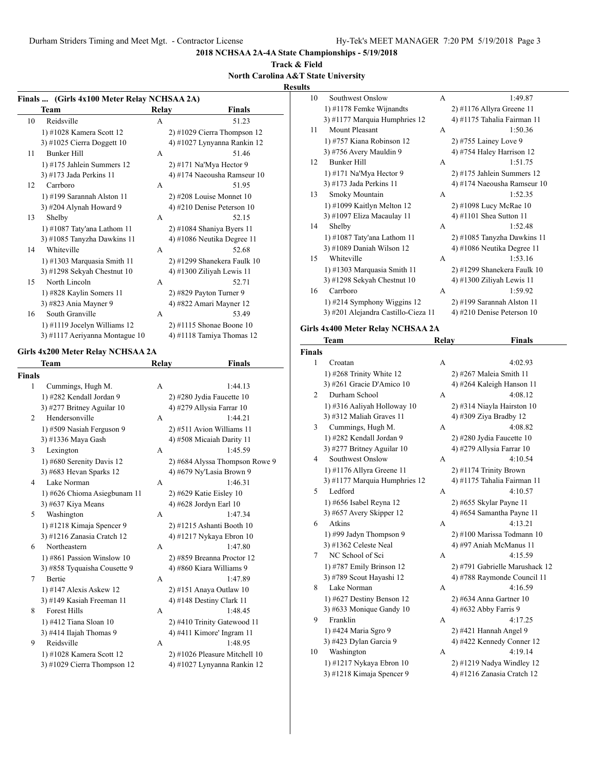**2018 NCHSAA 2A-4A State Championships - 5/19/2018**

# **Track & Field**

**North Carolina A&T State University**

# **Results**

|                                                                        |                                   |       |                                | resul |  |
|------------------------------------------------------------------------|-----------------------------------|-------|--------------------------------|-------|--|
| Finals  (Girls 4x100 Meter Relay NCHSAA 2A)<br>Team<br>Relay<br>Finals |                                   |       |                                |       |  |
| 10                                                                     | Reidsville                        | A     | 51.23                          |       |  |
|                                                                        |                                   |       |                                |       |  |
|                                                                        | 1) #1028 Kamera Scott 12          |       | $2)$ #1029 Cierra Thompson 12  |       |  |
|                                                                        | 3) #1025 Cierra Doggett $10$      |       | 4) #1027 Lynyanna Rankin 12    |       |  |
| 11                                                                     | Bunker Hill                       | A     | 51.46                          |       |  |
|                                                                        | $1)$ #175 Jahlein Summers 12      |       | 2) #171 Na'Mya Hector 9        |       |  |
|                                                                        | 3) #173 Jada Perkins 11           |       | 4) #174 Naeousha Ramseur 10    |       |  |
| 12                                                                     | Carrboro                          | А     | 51.95                          |       |  |
|                                                                        | 1) #199 Sarannah Alston 11        |       | 2) #208 Louise Monnet 10       |       |  |
|                                                                        | 3) #204 Alynah Howard 9           |       | 4) #210 Denise Peterson 10     |       |  |
| 13                                                                     | Shelby                            | А     | 52.15                          |       |  |
|                                                                        | 1) $\#1087$ Taty'ana Lathom 11    |       | 2) #1084 Shaniya Byers 11      |       |  |
|                                                                        | 3) #1085 Tanyzha Dawkins 11       |       | 4) #1086 Neutika Degree 11     |       |  |
| 14                                                                     | Whiteville                        | А     | 52.68                          |       |  |
|                                                                        | 1) #1303 Marquasia Smith 11       |       | 2) #1299 Shanekera Faulk 10    |       |  |
|                                                                        | 3) #1298 Sekyah Chestnut $10$     |       | 4) #1300 Ziliyah Lewis 11      |       |  |
| 15                                                                     | North Lincoln                     | A     | 52.71                          |       |  |
|                                                                        | 1) #828 Kaylin Somers 11          |       | 2) #829 Payton Turner 9        |       |  |
|                                                                        | 3) #823 Ania Mayner 9             |       | 4) #822 Amari Mayner 12        |       |  |
| 16                                                                     | South Granville                   | А     | 53.49                          |       |  |
|                                                                        | $1)$ #1119 Jocelyn Williams 12    |       | 2) #1115 Shonae Boone 10       |       |  |
|                                                                        | 3) #1117 Aeriyanna Montague 10    |       | 4) #1118 Tamiya Thomas 12      |       |  |
|                                                                        |                                   |       |                                |       |  |
|                                                                        | Girls 4x200 Meter Relay NCHSAA 2A |       |                                |       |  |
|                                                                        | Team                              | Relay | Finals                         |       |  |
| <b>Finals</b>                                                          |                                   |       |                                |       |  |
| 1                                                                      | Cummings, Hugh M.                 | А     | 1:44.13                        |       |  |
|                                                                        | 1) #282 Kendall Jordan 9          |       | 2) #280 Jydia Faucette 10      |       |  |
|                                                                        | 3) #277 Britney Aguilar 10        |       | 4) #279 Allysia Farrar 10      |       |  |
| 2                                                                      | Hendersonville                    | А     | 1:44.21                        |       |  |
|                                                                        | 1) #509 Nasiah Ferguson 9         |       | 2) #511 Avion Williams 11      |       |  |
|                                                                        | 3) #1336 Maya Gash                |       | 4) #508 Micaiah Darity 11      |       |  |
| 3                                                                      | Lexington                         | А     | 1:45.59                        |       |  |
|                                                                        | 1) #680 Serenity Davis 12         |       | 2) #684 Alyssa Thompson Rowe 9 |       |  |
|                                                                        | 3) #683 Hevan Sparks 12           |       | 4) #679 Ny'Lasia Brown 9       |       |  |
| 4                                                                      | Lake Norman                       | А     | 1:46.31                        |       |  |
|                                                                        | 1) #626 Chioma Asiegbunam 11      |       | 2) #629 Katie Eisley 10        |       |  |
|                                                                        | 3) #637 Kiya Means                |       | 4) #628 Jordyn Earl 10         |       |  |
| 5                                                                      | Washington                        | Α     | 1:47.34                        |       |  |
|                                                                        |                                   |       |                                |       |  |
|                                                                        | 1) #1218 Kimaja Spencer 9         |       | 2) #1215 Ashanti Booth 10      |       |  |
|                                                                        | 3) #1216 Zanasia Cratch 12        |       | 4) #1217 Nykaya Ebron 10       |       |  |
| 6                                                                      | Northeastern                      | А     | 1:47.80                        |       |  |
|                                                                        | 1) #861 Passion Winslow 10        |       | 2) #859 Breanna Proctor 12     |       |  |
|                                                                        | 3) #858 Tyquaisha Cousette 9      |       | 4) #860 Kiara Williams 9       |       |  |
| 7                                                                      | Bertie                            | А     | 1:47.89                        |       |  |
|                                                                        | 1) #147 Alexis Askew 12           |       | 2) #151 Anaya Outlaw 10        |       |  |
|                                                                        | 3) #149 Kasiah Freeman 11         |       | 4) #148 Destiny Clark 11       |       |  |
| 8                                                                      | Forest Hills                      | A     | 1:48.45                        |       |  |
|                                                                        | 1) #412 Tiana Sloan 10            |       | 2) #410 Trinity Gatewood 11    |       |  |
|                                                                        | 3) #414 Ilajah Thomas 9           |       | 4) #411 Kimore' Ingram 11      |       |  |
| 9                                                                      | Reidsville                        | А     | 1:48.95                        |       |  |
|                                                                        | 1) #1028 Kamera Scott 12          |       | 2) #1026 Pleasure Mitchell 10  |       |  |

3) #1029 Cierra Thompson 12 4) #1027 Lynyanna Rankin 12

| 10 | Southwest Onslow                    | A            | 1:49.87                       |
|----|-------------------------------------|--------------|-------------------------------|
|    | 1) #1178 Femke Wijnandts            |              | $2)$ #1176 Allyra Greene 11   |
|    | 3) #1177 Marquia Humphries 12       |              | 4) #1175 Tahalia Fairman 11   |
| 11 | Mount Pleasant                      | A            | 1:50.36                       |
|    | 1) #757 Kiana Robinson 12           |              | 2) #755 Lainey Love 9         |
|    | 3) #756 Avery Mauldin 9             |              | 4) #754 Haley Harrison 12     |
| 12 | <b>Bunker Hill</b>                  | A            | 1:51.75                       |
|    | 1) #171 Na'Mya Hector 9             |              | 2) #175 Jahlein Summers 12    |
|    | 3) #173 Jada Perkins 11             |              | 4) #174 Naeousha Ramseur 10   |
| 13 | Smoky Mountain                      | $\mathsf{A}$ | 1:52.35                       |
|    | 1) #1099 Kaitlyn Melton 12          |              | 2) #1098 Lucy McRae 10        |
|    | 3) #1097 Eliza Macaulay 11          |              | 4) #1101 Shea Sutton 11       |
| 14 | Shelby                              | $\mathsf{A}$ | 1:52.48                       |
|    | 1) #1087 Taty'ana Lathom 11         |              | $2)$ #1085 Tanyzha Dawkins 11 |
|    | 3) #1089 Daniah Wilson 12           |              | 4) #1086 Neutika Degree 11    |
| 15 | Whiteville                          | A            | 1:53.16                       |
|    | 1) #1303 Marquasia Smith 11         |              | 2) #1299 Shanekera Faulk 10   |
|    | 3) #1298 Sekyah Chestnut $10$       |              | 4) #1300 Ziliyah Lewis 11     |
| 16 | Carrboro                            | A            | 1:59.92                       |
|    | $1)$ #214 Symphony Wiggins 12       |              | 2) #199 Sarannah Alston 11    |
|    | 3) #201 Alejandra Castillo-Cieza 11 |              | 4) #210 Denise Peterson 10    |
|    |                                     |              |                               |

#### **Girls 4x400 Meter Relay NCHSAA 2A**

|                | Team                          | <b>Relay</b> | <b>Finals</b>                  |
|----------------|-------------------------------|--------------|--------------------------------|
| Finals         |                               |              |                                |
| 1              | Croatan                       | A            | 4:02.93                        |
|                | 1) #268 Trinity White 12      |              | 2) #267 Maleia Smith 11        |
|                | 3) #261 Gracie D'Amico 10     |              | 4) #264 Kaleigh Hanson 11      |
| 2              | Durham School                 | A            | 4:08.12                        |
|                | 1) #316 Aaliyah Holloway 10   |              | 2) #314 Niayla Hairston 10     |
|                | 3) #312 Maliah Graves $11$    |              | 4) #309 Ziya Bradby 12         |
| 3              | Cummings, Hugh M.             | А            | 4:08.82                        |
|                | 1) #282 Kendall Jordan 9      |              | 2) #280 Jydia Faucette 10      |
|                | 3) #277 Britney Aguilar 10    |              | 4) #279 Allysia Farrar 10      |
| $\overline{4}$ | Southwest Onslow              | А            | 4:10.54                        |
|                | 1) #1176 Allyra Greene 11     |              | 2) #1174 Trinity Brown         |
|                | 3) #1177 Marquia Humphries 12 |              | 4) #1175 Tahalia Fairman 11    |
| 5              | Ledford                       | А            | 4:10.57                        |
|                | 1) #656 Isabel Reyna 12       |              | 2) #655 Skylar Payne 11        |
|                | 3) #657 Avery Skipper 12      |              | 4) #654 Samantha Payne 11      |
| 6              | Atkins                        | A            | 4:13.21                        |
|                | 1) #99 Jadyn Thompson 9       |              | 2) #100 Marissa Todmann 10     |
|                | 3) #1362 Celeste Neal         |              | 4) #97 Aniah McManus 11        |
| 7              | NC School of Sci              | А            | 4:15.59                        |
|                | 1) #787 Emily Brinson 12      |              | 2) #791 Gabrielle Marushack 12 |
|                | 3) #789 Scout Hayashi 12      |              | 4) #788 Raymonde Council 11    |
| 8              | Lake Norman                   | А            | 4:16.59                        |
|                | 1) #627 Destiny Benson $12$   |              | $2)$ #634 Anna Gartner 10      |
|                | 3) #633 Monique Gandy $10$    |              | 4) #632 Abby Farris 9          |
| 9              | Franklin                      | А            | 4:17.25                        |
|                | 1) #424 Maria Sgro 9          |              | 2) #421 Hannah Angel 9         |
|                | 3) #423 Dylan Garcia 9        |              | 4) #422 Kennedy Conner 12      |
| 10             | Washington                    | А            | 4:19.14                        |
|                | 1) #1217 Nykaya Ebron 10      |              | $2)$ #1219 Nadya Windley 12    |
|                | 3) #1218 Kimaja Spencer 9     |              | 4) #1216 Zanasia Cratch 12     |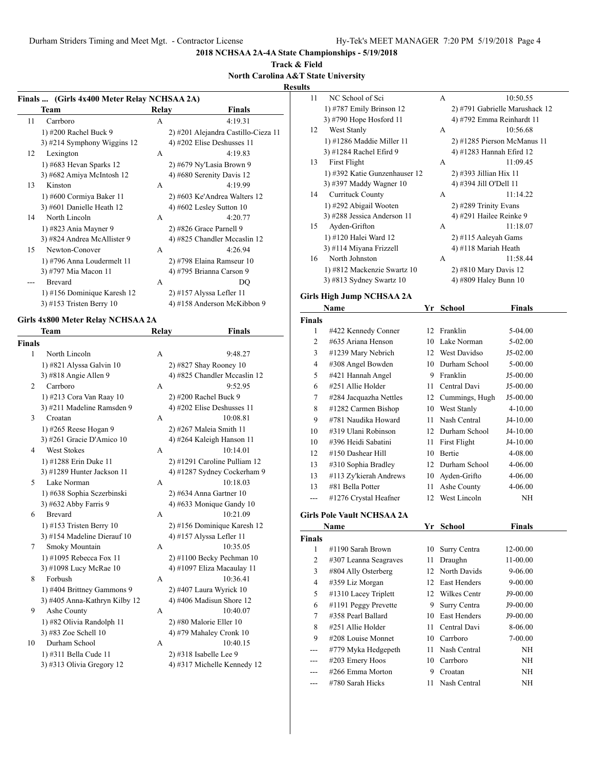**2018 NCHSAA 2A-4A State Championships - 5/19/2018**

#### **Track & Field North Carolina A&T State University**

**Results**

| Finals  (Girls 4x400 Meter Relay NCHSAA 2A) |                               |              |                                     |
|---------------------------------------------|-------------------------------|--------------|-------------------------------------|
|                                             | Team                          | Relay        | Finals                              |
| 11                                          | Carrboro                      | A            | 4:19.31                             |
|                                             | 1) #200 Rachel Buck 9         |              | 2) #201 Alejandra Castillo-Cieza 11 |
|                                             | $3)$ #214 Symphony Wiggins 12 |              | 4) #202 Elise Deshusses 11          |
| 12                                          | Lexington                     | A            | 4:19.83                             |
|                                             | 1) #683 Hevan Sparks 12       |              | 2) #679 Ny'Lasia Brown 9            |
|                                             | 3) #682 Amiya McIntosh 12     |              | 4) #680 Serenity Davis 12           |
| 13                                          | Kinston                       | $\mathsf{A}$ | 4:19.99                             |
|                                             | 1) #600 Cormiya Baker 11      |              | 2) #603 Ke'Andrea Walters 12        |
|                                             | 3) #601 Danielle Heath 12     |              | 4) #602 Lesley Sutton $10$          |
| 14                                          | North Lincoln                 | $\mathsf{A}$ | 4:20.77                             |
|                                             | 1) #823 Ania Mayner 9         |              | 2) #826 Grace Parnell 9             |
|                                             | 3) #824 Andrea McAllister 9   |              | 4) #825 Chandler Mccaslin 12        |
| 15                                          | Newton-Conover                | A            | 4:26.94                             |
|                                             | 1) #796 Anna Loudermelt 11    |              | 2) #798 Elaina Ramseur 10           |
|                                             | 3) #797 Mia Macon 11          |              | 4) #795 Brianna Carson 9            |
|                                             | <b>Brevard</b>                | A            | DO                                  |
|                                             | 1) #156 Dominique Karesh 12   |              | $2)$ #157 Alyssa Lefler 11          |
|                                             | 3) #153 Tristen Berry $10$    |              | 4) #158 Anderson McKibbon 9         |
|                                             |                               |              |                                     |

#### **Girls 4x800 Meter Relay NCHSAA 2A**

|               | <b>Team</b>                   | Relay | Finals                       |
|---------------|-------------------------------|-------|------------------------------|
| <b>Finals</b> |                               |       |                              |
| 1             | North Lincoln                 | A     | 9:48.27                      |
|               | 1) #821 Alyssa Galvin 10      |       | $2)$ #827 Shay Rooney 10     |
|               | 3) #818 Angie Allen 9         |       | 4) #825 Chandler Mccaslin 12 |
| 2             | Carrboro                      | А     | 9:52.95                      |
|               | 1) #213 Cora Van Raay 10      |       | 2) #200 Rachel Buck 9        |
|               | 3) #211 Madeline Ramsden 9    |       | 4) #202 Elise Deshusses 11   |
| 3             | Croatan                       | А     | 10:08.81                     |
|               | 1) #265 Reese Hogan 9         |       | 2) #267 Maleia Smith 11      |
|               | 3) #261 Gracie D'Amico 10     |       | 4) #264 Kaleigh Hanson 11    |
| 4             | <b>West Stokes</b>            | А     | 10:14.01                     |
|               | 1) #1288 Erin Duke 11         |       | 2) #1291 Caroline Pulliam 12 |
|               | 3) #1289 Hunter Jackson 11    |       | 4) #1287 Sydney Cockerham 9  |
| 5.            | Lake Norman                   | А     | 10:18.03                     |
|               | 1) #638 Sophia Sczerbinski    |       | $2)$ #634 Anna Gartner 10    |
|               | 3) #632 Abby Farris 9         |       | 4) #633 Monique Gandy 10     |
| 6             | <b>Brevard</b>                | A     | 10:21.09                     |
|               | 1) #153 Tristen Berry $10$    |       | 2) #156 Dominique Karesh 12  |
|               | 3) #154 Madeline Dierauf 10   |       | 4) #157 Alyssa Lefler 11     |
| 7             | Smoky Mountain                | A     | 10:35.05                     |
|               | 1) #1095 Rebecca Fox 11       |       | $2)$ #1100 Becky Pechman 10  |
|               | 3) #1098 Lucy McRae 10        |       | 4) #1097 Eliza Macaulay 11   |
| 8             | Forbush                       | А     | 10:36.41                     |
|               | 1) #404 Brittney Gammons 9    |       | 2) #407 Laura Wyrick 10      |
|               | 3) #405 Anna-Kathryn Kilby 12 |       | 4) #406 Madisun Shore 12     |
| 9             | Ashe County                   | А     | 10:40.07                     |
|               | 1) #82 Olivia Randolph 11     |       | 2) #80 Malorie Eller 10      |
|               | 3) #83 Zoe Schell 10          |       | 4) #79 Mahaley Cronk 10      |
| 10            | Durham School                 | A     | 10:40.15                     |
|               | 1) #311 Bella Cude 11         |       | $2)$ #318 Isabelle Lee 9     |
|               | 3) #313 Olivia Gregory 12     |       | 4) #317 Michelle Kennedy 12  |

| 11            | NC School of Sci                  |    | А                           | 10:50.55                       |  |
|---------------|-----------------------------------|----|-----------------------------|--------------------------------|--|
|               | 1) #787 Emily Brinson 12          |    |                             | 2) #791 Gabrielle Marushack 12 |  |
|               | 3) #790 Hope Hosford 11           |    | 4) #792 Emma Reinhardt 11   |                                |  |
| 12            | West Stanly                       |    | А                           | 10:56.68                       |  |
|               | 1) #1286 Maddie Miller 11         |    | 2) #1285 Pierson McManus 11 |                                |  |
|               | 3) #1284 Rachel Efird 9           |    | 4) #1283 Hannah Efird 12    |                                |  |
| 13            | <b>First Flight</b>               |    | А                           | 11:09.45                       |  |
|               | 1) #392 Katie Gunzenhauser 12     |    | 2) #393 Jillian Hix 11      |                                |  |
|               | 3) #397 Maddy Wagner 10           |    | 4) #394 Jill O'Dell 11      |                                |  |
| 14            | <b>Currituck County</b>           |    | А                           | 11:14.22                       |  |
|               | 1) #292 Abigail Wooten            |    | 2) #289 Trinity Evans       |                                |  |
|               | 3) #288 Jessica Anderson 11       |    | 4) #291 Hailee Reinke 9     |                                |  |
| 15            | Ayden-Grifton                     |    | А                           | 11:18.07                       |  |
|               | 1) #120 Halei Ward 12             |    | 2) #115 Aaleyah Gams        |                                |  |
|               | 3) #114 Miyana Frizzell           |    | 4) #118 Mariah Heath        |                                |  |
| 16            | North Johnston                    |    | А                           | 11:58.44                       |  |
|               | 1) #812 Mackenzie Swartz 10       |    | 2) #810 Mary Davis 12       |                                |  |
|               | 3) #813 Sydney Swartz $10$        |    | 4) #809 Haley Bunn 10       |                                |  |
|               | Girls High Jump NCHSAA 2A         |    |                             |                                |  |
|               | Name                              |    | Yr School                   | <b>Finals</b>                  |  |
| <b>Finals</b> |                                   |    |                             |                                |  |
| 1             | #422 Kennedy Conner               | 12 | Franklin                    | 5-04.00                        |  |
| 2             | #635 Ariana Henson                |    | 10 Lake Norman              | 5-02.00                        |  |
| 3             | #1239 Mary Nebrich                |    | 12 West Davidso             | J5-02.00                       |  |
| 4             | #308 Angel Bowden                 | 10 | Durham School               | 5-00.00                        |  |
| 5             | #421 Hannah Angel                 | 9  | Franklin                    | J5-00.00                       |  |
| 6             | #251 Allie Holder                 | 11 | Central Davi                | J5-00.00                       |  |
| 7             | #284 Jacquazha Nettles            |    | 12 Cummings, Hugh           | J5-00.00                       |  |
| 8             | #1282 Carmen Bishop               | 10 | West Stanly                 | 4-10.00                        |  |
| 9             | #781 Naudika Howard               | 11 | Nash Central                | J4-10.00                       |  |
| 10            | #319 Ulani Robinson               | 12 | Durham School               | J4-10.00                       |  |
| 10            | #396 Heidi Sabatini               | 11 | First Flight                | J4-10.00                       |  |
| 12            | #150 Dashear Hill                 | 10 | Bertie                      | 4-08.00                        |  |
| 13            | #310 Sophia Bradley               | 12 | Durham School               | 4-06.00                        |  |
| 13            | #113 Zy'kierah Andrews            | 10 | Ayden-Grifto                | 4-06.00                        |  |
|               | #81 Bella Potter                  | 11 | Ashe County                 |                                |  |
| 13            | #1276 Crystal Heafner             | 12 | West Lincoln                | 4-06.00                        |  |
| ---           |                                   |    |                             | ΝH                             |  |
|               | <b>Girls Pole Vault NCHSAA 2A</b> |    |                             |                                |  |
|               | Name                              |    | Yr School                   | Finals                         |  |
| <b>Finals</b> |                                   |    |                             |                                |  |
| 1             | #1190 Sarah Brown                 | 10 | Surry Centra                | 12-00.00                       |  |
| 2             | #307 Leanna Seagraves             | 11 | Draughn                     | 11-00.00                       |  |
| 3             | #804 Ally Osterberg               | 12 | North Davids                | 9-06.00                        |  |
| 4             | #359 Liz Morgan                   | 12 | <b>East Henders</b>         | 9-00.00                        |  |
| 5             | #1310 Lacey Triplett              | 12 | Wilkes Centr                | J9-00.00                       |  |
| 6             | #1191 Peggy Prevette              | 9  | Surry Centra                | J9-00.00                       |  |
| 7             | #358 Pearl Ballard                | 10 | East Henders                | J9-00.00                       |  |
| 8             | #251 Allie Holder                 | 11 | Central Davi                | 8-06.00                        |  |
| 9             | #208 Louise Monnet                | 10 | Carrboro                    | 7-00.00                        |  |
| ---           | #779 Myka Hedgepeth               | 11 | Nash Central                | NΗ                             |  |
|               | #203 Emery Hoos                   | 10 | Carrboro                    | $\rm{NH}$                      |  |
|               | #266 Emma Morton                  | 9  | Croatan                     | NΗ                             |  |
|               | #780 Sarah Hicks                  | 11 | Nash Central                | NΗ                             |  |
|               |                                   |    |                             |                                |  |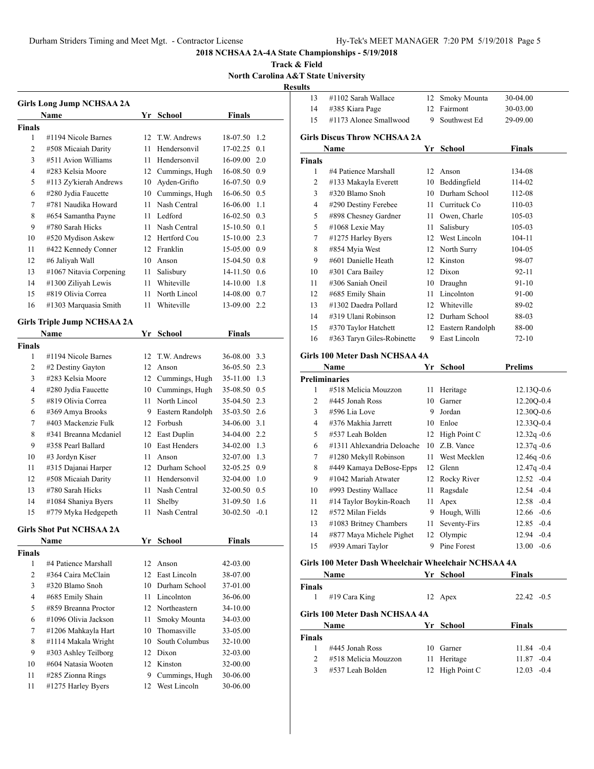**2018 NCHSAA 2A-4A State Championships - 5/19/2018**

**Track & Field North Carolina A&T State University**

**Results**

|                | <b>Girls Long Jump NCHSAA 2A</b>        |         |                                |                      |        |
|----------------|-----------------------------------------|---------|--------------------------------|----------------------|--------|
|                | Name                                    |         | Yr School                      | <b>Finals</b>        |        |
| <b>Finals</b>  |                                         |         |                                |                      |        |
| 1              | #1194 Nicole Barnes                     |         | 12 T.W. Andrews                | 18-07.50 1.2         |        |
| 2              | #508 Micaiah Darity                     | 11      | Hendersonvil                   | 17-02.25             | 0.1    |
| 3              | #511 Avion Williams                     |         | 11 Hendersonvil                | 16-09.00             | 2.0    |
| $\overline{4}$ | #283 Kelsia Moore                       |         | 12 Cummings, Hugh              | 16-08.50 0.9         |        |
| 5              | #113 Zy'kierah Andrews                  |         | 10 Ayden-Grifto                | 16-07.50 0.9         |        |
| 6              | #280 Jydia Faucette                     |         | 10 Cummings, Hugh              | $16-06.50$ 0.5       |        |
| 7              | #781 Naudika Howard                     | 11      | Nash Central                   | 16-06.00             | 1.1    |
| 8              | #654 Samantha Payne                     | 11 -    | Ledford                        | 16-02.50             | 0.3    |
| 9              | #780 Sarah Hicks                        | 11 -    | Nash Central                   | 15-10.50 0.1         |        |
| 10             | #520 Mydison Askew                      |         | 12 Hertford Cou                | 15-10.00 2.3         |        |
| 11             | #422 Kennedy Conner                     |         | 12 Franklin                    | 15-05.00 0.9         |        |
| 12             | #6 Jaliyah Wall                         |         | 10 Anson                       | 15-04.50 0.8         |        |
| 13             | #1067 Nitavia Corpening                 | 11 -    | Salisbury                      | 14-11.50 0.6         |        |
| 14             | #1300 Ziliyah Lewis                     |         | 11 Whiteville                  | 14-10.00 1.8         |        |
| 15             | #819 Olivia Correa                      | 11      | North Lincol                   | 14-08.00 0.7         |        |
| 16             | #1303 Marquasia Smith                   | 11      | Whiteville                     | 13-09.00             | 2.2    |
|                | <b>Girls Triple Jump NCHSAA 2A</b>      |         |                                |                      |        |
|                | <b>Name</b>                             | Yr      | <b>School</b>                  | <b>Finals</b>        |        |
| <b>Finals</b>  |                                         |         |                                |                      |        |
| 1              | #1194 Nicole Barnes                     |         | 12 T.W. Andrews                | 36-08.00             | 3.3    |
| 2              | #2 Destiny Gayton                       |         | 12 Anson                       | 36-05.50 2.3         |        |
| 3              | #283 Kelsia Moore                       |         | 12 Cummings, Hugh              | 35-11.00 1.3         |        |
| 4              | #280 Jydia Faucette                     |         | 10 Cummings, Hugh              | 35-08.50 0.5         |        |
| 5              | #819 Olivia Correa                      | 11 -    | North Lincol                   | 35-04.50 2.3         |        |
| 6              | #369 Amya Brooks                        | 9.      | Eastern Randolph               | 35-03.50 2.6         |        |
| 7              | #403 Mackenzie Fulk                     |         | 12 Forbush                     | 34-06.00 3.1         |        |
| 8              | #341 Breanna Mcdaniel                   |         | 12 East Duplin                 | 34-04.00 2.2         |        |
| 9              | #358 Pearl Ballard                      |         | 10 East Henders                | 34-02.00 1.3         |        |
| 10             | #3 Jordyn Kiser                         | 11      | Anson                          | 32-07.00 1.3         |        |
| 11             | #315 Dajanai Harper                     |         | 12 Durham School               | 32-05.25 0.9         |        |
| 12             | #508 Micaiah Darity                     |         | 11 Hendersonvil                | 32-04.00 1.0         |        |
| 13             | #780 Sarah Hicks                        | 11      | Nash Central                   | 32-00.50 0.5         |        |
| 14             | #1084 Shaniya Byers                     | 11      | Shelby                         | 31-09.50             | 1.6    |
| 15             | #779 Myka Hedgepeth                     | 11      | Nash Central                   | 30-02.50             | $-0.1$ |
|                |                                         |         |                                |                      |        |
|                | <b>Girls Shot Put NCHSAA 2A</b>         |         |                                |                      |        |
|                | Name                                    |         | Yr School                      | <b>Finals</b>        |        |
| <b>Finals</b>  |                                         |         |                                |                      |        |
| 1              | #4 Patience Marshall                    | 12      | Anson                          | $42 - 03.00$         |        |
| 2              | #364 Caira McClain                      | 12      | East Lincoln                   | 38-07.00             |        |
| 3              | #320 Blamo Snoh                         |         | 10 Durham School               | 37-01.00             |        |
| 4              | #685 Emily Shain                        |         | 11 Lincolnton                  | 36-06.00             |        |
| 5              | #859 Breanna Proctor                    |         | 12 Northeastern                | 34-10.00             |        |
| 6              | #1096 Olivia Jackson                    | 11      | Smoky Mounta                   | 34-03.00             |        |
| 7              | #1206 Mahkayla Hart                     | 10      | Thomasville                    | 33-05.00             |        |
| 8              | #1114 Makala Wright                     | 10      | South Columbus                 | 32-10.00             |        |
| 9              | #303 Ashley Teilborg                    | 12      | Dixon                          | 32-03.00             |        |
| 10             | #604 Natasia Wooten                     |         | 12 Kinston                     | 32-00.00             |        |
| 11<br>11       | #285 Zionna Rings<br>#1275 Harley Byers | 9<br>12 | Cummings, Hugh<br>West Lincoln | 30-06.00<br>30-06.00 |        |
|                |                                         |         |                                |                      |        |

| 13                   | #1102 Sarah Wallace                                  | 12   | Smoky Mounta        | 30-04.00       |
|----------------------|------------------------------------------------------|------|---------------------|----------------|
| 14                   | #385 Kiara Page                                      | 12   | Fairmont            | 30-03.00       |
| 15                   | #1173 Alonee Smallwood                               | 9    | Southwest Ed        | 29-09.00       |
|                      | <b>Girls Discus Throw NCHSAA 2A</b>                  |      |                     |                |
|                      |                                                      |      |                     |                |
|                      | Name                                                 | Yr   | <b>School</b>       | Finals         |
| <b>Finals</b><br>1   | #4 Patience Marshall                                 | 12   | Anson               | 134-08         |
| 2                    | #133 Makayla Everett                                 |      | 10 Beddingfield     | 114-02         |
| 3                    | #320 Blamo Snoh                                      |      | 10 Durham School    | 112-08         |
| $\overline{4}$       | #290 Destiny Ferebee                                 |      | 11 Currituck Co     | 110-03         |
| 5                    | #898 Chesney Gardner                                 |      | 11 Owen, Charle     | 105-03         |
| 5                    | #1068 Lexie May                                      | 11 - | Salisbury           | 105-03         |
| 7                    | #1275 Harley Byers                                   |      | 12 West Lincoln     | 104-11         |
| 8                    | #854 Myia West                                       |      | 12 North Surry      | 104-05         |
| 9                    | #601 Danielle Heath                                  |      | 12 Kinston          | 98-07          |
| 10                   | #301 Cara Bailey                                     |      | 12 Dixon            | 92-11          |
| 11                   | #306 Saniah Oneil                                    |      | 10 Draughn          | 91-10          |
| 12                   | #685 Emily Shain                                     | 11 - | Lincolnton          | 91-00          |
| 13                   | #1302 Daedra Pollard                                 |      | 12 Whiteville       | 89-02          |
| 14                   | #319 Ulani Robinson                                  |      | 12 Durham School    | 88-03          |
| 15                   | #370 Taylor Hatchett                                 |      | 12 Eastern Randolph | 88-00          |
| 16                   | #363 Taryn Giles-Robinette                           | 9.   | East Lincoln        | 72-10          |
|                      |                                                      |      |                     |                |
|                      | Girls 100 Meter Dash NCHSAA 4A                       |      |                     |                |
|                      | Name                                                 | Yr   | <b>School</b>       | <b>Prelims</b> |
| <b>Preliminaries</b> |                                                      |      |                     |                |
| 1                    |                                                      |      |                     |                |
|                      | #518 Melicia Mouzzon                                 | 11   | Heritage            | 12.13Q-0.6     |
| 2                    | #445 Jonah Ross                                      | 10   | Garner              | 12.20Q-0.4     |
| 3                    | #596 Lia Love                                        | 9    | Jordan              | 12.30Q-0.6     |
| 4                    | #376 Makhia Jarrett                                  |      | 10 Enloe            | 12.33Q-0.4     |
| 5                    | #537 Leah Bolden                                     | 12   | High Point C        | $12.32q -0.6$  |
| 6                    | #1311 Ahlexandria Deloache                           | 10   | Z.B. Vance          | $12.37q -0.6$  |
| 7                    | #1280 Mekyll Robinson                                | 11 - | West Mecklen        | $12.46q - 0.6$ |
| 8                    | #449 Kamaya DeBose-Epps                              | 12   | Glenn               | 12.47q -0.4    |
| 9                    | #1042 Mariah Atwater                                 | 12   | Rocky River         | $12.52 -0.4$   |
| 10                   | #993 Destiny Wallace                                 | 11   | Ragsdale            | $12.54 - 0.4$  |
| 11                   | #14 Taylor Boykin-Roach                              | 11   | Apex                | $12.58 - 0.4$  |
| 12                   | #572 Milan Fields                                    | 9.   | Hough, Willi        | $12.66 - 0.6$  |
| 13                   | #1083 Britney Chambers                               |      | 11 Seventy-Firs     | 12.85 -0.4     |
| 14                   | #877 Maya Michele Pighet                             |      | 12 Olympic          | 12.94 -0.4     |
| 15                   | #939 Amari Taylor                                    |      | 9 Pine Forest       | $13.00 - 0.6$  |
|                      | Girls 100 Meter Dash Wheelchair Wheelchair NCHSAA 4A |      |                     |                |
|                      | Name                                                 |      | Yr School           | <b>Finals</b>  |
| <b>Finals</b>        |                                                      |      |                     |                |
| 1                    | #19 Cara King                                        |      | 12 Apex             | $22.42 -0.5$   |

**Girls 100 Meter Dash NCHSAA 4A**

| Name          |                      | Yr School       | Finals        |
|---------------|----------------------|-----------------|---------------|
| <b>Finals</b> |                      |                 |               |
|               | #445 Jonah Ross      | 10 Garner       | $11.84 - 0.4$ |
|               | #518 Melicia Mouzzon | 11 Heritage     | $11.87 - 0.4$ |
| 3             | #537 Leah Bolden     | 12 High Point C | $12.03 - 0.4$ |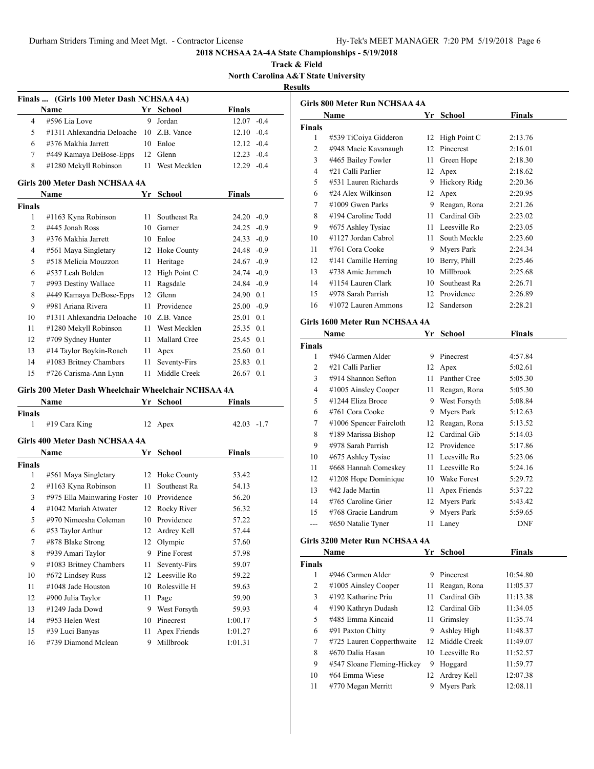**Track & Field North Carolina A&T State University Results**

|                | Finals  (Girls 100 Meter Dash NCHSAA 4A)             |    |                |               |     |
|----------------|------------------------------------------------------|----|----------------|---------------|-----|
|                | Name                                                 |    | Yr School      | Finals        |     |
| 4              | #596 Lia Love                                        | 9  | Jordan         | $12.07 -0.4$  |     |
| 5              | #1311 Ahlexandria Deloache                           | 10 | Z.B. Vance     | $12.10 -0.4$  |     |
| 6              | #376 Makhia Jarrett                                  | 10 | Enloe          | $12.12 - 0.4$ |     |
| 7              | #449 Kamaya DeBose-Epps                              | 12 | Glenn          | $12.23 -0.4$  |     |
| 8              | #1280 Mekyll Robinson                                | 11 | West Mecklen   | $12.29 -0.4$  |     |
|                | Girls 200 Meter Dash NCHSAA 4A                       |    |                |               |     |
|                | Name                                                 |    | Yr School      | Finals        |     |
| <b>Finals</b>  |                                                      |    |                |               |     |
| 1              | #1163 Kyna Robinson                                  | 11 | Southeast Ra   | 24.20 -0.9    |     |
| 2              | #445 Jonah Ross                                      |    | 10 Garner      | $24.25 -0.9$  |     |
| 3              | #376 Makhia Jarrett                                  |    | 10 Enloe       | $24.33 - 0.9$ |     |
| 4              | #561 Maya Singletary                                 |    | 12 Hoke County | 24.48 -0.9    |     |
| 5              | #518 Melicia Mouzzon                                 | 11 | Heritage       | $24.67 - 0.9$ |     |
| 6              | #537 Leah Bolden                                     | 12 | High Point C   | 24.74 - 0.9   |     |
| 7              | #993 Destiny Wallace                                 | 11 | Ragsdale       | 24.84 -0.9    |     |
| 8              | #449 Kamaya DeBose-Epps                              | 12 | Glenn          | 24.90 0.1     |     |
| 9              | #981 Ariana Rivera                                   | 11 | Providence     | $25.00 -0.9$  |     |
| 10             | #1311 Ahlexandria Deloache                           | 10 | Z.B. Vance     | 25.01         | 0.1 |
| 11             | #1280 Mekyll Robinson                                | 11 | West Mecklen   | 25.35 0.1     |     |
| 12             | #709 Sydney Hunter                                   | 11 | Mallard Cree   | 25.45 0.1     |     |
| 13             | #14 Taylor Boykin-Roach                              | 11 | Apex           | 25.60 0.1     |     |
| 14             | #1083 Britney Chambers                               | 11 | Seventy-Firs   | 25.83         | 0.1 |
| 15             | #726 Carisma-Ann Lynn                                | 11 | Middle Creek   | 26.67         | 0.1 |
|                | Girls 200 Meter Dash Wheelchair Wheelchair NCHSAA 4A |    |                |               |     |
|                | Name                                                 |    | Yr School      | Finals        |     |
| Finals         |                                                      |    |                |               |     |
| 1              | #19 Cara King                                        | 12 | Apex           | $42.03 - 1.7$ |     |
|                | Girls 400 Meter Dash NCHSAA 4A                       |    |                |               |     |
|                | Name                                                 |    | Yr School      | <b>Finals</b> |     |
| <b>Finals</b>  |                                                      |    |                |               |     |
| 1              | #561 Maya Singletary                                 | 12 | Hoke County    | 53.42         |     |
| 2              | #1163 Kyna Robinson                                  | 11 | Southeast Ra   | 54.13         |     |
| 3              | #975 Ella Mainwaring Foster                          | 10 | Providence     | 56.20         |     |
| $\overline{4}$ | #1042 Mariah Atwater                                 | 12 | Rocky River    | 56.32         |     |
| 5              | #970 Nimeesha Coleman                                | 10 | Providence     | 57.22         |     |
| 6              | #53 Taylor Arthur                                    | 12 | Ardrey Kell    | 57.44         |     |
| 7              | #878 Blake Strong                                    | 12 | Olympic        | 57.60         |     |
| 8              | #939 Amari Taylor                                    | 9  | Pine Forest    | 57.98         |     |
| 9              | #1083 Britney Chambers                               | 11 | Seventy-Firs   | 59.07         |     |
| 10             | #672 Lindsey Russ                                    | 12 | Leesville Ro   | 59.22         |     |
| 11             | #1048 Jade Houston                                   | 10 | Rolesville H   | 59.63         |     |
| 12             | #900 Julia Taylor                                    | 11 | Page           | 59.90         |     |
| 13             | #1249 Jada Dowd                                      | 9  | West Forsyth   | 59.93         |     |
| 14             | #953 Helen West                                      | 10 | Pinecrest      | 1:00.17       |     |
| 15             | #39 Luci Banyas                                      | 11 | Apex Friends   | 1:01.27       |     |
| 16             | #739 Diamond Mclean                                  | 9  | Millbrook      | 1:01.31       |     |

|               | Name                   | Yr  | School       | Finals  |
|---------------|------------------------|-----|--------------|---------|
| <b>Finals</b> |                        |     |              |         |
| 1             | #539 TiCoiya Gidderon  | 12  | High Point C | 2:13.76 |
| 2             | #948 Macie Kavanaugh   | 12  | Pinecrest    | 2:16.01 |
| 3             | #465 Bailey Fowler     | 11  | Green Hope   | 2:18.30 |
| 4             | #21 Calli Parlier      | 12  | Apex         | 2:18.62 |
| 5             | #531 Lauren Richards   | 9   | Hickory Ridg | 2:20.36 |
| 6             | #24 Alex Wilkinson     | 12  | Apex         | 2:20.95 |
| 7             | $\#1009$ Gwen Parks    | 9   | Reagan, Rona | 2:21.26 |
| 8             | #194 Caroline Todd     | 11  | Cardinal Gib | 2:23.02 |
| 9             | #675 Ashley Tysiac     | 11  | Leesville Ro | 2:23.05 |
| 10            | #1127 Jordan Cabrol    | 11. | South Meckle | 2:23.60 |
| 11            | #761 Cora Cooke        | 9   | Myers Park   | 2:24.34 |
| 12            | #141 Camille Herring   | 10  | Berry, Phill | 2:25.46 |
| 13            | #738 Amie Jammeh       | 10  | Millbrook    | 2:25.68 |
| 14            | #1154 Lauren Clark     | 10  | Southeast Ra | 2:26.71 |
| 15            | #978 Sarah Parrish     | 12  | Providence   | 2:26.89 |
| 16            | $\#1072$ Lauren Ammons | 12  | Sanderson    | 2:28.21 |
|               |                        |     |              |         |

# **Girls 1600 Meter Run NCHSAA 4A**

| Name          |                         | Yr | School             | Finals     |  |
|---------------|-------------------------|----|--------------------|------------|--|
| <b>Finals</b> |                         |    |                    |            |  |
| 1             | #946 Carmen Alder       | 9  | Pinecrest          | 4:57.84    |  |
| 2             | #21 Calli Parlier       | 12 | Apex               | 5:02.61    |  |
| 3             | #914 Shannon Sefton     | 11 | Panther Cree       | 5:05.30    |  |
| 4             | #1005 Ainsley Cooper    | 11 | Reagan, Rona       | 5:05.30    |  |
| 5             | #1244 Eliza Broce       | 9  | West Forsyth       | 5:08.84    |  |
| 6             | #761 Cora Cooke         | 9  | Myers Park         | 5:12.63    |  |
| 7             | #1006 Spencer Faircloth | 12 | Reagan, Rona       | 5:13.52    |  |
| 8             | #189 Marissa Bishop     | 12 | Cardinal Gib       | 5:14.03    |  |
| 9             | #978 Sarah Parrish      | 12 | Providence         | 5:17.86    |  |
| 10            | #675 Ashley Tysiac      | 11 | Leesville Ro       | 5:23.06    |  |
| 11            | #668 Hannah Comeskey    | 11 | Leesville Ro       | 5:24.16    |  |
| 12            | #1208 Hope Dominique    | 10 | <b>Wake Forest</b> | 5:29.72    |  |
| 13            | #42 Jade Martin         | 11 | Apex Friends       | 5:37.22    |  |
| 14            | #765 Caroline Grier     | 12 | Myers Park         | 5:43.42    |  |
| 15            | #768 Gracie Landrum     | 9  | Myers Park         | 5:59.65    |  |
| ---           | #650 Natalie Tyner      | 11 | Laney              | <b>DNF</b> |  |

## **Girls 3200 Meter Run NCHSAA 4A**

| Name          |                            | Yr | School          | Finals   |  |
|---------------|----------------------------|----|-----------------|----------|--|
| <b>Finals</b> |                            |    |                 |          |  |
| 1             | #946 Carmen Alder          | 9  | Pinecrest       | 10:54.80 |  |
| 2             | #1005 Ainsley Cooper       | 11 | Reagan, Rona    | 11:05.37 |  |
| 3             | $#192$ Katharine Priu      | 11 | Cardinal Gib    | 11:13.38 |  |
| 4             | #190 Kathryn Dudash        |    | 12 Cardinal Gib | 11:34.05 |  |
| 5             | #485 Emma Kincaid          | 11 | Grimsley        | 11:35.74 |  |
| 6             | #91 Paxton Chitty          | 9  | Ashley High     | 11:48.37 |  |
| 7             | #725 Lauren Copperthwaite  |    | 12 Middle Creek | 11:49.07 |  |
| 8             | #670 Dalia Hasan           |    | 10 Leesville Ro | 11:52.57 |  |
| 9             | #547 Sloane Fleming-Hickey | 9  | Hoggard         | 11:59.77 |  |
| 10            | #64 Emma Wiese             | 12 | Ardrey Kell     | 12:07.38 |  |
| 11            | #770 Megan Merritt         | 9  | Myers Park      | 12:08.11 |  |
|               |                            |    |                 |          |  |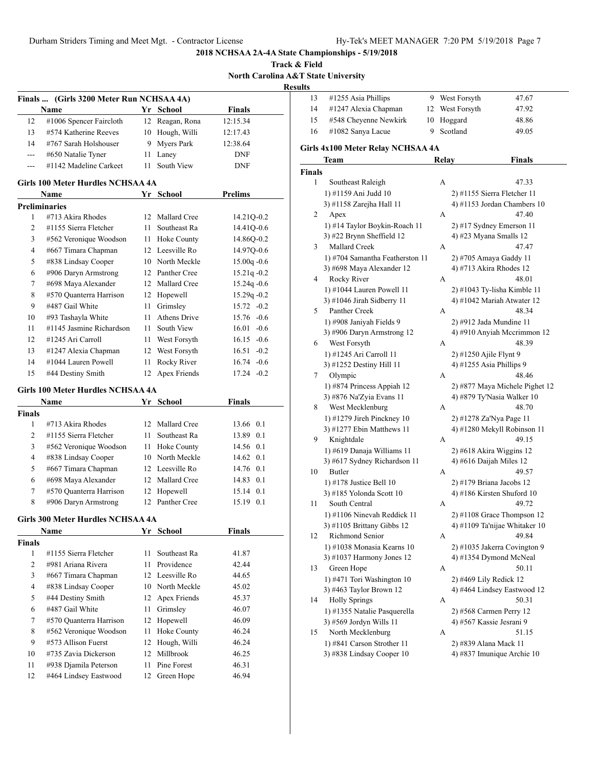**Track & Field North Carolina A&T State University**

**Results**

| Finals  (Girls 3200 Meter Run NCHSAA 4A) |                            |  |                 |               |  |  |
|------------------------------------------|----------------------------|--|-----------------|---------------|--|--|
|                                          | <b>Name</b>                |  | Yr School       | <b>Finals</b> |  |  |
| 12                                       | $\#1006$ Spencer Faircloth |  | 12 Reagan, Rona | 12:15.34      |  |  |
| 13                                       | #574 Katherine Reeves      |  | 10 Hough, Willi | 12:17.43      |  |  |
| 14                                       | #767 Sarah Holshouser      |  | 9 Myers Park    | 12:38.64      |  |  |
| $---$                                    | #650 Natalie Tyner         |  | 11 Laney        | <b>DNF</b>    |  |  |
|                                          | #1142 Madeline Carkeet     |  | South View      | <b>DNF</b>    |  |  |

#### **Girls 100 Meter Hurdles NCHSAA 4A**

| Name |                          | Yr | <b>School</b> | <b>Prelims</b>  |
|------|--------------------------|----|---------------|-----------------|
|      | Preliminaries            |    |               |                 |
| 1    | #713 Akira Rhodes        | 12 | Mallard Cree  | 14.21Q-0.2      |
| 2    | #1155 Sierra Fletcher    | 11 | Southeast Ra  | 14.41Q-0.6      |
| 3    | #562 Veronique Woodson   | 11 | Hoke County   | 14.86Q-0.2      |
| 4    | #667 Timara Chapman      | 12 | Leesville Ro  | 14.97Q-0.6      |
| 5    | #838 Lindsay Cooper      | 10 | North Meckle  | $15.00q - 0.6$  |
| 6    | #906 Daryn Armstrong     | 12 | Panther Cree  | $15.21q - 0.2$  |
| 7    | #698 Maya Alexander      | 12 | Mallard Cree  | $15.24q - 0.6$  |
| 8    | #570 Quanterra Harrison  | 12 | Hopewell      | $15.29q -0.2$   |
| 9    | #487 Gail White          | 11 | Grimsley      | $15.72 -0.2$    |
| 10   | #93 Tashayla White       | 11 | Athens Drive  | $15.76 - 0.6$   |
| 11   | #1145 Jasmine Richardson | 11 | South View    | 16.01<br>$-0.6$ |
| 12   | #1245 Ari Carroll        | 11 | West Forsyth  | $16.15 - 0.6$   |
| 13   | #1247 Alexia Chapman     | 12 | West Forsyth  | $16.51 - 0.2$   |
| 14   | #1044 Lauren Powell      | 11 | Rocky River   | $16.74 - 0.6$   |
| 15   | #44 Destiny Smith        | 12 | Apex Friends  | $17.24 - 0.2$   |

#### **Girls 100 Meter Hurdles NCHSAA 4A**

| <b>Name</b>             |  |              | <b>Finals</b>                                                                                                                                    |                                                                                         |
|-------------------------|--|--------------|--------------------------------------------------------------------------------------------------------------------------------------------------|-----------------------------------------------------------------------------------------|
|                         |  |              |                                                                                                                                                  |                                                                                         |
| #713 Akira Rhodes       |  |              |                                                                                                                                                  |                                                                                         |
| #1155 Sierra Fletcher   |  | Southeast Ra |                                                                                                                                                  |                                                                                         |
| #562 Veronique Woodson  |  |              |                                                                                                                                                  |                                                                                         |
| #838 Lindsay Cooper     |  |              |                                                                                                                                                  |                                                                                         |
| #667 Timara Chapman     |  |              |                                                                                                                                                  |                                                                                         |
| #698 Maya Alexander     |  |              |                                                                                                                                                  |                                                                                         |
| #570 Quanterra Harrison |  |              |                                                                                                                                                  |                                                                                         |
| #906 Daryn Armstrong    |  |              | 15.19                                                                                                                                            | 0.1                                                                                     |
|                         |  |              | Yr School<br>12 Mallard Cree<br>11.<br>11 Hoke County<br>10 North Meckle<br>12 Leesville Ro<br>12 Mallard Cree<br>12 Hopewell<br>12 Panther Cree | 13.66 0.1<br>13.89 0.1<br>14.56 0.1<br>14.62 0.1<br>14.76 0.1<br>14.83 0.1<br>15.14 0.1 |

## **Girls 300 Meter Hurdles NCHSAA 4A**

| Name          |                         | Yr              | <b>School</b>   | Finals |  |
|---------------|-------------------------|-----------------|-----------------|--------|--|
| <b>Finals</b> |                         |                 |                 |        |  |
| 1             | #1155 Sierra Fletcher   | 11              | Southeast Ra    | 41.87  |  |
| 2             | #981 Ariana Rivera      | 11              | Providence      | 42.44  |  |
| 3             | #667 Timara Chapman     |                 | 12 Leesville Ro | 44.65  |  |
| 4             | #838 Lindsay Cooper     |                 | 10 North Meckle | 45.02  |  |
| 5             | #44 Destiny Smith       |                 | 12 Apex Friends | 45.37  |  |
| 6             | #487 Gail White         | 11              | Grimsley        | 46.07  |  |
| 7             | #570 Quanterra Harrison |                 | 12 Hopewell     | 46.09  |  |
| 8             | #562 Veronique Woodson  | 11              | Hoke County     | 46.24  |  |
| 9             | #573 Allison Fuerst     | 12              | Hough, Willi    | 46.24  |  |
| 10            | #735 Zavia Dickerson    | 12 <sub>1</sub> | Millbrook       | 46.25  |  |
| 11            | #938 Diamila Peterson   | 11              | Pine Forest     | 46.31  |  |
| 12            | #464 Lindsey Eastwood   | 12              | Green Hope      | 46.94  |  |
|               |                         |                 |                 |        |  |

| 13 | $#1255$ Asia Phillips | 9 West Forsyth  | 47.67 |
|----|-----------------------|-----------------|-------|
| 14 | #1247 Alexia Chapman  | 12 West Forsyth | 47.92 |
| 15 | #548 Cheyenne Newkirk | 10 Hoggard      | 48.86 |
| 16 | $\#1082$ Sanya Lacue  | 9 Scotland      | 49.05 |

#### **Girls 4x100 Meter Relay NCHSAA 4A**

| <b>Finals</b><br>1<br>Southeast Raleigh<br>A<br>47.33<br>1) #1159 Ani Judd 10<br>2) #1155 Sierra Fletcher 11<br>3) #1158 Zarejha Hall 11<br>4) #1153 Jordan Chambers 10<br>А<br>47.40<br>2<br>Apex<br>1) #14 Taylor Boykin-Roach 11<br>2) #17 Sydney Emerson 11<br>4) $#23$ Myana Smalls 12<br>3) #22 Brynn Sheffield 12<br>Mallard Creek<br>3<br>A<br>47.47<br>1) #704 Samantha Featherston 11<br>2) #705 Amaya Gaddy 11<br>3) #698 Maya Alexander 12<br>4) #713 Akira Rhodes 12<br>Rocky River<br>4<br>A<br>48.01<br>1) #1044 Lauren Powell 11<br>2) #1043 Ty-lisha Kimble 11<br>3) #1046 Jirah Sidberry $11$<br>4) #1042 Mariah Atwater 12<br>Panther Creek<br>48.34<br>5<br>А<br>1) #908 Janiyah Fields 9<br>2) #912 Jada Mundine 11<br>3) #906 Daryn Armstrong 12<br>4) #910 Anyiah Mccrimmon 12<br>West Forsyth<br>6<br>48.39<br>А<br>1) #1245 Ari Carroll 11<br>2) #1250 Ajile Flynt 9<br>3) #1252 Destiny Hill 11<br>4) #1255 Asia Phillips 9<br>Olympic<br>48.46<br>7<br>А<br>1) #874 Princess Appiah 12<br>2) #877 Maya Michele Pighet 12<br>3) #876 Na'Zyia Evans 11<br>4) #879 Ty'Nasia Walker 10<br>West Mecklenburg<br>8<br>48.70<br>А<br>1) #1279 Jireh Pinckney 10<br>2) #1278 Za'Nya Page 11<br>3) #1277 Ebin Matthews 11<br>4) #1280 Mekyll Robinson 11<br>49.15<br>9<br>Knightdale<br>A<br>1) #619 Danaja Williams 11<br>2) #618 Akira Wiggins 12<br>4) #616 Daijah Miles 12<br>3) #617 Sydney Richardson 11<br>Butler<br>10<br>A<br>49.57 | Team | <b>Relay</b> | Finals |
|---------------------------------------------------------------------------------------------------------------------------------------------------------------------------------------------------------------------------------------------------------------------------------------------------------------------------------------------------------------------------------------------------------------------------------------------------------------------------------------------------------------------------------------------------------------------------------------------------------------------------------------------------------------------------------------------------------------------------------------------------------------------------------------------------------------------------------------------------------------------------------------------------------------------------------------------------------------------------------------------------------------------------------------------------------------------------------------------------------------------------------------------------------------------------------------------------------------------------------------------------------------------------------------------------------------------------------------------------------------------------------------------------------------------------------------------------------------|------|--------------|--------|
|                                                                                                                                                                                                                                                                                                                                                                                                                                                                                                                                                                                                                                                                                                                                                                                                                                                                                                                                                                                                                                                                                                                                                                                                                                                                                                                                                                                                                                                               |      |              |        |
|                                                                                                                                                                                                                                                                                                                                                                                                                                                                                                                                                                                                                                                                                                                                                                                                                                                                                                                                                                                                                                                                                                                                                                                                                                                                                                                                                                                                                                                               |      |              |        |
|                                                                                                                                                                                                                                                                                                                                                                                                                                                                                                                                                                                                                                                                                                                                                                                                                                                                                                                                                                                                                                                                                                                                                                                                                                                                                                                                                                                                                                                               |      |              |        |
|                                                                                                                                                                                                                                                                                                                                                                                                                                                                                                                                                                                                                                                                                                                                                                                                                                                                                                                                                                                                                                                                                                                                                                                                                                                                                                                                                                                                                                                               |      |              |        |
|                                                                                                                                                                                                                                                                                                                                                                                                                                                                                                                                                                                                                                                                                                                                                                                                                                                                                                                                                                                                                                                                                                                                                                                                                                                                                                                                                                                                                                                               |      |              |        |
|                                                                                                                                                                                                                                                                                                                                                                                                                                                                                                                                                                                                                                                                                                                                                                                                                                                                                                                                                                                                                                                                                                                                                                                                                                                                                                                                                                                                                                                               |      |              |        |
|                                                                                                                                                                                                                                                                                                                                                                                                                                                                                                                                                                                                                                                                                                                                                                                                                                                                                                                                                                                                                                                                                                                                                                                                                                                                                                                                                                                                                                                               |      |              |        |
|                                                                                                                                                                                                                                                                                                                                                                                                                                                                                                                                                                                                                                                                                                                                                                                                                                                                                                                                                                                                                                                                                                                                                                                                                                                                                                                                                                                                                                                               |      |              |        |
|                                                                                                                                                                                                                                                                                                                                                                                                                                                                                                                                                                                                                                                                                                                                                                                                                                                                                                                                                                                                                                                                                                                                                                                                                                                                                                                                                                                                                                                               |      |              |        |
|                                                                                                                                                                                                                                                                                                                                                                                                                                                                                                                                                                                                                                                                                                                                                                                                                                                                                                                                                                                                                                                                                                                                                                                                                                                                                                                                                                                                                                                               |      |              |        |
|                                                                                                                                                                                                                                                                                                                                                                                                                                                                                                                                                                                                                                                                                                                                                                                                                                                                                                                                                                                                                                                                                                                                                                                                                                                                                                                                                                                                                                                               |      |              |        |
|                                                                                                                                                                                                                                                                                                                                                                                                                                                                                                                                                                                                                                                                                                                                                                                                                                                                                                                                                                                                                                                                                                                                                                                                                                                                                                                                                                                                                                                               |      |              |        |
|                                                                                                                                                                                                                                                                                                                                                                                                                                                                                                                                                                                                                                                                                                                                                                                                                                                                                                                                                                                                                                                                                                                                                                                                                                                                                                                                                                                                                                                               |      |              |        |
|                                                                                                                                                                                                                                                                                                                                                                                                                                                                                                                                                                                                                                                                                                                                                                                                                                                                                                                                                                                                                                                                                                                                                                                                                                                                                                                                                                                                                                                               |      |              |        |
|                                                                                                                                                                                                                                                                                                                                                                                                                                                                                                                                                                                                                                                                                                                                                                                                                                                                                                                                                                                                                                                                                                                                                                                                                                                                                                                                                                                                                                                               |      |              |        |
|                                                                                                                                                                                                                                                                                                                                                                                                                                                                                                                                                                                                                                                                                                                                                                                                                                                                                                                                                                                                                                                                                                                                                                                                                                                                                                                                                                                                                                                               |      |              |        |
|                                                                                                                                                                                                                                                                                                                                                                                                                                                                                                                                                                                                                                                                                                                                                                                                                                                                                                                                                                                                                                                                                                                                                                                                                                                                                                                                                                                                                                                               |      |              |        |
|                                                                                                                                                                                                                                                                                                                                                                                                                                                                                                                                                                                                                                                                                                                                                                                                                                                                                                                                                                                                                                                                                                                                                                                                                                                                                                                                                                                                                                                               |      |              |        |
|                                                                                                                                                                                                                                                                                                                                                                                                                                                                                                                                                                                                                                                                                                                                                                                                                                                                                                                                                                                                                                                                                                                                                                                                                                                                                                                                                                                                                                                               |      |              |        |
|                                                                                                                                                                                                                                                                                                                                                                                                                                                                                                                                                                                                                                                                                                                                                                                                                                                                                                                                                                                                                                                                                                                                                                                                                                                                                                                                                                                                                                                               |      |              |        |
|                                                                                                                                                                                                                                                                                                                                                                                                                                                                                                                                                                                                                                                                                                                                                                                                                                                                                                                                                                                                                                                                                                                                                                                                                                                                                                                                                                                                                                                               |      |              |        |
|                                                                                                                                                                                                                                                                                                                                                                                                                                                                                                                                                                                                                                                                                                                                                                                                                                                                                                                                                                                                                                                                                                                                                                                                                                                                                                                                                                                                                                                               |      |              |        |
|                                                                                                                                                                                                                                                                                                                                                                                                                                                                                                                                                                                                                                                                                                                                                                                                                                                                                                                                                                                                                                                                                                                                                                                                                                                                                                                                                                                                                                                               |      |              |        |
|                                                                                                                                                                                                                                                                                                                                                                                                                                                                                                                                                                                                                                                                                                                                                                                                                                                                                                                                                                                                                                                                                                                                                                                                                                                                                                                                                                                                                                                               |      |              |        |
|                                                                                                                                                                                                                                                                                                                                                                                                                                                                                                                                                                                                                                                                                                                                                                                                                                                                                                                                                                                                                                                                                                                                                                                                                                                                                                                                                                                                                                                               |      |              |        |
|                                                                                                                                                                                                                                                                                                                                                                                                                                                                                                                                                                                                                                                                                                                                                                                                                                                                                                                                                                                                                                                                                                                                                                                                                                                                                                                                                                                                                                                               |      |              |        |
|                                                                                                                                                                                                                                                                                                                                                                                                                                                                                                                                                                                                                                                                                                                                                                                                                                                                                                                                                                                                                                                                                                                                                                                                                                                                                                                                                                                                                                                               |      |              |        |
|                                                                                                                                                                                                                                                                                                                                                                                                                                                                                                                                                                                                                                                                                                                                                                                                                                                                                                                                                                                                                                                                                                                                                                                                                                                                                                                                                                                                                                                               |      |              |        |
|                                                                                                                                                                                                                                                                                                                                                                                                                                                                                                                                                                                                                                                                                                                                                                                                                                                                                                                                                                                                                                                                                                                                                                                                                                                                                                                                                                                                                                                               |      |              |        |
|                                                                                                                                                                                                                                                                                                                                                                                                                                                                                                                                                                                                                                                                                                                                                                                                                                                                                                                                                                                                                                                                                                                                                                                                                                                                                                                                                                                                                                                               |      |              |        |
| 1) #178 Justice Bell 10<br>2) #179 Briana Jacobs 12                                                                                                                                                                                                                                                                                                                                                                                                                                                                                                                                                                                                                                                                                                                                                                                                                                                                                                                                                                                                                                                                                                                                                                                                                                                                                                                                                                                                           |      |              |        |
| 3) #185 Yolonda Scott 10<br>4) #186 Kirsten Shuford 10                                                                                                                                                                                                                                                                                                                                                                                                                                                                                                                                                                                                                                                                                                                                                                                                                                                                                                                                                                                                                                                                                                                                                                                                                                                                                                                                                                                                        |      |              |        |
| 11<br>South Central<br>49.72<br>A                                                                                                                                                                                                                                                                                                                                                                                                                                                                                                                                                                                                                                                                                                                                                                                                                                                                                                                                                                                                                                                                                                                                                                                                                                                                                                                                                                                                                             |      |              |        |
| 1) #1106 Ninevah Reddick 11<br>$2)$ #1108 Grace Thompson 12                                                                                                                                                                                                                                                                                                                                                                                                                                                                                                                                                                                                                                                                                                                                                                                                                                                                                                                                                                                                                                                                                                                                                                                                                                                                                                                                                                                                   |      |              |        |
| 3) #1105 Brittany Gibbs 12<br>4) #1109 Ta'nijae Whitaker 10                                                                                                                                                                                                                                                                                                                                                                                                                                                                                                                                                                                                                                                                                                                                                                                                                                                                                                                                                                                                                                                                                                                                                                                                                                                                                                                                                                                                   |      |              |        |
| Richmond Senior<br>12<br>A<br>49.84                                                                                                                                                                                                                                                                                                                                                                                                                                                                                                                                                                                                                                                                                                                                                                                                                                                                                                                                                                                                                                                                                                                                                                                                                                                                                                                                                                                                                           |      |              |        |
| 1) #1038 Monasia Kearns 10<br>2) #1035 Jakerra Covington 9                                                                                                                                                                                                                                                                                                                                                                                                                                                                                                                                                                                                                                                                                                                                                                                                                                                                                                                                                                                                                                                                                                                                                                                                                                                                                                                                                                                                    |      |              |        |
| 3) #1037 Harmony Jones 12<br>4) #1354 Dymond McNeal                                                                                                                                                                                                                                                                                                                                                                                                                                                                                                                                                                                                                                                                                                                                                                                                                                                                                                                                                                                                                                                                                                                                                                                                                                                                                                                                                                                                           |      |              |        |
| Green Hope<br>13<br>A<br>50.11                                                                                                                                                                                                                                                                                                                                                                                                                                                                                                                                                                                                                                                                                                                                                                                                                                                                                                                                                                                                                                                                                                                                                                                                                                                                                                                                                                                                                                |      |              |        |
| 1) #471 Tori Washington 10<br>2) #469 Lily Redick 12                                                                                                                                                                                                                                                                                                                                                                                                                                                                                                                                                                                                                                                                                                                                                                                                                                                                                                                                                                                                                                                                                                                                                                                                                                                                                                                                                                                                          |      |              |        |
| 4) #464 Lindsey Eastwood 12<br>3) #463 Taylor Brown 12                                                                                                                                                                                                                                                                                                                                                                                                                                                                                                                                                                                                                                                                                                                                                                                                                                                                                                                                                                                                                                                                                                                                                                                                                                                                                                                                                                                                        |      |              |        |
| 14<br><b>Holly Springs</b><br>A<br>50.31                                                                                                                                                                                                                                                                                                                                                                                                                                                                                                                                                                                                                                                                                                                                                                                                                                                                                                                                                                                                                                                                                                                                                                                                                                                                                                                                                                                                                      |      |              |        |
| 1) #1355 Natalie Pasquerella<br>2) #568 Carmen Perry 12                                                                                                                                                                                                                                                                                                                                                                                                                                                                                                                                                                                                                                                                                                                                                                                                                                                                                                                                                                                                                                                                                                                                                                                                                                                                                                                                                                                                       |      |              |        |
| 4) #567 Kassie Jesrani 9<br>3) #569 Jordyn Wills 11                                                                                                                                                                                                                                                                                                                                                                                                                                                                                                                                                                                                                                                                                                                                                                                                                                                                                                                                                                                                                                                                                                                                                                                                                                                                                                                                                                                                           |      |              |        |
| 15<br>North Mecklenburg<br>А<br>51.15                                                                                                                                                                                                                                                                                                                                                                                                                                                                                                                                                                                                                                                                                                                                                                                                                                                                                                                                                                                                                                                                                                                                                                                                                                                                                                                                                                                                                         |      |              |        |
| 1) #841 Carson Strother 11<br>2) #839 Alana Mack 11                                                                                                                                                                                                                                                                                                                                                                                                                                                                                                                                                                                                                                                                                                                                                                                                                                                                                                                                                                                                                                                                                                                                                                                                                                                                                                                                                                                                           |      |              |        |
| 3) #838 Lindsay Cooper 10<br>4) #837 Imunique Archie 10                                                                                                                                                                                                                                                                                                                                                                                                                                                                                                                                                                                                                                                                                                                                                                                                                                                                                                                                                                                                                                                                                                                                                                                                                                                                                                                                                                                                       |      |              |        |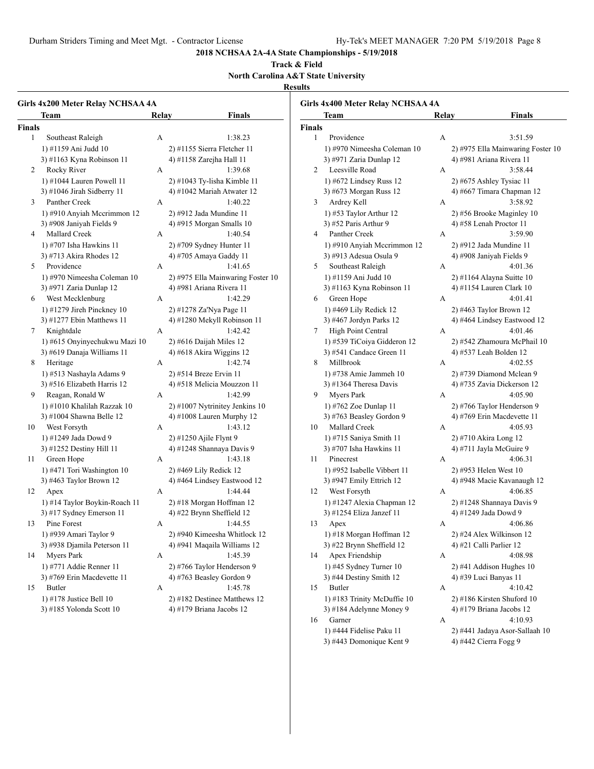16 Garner A 4:10.93 1) #444 Fidelise Paku 11 2) #441 Jadaya Asor-Sallaah 10 3) #443 Domonique Kent 9 4) #442 Cierra Fogg 9

**2018 NCHSAA 2A-4A State Championships - 5/19/2018**

#### **Track & Field North Carolina A&T State University**

**Results**

|               | Girls 4x200 Meter Relay NCHSAA 4A<br>Team                                   | Relay | <b>Finals</b>                                                            |               | Girls 4x400 Meter Relay NCHSAA 4A<br><b>Team</b>                             | Relay | <b>Finals</b>                                                         |
|---------------|-----------------------------------------------------------------------------|-------|--------------------------------------------------------------------------|---------------|------------------------------------------------------------------------------|-------|-----------------------------------------------------------------------|
| <b>Finals</b> |                                                                             |       |                                                                          | <b>Finals</b> |                                                                              |       |                                                                       |
| $\mathbf{1}$  | Southeast Raleigh<br>1) #1159 Ani Judd 10                                   | A     | 1:38.23<br>2) #1155 Sierra Fletcher 11                                   | $\mathbf{1}$  | Providence<br>1) #970 Nimeesha Coleman 10                                    | A     | 3:51.59<br>2) #975 Ella Mainwaring Foster 10                          |
| 2             | 3) #1163 Kyna Robinson 11<br>Rocky River                                    | A     | 4) #1158 Zarejha Hall 11<br>1:39.68                                      | 2             | 3) #971 Zaria Dunlap 12<br>Leesville Road                                    | А     | 4) #981 Ariana Rivera 11<br>3:58.44                                   |
| 3             | 1) #1044 Lauren Powell 11<br>3) #1046 Jirah Sidberry 11<br>Panther Creek    | A     | 2) #1043 Ty-lisha Kimble 11<br>4) #1042 Mariah Atwater 12<br>1:40.22     | 3             | 1) #672 Lindsey Russ 12<br>3) #673 Morgan Russ 12<br>Ardrey Kell             | А     | 2) #675 Ashley Tysiac 11<br>4) #667 Timara Chapman 12<br>3:58.92      |
| 4             | 1) #910 Anyiah Mccrimmon 12<br>3) #908 Janiyah Fields 9<br>Mallard Creek    | А     | 2) #912 Jada Mundine 11<br>4) #915 Morgan Smalls 10<br>1:40.54           | 4             | 1) #53 Taylor Arthur 12<br>3) #52 Paris Arthur 9<br>Panther Creek            | А     | 2) #56 Brooke Maginley 10<br>4) #58 Lenah Proctor 11<br>3:59.90       |
|               | 1) #707 Isha Hawkins 11<br>3) #713 Akira Rhodes 12                          |       | 2) #709 Sydney Hunter 11<br>4) #705 Amaya Gaddy 11                       |               | 1) #910 Anyiah Mccrimmon 12<br>3) #913 Adesua Osula 9                        |       | 2) #912 Jada Mundine 11<br>4) #908 Janiyah Fields 9                   |
| 5             | Providence<br>1) #970 Nimeesha Coleman 10<br>3) #971 Zaria Dunlap 12        | А     | 1:41.65<br>2) #975 Ella Mainwaring Foster 10<br>4) #981 Ariana Rivera 11 | 5             | Southeast Raleigh<br>1) #1159 Ani Judd 10<br>3) #1163 Kyna Robinson 11       | А     | 4:01.36<br>2) #1164 Alayna Suitte 10<br>4) #1154 Lauren Clark 10      |
| 6             | West Mecklenburg<br>1) #1279 Jireh Pinckney 10                              | А     | 1:42.29<br>2) #1278 Za'Nya Page 11                                       | 6             | Green Hope<br>1) #469 Lily Redick 12                                         | A     | 4:01.41<br>2) #463 Taylor Brown 12                                    |
| 7             | 3) #1277 Ebin Matthews 11<br>Knightdale<br>1) #615 Onyinyechukwu Mazi 10    | A     | 4) #1280 Mekyll Robinson 11<br>1:42.42<br>$2)$ #616 Daijah Miles 12      | $\tau$        | 3) #467 Jordyn Parks 12<br>High Point Central<br>1) #539 TiCoiya Gidderon 12 | A     | 4) #464 Lindsey Eastwood 12<br>4:01.46<br>2) #542 Zhamoura McPhail 10 |
| 8             | 3) #619 Danaja Williams 11<br>Heritage                                      | A     | 4) #618 Akira Wiggins $12$<br>1:42.74                                    | 8             | 3) #541 Candace Green 11<br>Millbrook                                        | А     | 4) #537 Leah Bolden 12<br>4:02.55                                     |
| 9             | 1) #513 Nashayla Adams 9<br>3) #516 Elizabeth Harris 12<br>Reagan, Ronald W | A     | 2) #514 Breze Ervin 11<br>4) #518 Melicia Mouzzon 11<br>1:42.99          | 9             | 1) #738 Amie Jammeh 10<br>3) #1364 Theresa Davis<br>Myers Park               | А     | 2) #739 Diamond Mclean 9<br>4) #735 Zavia Dickerson 12<br>4:05.90     |
|               | 1) #1010 Khalilah Razzak 10<br>3) #1004 Shawna Belle 12                     |       | 2) #1007 Nytrinitey Jenkins 10<br>4) #1008 Lauren Murphy 12              |               | 1) #762 Zoe Dunlap 11<br>3) #763 Beasley Gordon 9                            |       | 2) #766 Taylor Henderson 9<br>4) #769 Erin Macdevette 11              |
| 10            | West Forsyth<br>1) #1249 Jada Dowd 9                                        | А     | 1:43.12<br>2) #1250 Ajile Flynt 9                                        | 10            | Mallard Creek<br>1) #715 Saniya Smith 11<br>3) #707 Isha Hawkins 11          | А     | 4:05.93<br>2) #710 Akira Long 12                                      |
| 11            | 3) #1252 Destiny Hill 11<br>Green Hope<br>1) #471 Tori Washington 10        | A     | 4) #1248 Shannaya Davis 9<br>1:43.18<br>2) #469 Lily Redick 12           | 11            | Pinecrest<br>1) #952 Isabelle Vibbert 11                                     | A     | 4) #711 Jayla McGuire 9<br>4:06.31<br>2) #953 Helen West 10           |
| 12            | 3) #463 Taylor Brown 12<br>Apex                                             | A     | 4) #464 Lindsey Eastwood 12<br>1:44.44                                   | 12            | 3) #947 Emily Ettrich 12<br>West Forsyth                                     | A     | 4) #948 Macie Kavanaugh 12<br>4:06.85                                 |
| 13            | 1) #14 Taylor Boykin-Roach 11<br>3) #17 Sydney Emerson 11<br>Pine Forest    | A     | 2) #18 Morgan Hoffman 12<br>4) #22 Brynn Sheffield 12<br>1:44.55         | 13            | 1) #1247 Alexia Chapman 12<br>3) #1254 Eliza Janzef 11<br>Apex               | А     | 2) #1248 Shannaya Davis 9<br>4) #1249 Jada Dowd 9<br>4:06.86          |
|               | 1) #939 Amari Taylor 9<br>3) #938 Djamila Peterson 11                       |       | 2) #940 Kimeesha Whitlock 12<br>4) #941 Maqaila Williams 12              |               | 1) #18 Morgan Hoffman 12<br>3) #22 Brynn Sheffield 12                        |       | 2) #24 Alex Wilkinson 12<br>4) #21 Calli Parlier 12                   |
| 14            | Myers Park<br>1) #771 Addie Renner 11<br>3) #769 Erin Macdevette 11         | А     | 1:45.39<br>2) #766 Taylor Henderson 9<br>4) #763 Beasley Gordon 9        | 14            | Apex Friendship<br>1) #45 Sydney Turner 10<br>3) #44 Destiny Smith 12        | A     | 4:08.98<br>2) #41 Addison Hughes 10<br>4) #39 Luci Banyas 11          |
| 15            | Butler<br>1) #178 Justice Bell 10<br>3) #185 Yolonda Scott 10               | A     | 1:45.78<br>2) #182 Destinee Matthews 12<br>4) #179 Briana Jacobs 12      | 15            | Butler<br>1) #183 Trinity McDuffie 10<br>3) #184 Adelynne Money 9            | A     | 4:10.42<br>2) #186 Kirsten Shuford 10<br>4) #179 Briana Jacobs 12     |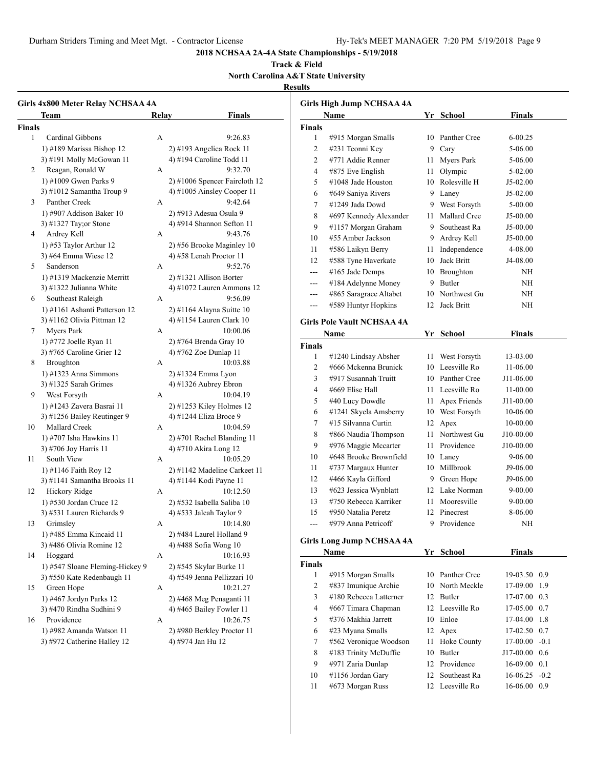10 #1156 Jordan Gary 12 Southeast Ra 16-06.25 -0.2 11 #673 Morgan Russ 12 Leesville Ro 16-06.00 0.9

**2018 NCHSAA 2A-4A State Championships - 5/19/2018**

#### **Track & Field North Carolina A&T State University**

#### **Results**

| Girls 4x800 Meter Relay NCHSAA 4A |              |                               |                   | <b>Girls High Jump NCHSAA 4A</b>  |    |                                    |                  |  |
|-----------------------------------|--------------|-------------------------------|-------------------|-----------------------------------|----|------------------------------------|------------------|--|
| Team                              | Relay        | <b>Finals</b>                 |                   | Name                              |    | Yr School                          | <b>Finals</b>    |  |
| <b>Finals</b>                     |              |                               | <b>Finals</b>     |                                   |    |                                    |                  |  |
| Cardinal Gibbons<br>$\mathbf{1}$  | A            | 9:26.83                       | $\mathbf{1}$      | #915 Morgan Smalls                |    | 10 Panther Cree                    | $6 - 00.25$      |  |
| 1) #189 Marissa Bishop 12         |              | 2) #193 Angelica Rock 11      | $\mathbf{2}$      | #231 Teonni Key                   |    | 9 Cary                             | 5-06.00          |  |
| 3) #191 Molly McGowan 11          |              | 4) #194 Caroline Todd 11      | $\mathfrak{2}$    | #771 Addie Renner                 |    | 11 Myers Park                      | 5-06.00          |  |
| 2<br>Reagan, Ronald W             | A            | 9:32.70                       | $\overline{4}$    | #875 Eve English                  |    | 11 Olympic                         | 5-02.00          |  |
| 1) #1009 Gwen Parks 9             |              | 2) #1006 Spencer Faircloth 12 | 5                 | #1048 Jade Houston                |    | 10 Rolesville H                    | $J5-02.00$       |  |
| 3) #1012 Samantha Troup 9         |              | 4) #1005 Ainsley Cooper 11    | 6                 | #649 Saniya Rivers                |    | 9 Laney                            | $J5-02.00$       |  |
| 3<br>Panther Creek                | A            | 9:42.64                       | $\overline{7}$    | #1249 Jada Dowd                   |    | 9 West Forsyth                     | 5-00.00          |  |
| 1) #907 Addison Baker $10$        |              | 2) #913 Adesua Osula 9        | 8                 | #697 Kennedy Alexander            |    | 11 Mallard Cree                    | J5-00.00         |  |
| 3) #1327 Tay; or Stone            |              | 4) #914 Shannon Sefton 11     | 9                 | #1157 Morgan Graham               | 9  | Southeast Ra                       | $J5-00.00$       |  |
| Ardrey Kell<br>4                  | А            | 9:43.76                       | 10                | #55 Amber Jackson                 |    | 9 Ardrey Kell                      | J5-00.00         |  |
| 1) #53 Taylor Arthur $12$         |              | 2) #56 Brooke Maginley 10     | 11                | #586 Laikyn Berry                 |    | 11 Independence                    | 4-08.00          |  |
| 3) #64 Emma Wiese 12              |              | 4) #58 Lenah Proctor 11       |                   | #588 Tyne Haverkate               |    | 10 Jack Britt                      |                  |  |
| Sanderson<br>5                    | A            | 9:52.76                       | 12                |                                   |    |                                    | J4-08.00         |  |
| 1) #1319 Mackenzie Merritt        |              | 2) #1321 Allison Borter       | $\qquad \qquad -$ | #165 Jade Demps                   |    | 10 Broughton                       | NH               |  |
| 3) #1322 Julianna White           |              | 4) #1072 Lauren Ammons 12     | $---$             | #184 Adelynne Money               |    | 9 Butler                           | NH               |  |
| Southeast Raleigh<br>6            | A            | 9:56.09                       | $---$             | #865 Saragrace Altabet            |    | 10 Northwest Gu                    | NH               |  |
| 1) #1161 Ashanti Patterson 12     |              | 2) #1164 Alayna Suitte 10     | $---$             | #589 Huntyr Hopkins               |    | 12 Jack Britt                      | NH               |  |
| 3) #1162 Olivia Pittman 12        |              | 4) #1154 Lauren Clark 10      |                   | <b>Girls Pole Vault NCHSAA 4A</b> |    |                                    |                  |  |
| 7<br><b>Myers Park</b>            | A            | 10:00.06                      |                   | Name                              |    | Yr School                          | <b>Finals</b>    |  |
| 1) #772 Joelle Ryan 11            |              | 2) #764 Brenda Gray 10        |                   |                                   |    |                                    |                  |  |
| 3) #765 Caroline Grier 12         |              | 4) #762 Zoe Dunlap 11         | Finals            |                                   |    |                                    |                  |  |
| 8<br>Broughton                    | A            | 10:03.88                      | 1                 | #1240 Lindsay Absher              |    | 11 West Forsyth<br>10 Leesville Ro | 13-03.00         |  |
| $1)$ #1323 Anna Simmons           |              | 2) #1324 Emma Lyon            | $\overline{2}$    | #666 Mckenna Brunick              |    |                                    | 11-06.00         |  |
| 3) #1325 Sarah Grimes             |              | 4) #1326 Aubrey Ebron         | 3                 | #917 Susannah Truitt              |    | 10 Panther Cree                    | J11-06.00        |  |
| West Forsyth<br>9                 | A            | 10:04.19                      | $\overline{4}$    | #669 Elise Hall                   |    | 11 Leesville Ro                    | 11-00.00         |  |
| 1) #1243 Zavera Basrai 11         |              | 2) #1253 Kiley Holmes 12      | 5                 | #40 Lucy Dowdle                   |    | 11 Apex Friends                    | J11-00.00        |  |
| 3) #1256 Bailey Reutinger 9       |              | 4) #1244 Eliza Broce 9        | 6                 | #1241 Skyela Amsberry             |    | 10 West Forsyth                    | 10-06.00         |  |
| Mallard Creek<br>10               | $\mathbf{A}$ | 10:04.59                      | 7                 | #15 Silvanna Curtin               |    | 12 Apex                            | 10-00.00         |  |
| 1) #707 Isha Hawkins 11           |              | 2) #701 Rachel Blanding 11    | 8                 | #866 Naudia Thompson              |    | 11 Northwest Gu                    | J10-00.00        |  |
| 3) #706 Joy Harris 11             |              | 4) #710 Akira Long 12         | 9                 | #976 Maggie Mccarter              |    | 11 Providence                      | J10-00.00        |  |
| South View<br>11                  | A            | 10:05.29                      | 10                | #648 Brooke Brownfield            |    | 10 Laney                           | 9-06.00          |  |
| 1) #1146 Faith Roy 12             |              | 2) #1142 Madeline Carkeet 11  | 11                | #737 Margaux Hunter               |    | 10 Millbrook                       | J9-06.00         |  |
| 3) #1141 Samantha Brooks 11       |              | 4) #1144 Kodi Payne 11        | 12                | #466 Kayla Gifford                | 9  | Green Hope                         | J9-06.00         |  |
| Hickory Ridge<br>12               | A            | 10:12.50                      | 13                | #623 Jessica Wynblatt             | 12 | Lake Norman                        | $9 - 00.00$      |  |
| 1) #530 Jordan Cruce 12           |              | 2) #532 Isabella Saliba 10    | 13                | #750 Rebecca Karriker             |    | 11 Mooresville                     | $9 - 00.00$      |  |
| 3) #531 Lauren Richards 9         |              | 4) #533 Jaleah Taylor 9       | 15                | #950 Natalia Peretz               |    | 12 Pinecrest                       | 8-06.00          |  |
| Grimsley<br>13                    | A            | 10:14.80                      | $---$             | #979 Anna Petricoff               |    | 9 Providence                       | NH               |  |
| 1) #485 Emma Kincaid 11           |              | 2) #484 Laurel Holland 9      |                   |                                   |    |                                    |                  |  |
| 3) #486 Olivia Romine 12          |              | 4) #488 Sofia Wong 10         |                   | <b>Girls Long Jump NCHSAA 4A</b>  |    |                                    |                  |  |
| Hoggard<br>14                     | A            | 10:16.93                      |                   | Name                              |    | Yr School                          | <b>Finals</b>    |  |
| 1) #547 Sloane Fleming-Hickey 9   |              | 2) #545 Skylar Burke 11       | <b>Finals</b>     |                                   |    |                                    |                  |  |
| 3) #550 Kate Redenbaugh 11        |              | 4) #549 Jenna Pellizzari 10   | 1                 | #915 Morgan Smalls                |    | 10 Panther Cree                    | 19-03.50 0.9     |  |
| Green Hope<br>15                  | A            | 10:21.27                      | $\overline{c}$    | #837 Imunique Archie              |    | 10 North Meckle                    | 17-09.00 1.9     |  |
| 1) #467 Jordyn Parks 12           |              | 2) #468 Meg Penaganti 11      | 3                 | #180 Rebecca Latterner            |    | 12 Butler                          | 17-07.00 0.3     |  |
| 3) #470 Rindha Sudhini 9          |              | 4) #465 Bailey Fowler 11      | 4                 | #667 Timara Chapman               |    | 12 Leesville Ro                    | $17-05.00$ 0.7   |  |
| Providence<br>16                  | A            | 10:26.75                      | 5                 | #376 Makhia Jarrett               |    | 10 Enloe                           | 17-04.00 1.8     |  |
| 1) #982 Amanda Watson 11          |              | 2) #980 Berkley Proctor 11    | 6                 | #23 Myana Smalls                  |    | 12 Apex                            | $17-02.50$ 0.7   |  |
| 3) #972 Catherine Halley 12       |              | 4) #974 Jan Hu 12             | 7                 | #562 Veronique Woodson            |    | 11 Hoke County                     | $17-00.00 - 0.1$ |  |
|                                   |              |                               | 8                 | #183 Trinity McDuffie             |    | 10 Butler                          | J17-00.00 0.6    |  |
|                                   |              |                               |                   |                                   |    |                                    |                  |  |
|                                   |              |                               | 9                 | #971 Zaria Dunlap                 |    | 12 Providence                      | $16-09.00$ 0.1   |  |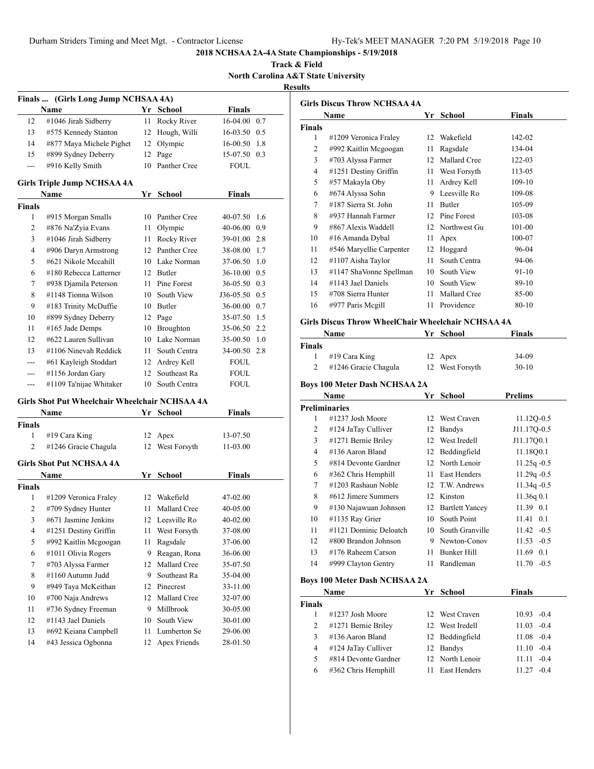**Track & Field North Carolina A&T State University**

**Results**

|               | Finals  (Girls Long Jump NCHSAA 4A)            |      |                     |               |     |
|---------------|------------------------------------------------|------|---------------------|---------------|-----|
|               | Name                                           | Yr   | School              | Finals        |     |
| 12            | #1046 Jirah Sidberry                           | 11   | Rocky River         | 16-04.00      | 0.7 |
| 13            | #575 Kennedy Stanton                           | 12   | Hough, Willi        | 16-03.50      | 0.5 |
| 14            | #877 Maya Michele Pighet                       | 12   | Olympic             | 16-00.50      | 1.8 |
| 15            | #899 Sydney Deberry                            | 12   | Page                | 15-07.50      | 0.3 |
| ---           | #916 Kelly Smith                               | 10   | Panther Cree        | FOUL          |     |
|               |                                                |      |                     |               |     |
|               | Girls Triple Jump NCHSAA 4A                    |      |                     |               |     |
| <b>Finals</b> | Name                                           | Yr   | <b>School</b>       | Finals        |     |
| 1             | #915 Morgan Smalls                             | 10   | <b>Panther Cree</b> | 40-07.50      | 1.6 |
| 2             | #876 Na'Zyia Evans                             | 11   | Olympic             | 40-06.00      | 0.9 |
| 3             | #1046 Jirah Sidberry                           | 11 - | Rocky River         | 39-01.00 2.8  |     |
| 4             | #906 Daryn Armstrong                           |      | 12 Panther Cree     | 38-08.00      | 1.7 |
| 5             | #621 Nikole Mccahill                           |      | 10 Lake Norman      | 37-06.50      | 1.0 |
| 6             | #180 Rebecca Latterner                         |      | 12 Butler           | 36-10.00 0.5  |     |
| 7             | #938 Djamila Peterson                          | 11 - | Pine Forest         | 36-05.50 0.3  |     |
| 8             | #1148 Tionna Wilson                            |      | 10 South View       | J36-05.50     | 0.5 |
| 9             | #183 Trinity McDuffie                          |      | 10 Butler           | 36-00.00      | 0.7 |
| 10            | #899 Sydney Deberry                            |      | 12 Page             | 35-07.50      | 1.5 |
| 11            | #165 Jade Demps                                |      | 10 Broughton        | 35-06.50      | 2.2 |
| 12            | #622 Lauren Sullivan                           |      | 10 Lake Norman      | 35-00.50      | 1.0 |
| 13            | #1106 Ninevah Reddick                          | 11 - | South Centra        | 34-00.50      | 2.8 |
| ---           | #61 Kayleigh Stoddart                          |      | 12 Ardrey Kell      | <b>FOUL</b>   |     |
| ---           | #1156 Jordan Gary                              | 12   | Southeast Ra        | FOUL          |     |
| ---           | #1109 Ta'nijae Whitaker                        | 10   | South Centra        | FOUL          |     |
|               |                                                |      |                     |               |     |
|               | Girls Shot Put Wheelchair Wheelchair NCHSAA 4A |      |                     |               |     |
|               | Name                                           |      | Yr School           | Finals        |     |
| Finals        |                                                |      |                     |               |     |
| 1             | #19 Cara King                                  | 12   | Apex                | 13-07.50      |     |
| 2             | #1246 Gracie Chagula                           |      | 12 West Forsyth     | 11-03.00      |     |
|               | <b>Girls Shot Put NCHSAA 4A</b>                |      |                     |               |     |
|               | Name                                           | Yr   | <b>School</b>       | <b>Finals</b> |     |
| Finals        |                                                |      |                     |               |     |
| 1             | #1209 Veronica Fraley                          | 12   | Wakefield           | 47-02.00      |     |
| 2             | #709 Sydney Hunter                             | 11   | Mallard Cree        | 40-05.00      |     |
| 3             | #671 Jasmine Jenkins                           |      | 12 Leesville Ro     | 40-02.00      |     |
| 4             | #1251 Destiny Griffin                          | 11   | West Forsyth        | 37-08.00      |     |
| 5             | #992 Kaitlin Mcgoogan                          | 11   | Ragsdale            | 37-06.00      |     |
| 6             | #1011 Olivia Rogers                            | 9    | Reagan, Rona        | 36-06.00      |     |
| 7             | #703 Alyssa Farmer                             | 12   | Mallard Cree        | 35-07.50      |     |
| 8             | #1160 Autumn Judd                              | 9.   | Southeast Ra        | 35-04.00      |     |
| 9             | #949 Taya McKeithan                            | 12   | Pinecrest           | 33-11.00      |     |
| 10            | #700 Naja Andrews                              | 12   | Mallard Cree        | 32-07.00      |     |
| 11            | #736 Sydney Freeman                            | 9.   | Millbrook           | 30-05.00      |     |
| 12            | #1143 Jael Daniels                             | 10   | South View          | 30-01.00      |     |
| 13            | #692 Keiana Campbell                           | 11   | Lumberton Se        | 29-06.00      |     |
| 14            | #43 Jessica Ogbonna                            |      | 12 Apex Friends     | 28-01.50      |     |

| Finals<br>Name<br>Yr<br>School |                          |    |               |        |  |  |  |
|--------------------------------|--------------------------|----|---------------|--------|--|--|--|
| <b>Finals</b>                  |                          |    |               |        |  |  |  |
| 1                              | #1209 Veronica Fraley    | 12 | Wakefield     | 142-02 |  |  |  |
| 2                              | #992 Kaitlin Mcgoogan    | 11 | Ragsdale      | 134-04 |  |  |  |
| 3                              | #703 Alyssa Farmer       | 12 | Mallard Cree  | 122-03 |  |  |  |
| 4                              | #1251 Destiny Griffin    | 11 | West Forsyth  | 113-05 |  |  |  |
| 5                              | #57 Makayla Oby          | 11 | Ardrey Kell   | 109-10 |  |  |  |
| 6                              | #674 Alyssa Sohn         | 9  | Leesville Ro  | 109-08 |  |  |  |
| 7                              | #187 Sierra St. John     | 11 | <b>Butler</b> | 105-09 |  |  |  |
| 8                              | #937 Hannah Farmer       | 12 | Pine Forest   | 103-08 |  |  |  |
| 9                              | #867 Alexis Waddell      | 12 | Northwest Gu  | 101-00 |  |  |  |
| 10                             | #16 Amanda Dybal         | 11 | Apex          | 100-07 |  |  |  |
| 11                             | #546 Maryellie Carpenter | 12 | Hoggard       | 96-04  |  |  |  |
| 12                             | #1107 Aisha Taylor       | 11 | South Centra  | 94-06  |  |  |  |
| 13                             | #1147 ShaVonne Spellman  | 10 | South View    | 91-10  |  |  |  |
| 14                             | #1143 Jael Daniels       | 10 | South View    | 89-10  |  |  |  |
| 15                             | #708 Sierra Hunter       | 11 | Mallard Cree  | 85-00  |  |  |  |
| 16                             | #977 Paris Megill        | 11 | Providence    | 80-10  |  |  |  |

#### **Girls Discus Throw WheelChair Wheelchair NCHSAA 4A**

| Name          |                      | Yr School       | <b>Finals</b> |  |
|---------------|----------------------|-----------------|---------------|--|
| <b>Finals</b> |                      |                 |               |  |
|               | #19 Cara King        | 12 Apex         | 34-09         |  |
|               | #1246 Gracie Chagula | 12 West Forsyth | $30-10$       |  |

# **Boys 100 Meter Dash NCHSAA 2A**

|    | Name                   | Yг              | <b>School</b>          | <b>Prelims</b>    |
|----|------------------------|-----------------|------------------------|-------------------|
|    | Preliminaries          |                 |                        |                   |
|    | $\#1237$ Josh Moore    | 12              | West Craven            | 11.120-0.5        |
| 2  | #124 JaTay Culliver    | 12              | <b>Bandys</b>          | J11.17Q-0.5       |
| 3  | #1271 Bernie Briley    | 12 <sub>1</sub> | West Iredell           | J11.1700.1        |
| 4  | #136 Aaron Bland       | 12              | Beddingfield           | 11.18Q0.1         |
| 5  | #814 Devonte Gardner   |                 | 12 North Lenoir        | $11.25q - 0.5$    |
| 6  | #362 Chris Hemphill    | 11              | <b>East Henders</b>    | $11.29q - 0.5$    |
| 7  | #1203 Rashaun Noble    |                 | 12 T.W. Andrews        | $11.34q - 0.5$    |
| 8  | #612 Jimere Summers    | 12              | Kinston                | 11.36q0.1         |
| 9  | #130 Najawuan Johnson  | 12              | <b>Bartlett Yancey</b> | 11.39 0.1         |
| 10 | #1135 Ray Grier        | 10              | South Point            | $11.41 \quad 0.1$ |
| 11 | #1121 Dominic Deloatch | 10              | South Granville        | $11.42 -0.5$      |
| 12 | #800 Brandon Johnson   | 9               | Newton-Conov           | $11.53 - 0.5$     |
| 13 | #176 Raheem Carson     | 11              | Bunker Hill            | 11.69 0.1         |
| 14 | #999 Clayton Gentry    | 11              | Randleman              | $11.70 - 0.5$     |

#### **Boys 100 Meter Dash NCHSAA 2A**

|               | Name                 | Yr School           | <b>Finals</b>   |  |
|---------------|----------------------|---------------------|-----------------|--|
| <b>Finals</b> |                      |                     |                 |  |
|               | $\#1237$ Josh Moore  | 12 West Craven      | $10.93 - 0.4$   |  |
| 2             | #1271 Bernie Briley  | 12 West Iredell     | $11.03 - 0.4$   |  |
| 3             | #136 Aaron Bland     | 12 Beddingfield     | $11.08 - 0.4$   |  |
| 4             | #124 JaTay Culliver  | 12 Bandys           | $11.10 - 0.4$   |  |
| 5             | #814 Devonte Gardner | 12 North Lenoir     | 11.11<br>$-0.4$ |  |
| 6             | #362 Chris Hemphill  | <b>East Henders</b> | $-0.4$          |  |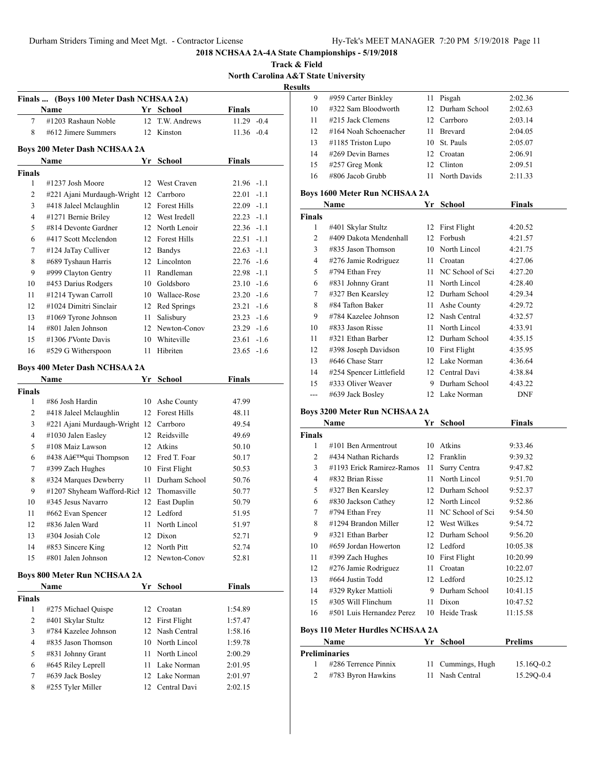**Track & Field North Carolina A&T State University Results**

| (Boys 100 Meter Dash NCHSAA 2A)<br><b>Finals</b> |                                           |    |                  |               |  |  |  |  |
|--------------------------------------------------|-------------------------------------------|----|------------------|---------------|--|--|--|--|
| Name<br>Yr School<br>Finals                      |                                           |    |                  |               |  |  |  |  |
| 7                                                | #1203 Rashaun Noble                       | 12 | T.W. Andrews     | $11.29 - 0.4$ |  |  |  |  |
| 8                                                | #612 Jimere Summers                       | 12 | Kinston          | $11.36 - 0.4$ |  |  |  |  |
|                                                  |                                           |    |                  |               |  |  |  |  |
|                                                  | <b>Boys 200 Meter Dash NCHSAA 2A</b>      |    |                  |               |  |  |  |  |
|                                                  | Name                                      | Yr | School           | <b>Finals</b> |  |  |  |  |
| <b>Finals</b><br>1                               | #1237 Josh Moore                          | 12 | West Craven      | 21.96 -1.1    |  |  |  |  |
| $\overline{c}$                                   | #221 Ajani Murdaugh-Wright 12 Carrboro    |    |                  | $22.01 -1.1$  |  |  |  |  |
| 3                                                | #418 Jaleel Mclaughlin                    |    | 12 Forest Hills  | $22.09 -1.1$  |  |  |  |  |
| 4                                                | #1271 Bernie Briley                       |    | 12 West Iredell  | $22.23 -1.1$  |  |  |  |  |
| 5                                                | #814 Devonte Gardner                      |    | 12 North Lenoir  | 22.36 -1.1    |  |  |  |  |
| 6                                                | #417 Scott Mcclendon                      |    | 12 Forest Hills  | 22.51 -1.1    |  |  |  |  |
| 7                                                | #124 JaTay Culliver                       |    | 12 Bandys        | $22.63 -1.1$  |  |  |  |  |
| 8                                                | #689 Tyshaun Harris                       |    | 12 Lincolnton    | $22.76 - 1.6$ |  |  |  |  |
| 9                                                | #999 Clayton Gentry                       |    | 11 Randleman     | 22.98 -1.1    |  |  |  |  |
| 10                                               | #453 Darius Rodgers                       |    | 10 Goldsboro     | $23.10 -1.6$  |  |  |  |  |
| 11                                               | #1214 Tywan Carroll                       |    | 10 Wallace-Rose  | $23.20 -1.6$  |  |  |  |  |
| 12                                               | #1024 Dimitri Sinclair                    |    | 12 Red Springs   | $23.21 -1.6$  |  |  |  |  |
| 13                                               | #1069 Tyrone Johnson                      |    | 11 Salisbury     | $23.23 -1.6$  |  |  |  |  |
| 14                                               | #801 Jalen Johnson                        |    | 12 Newton-Conov  | $23.29 -1.6$  |  |  |  |  |
| 15                                               | #1306 J'Vonte Davis                       |    | 10 Whiteville    | $23.61 -1.6$  |  |  |  |  |
| 16                                               | #529 G Witherspoon                        | 11 | Hibriten         | 23.65 -1.6    |  |  |  |  |
|                                                  |                                           |    |                  |               |  |  |  |  |
|                                                  | Boys 400 Meter Dash NCHSAA 2A<br>Name     |    | Yr School        | <b>Finals</b> |  |  |  |  |
| <b>Finals</b>                                    |                                           |    |                  |               |  |  |  |  |
| 1                                                | #86 Josh Hardin                           |    | 10 Ashe County   | 47.99         |  |  |  |  |
| $\overline{c}$                                   | #418 Jaleel Mclaughlin                    |    | 12 Forest Hills  | 48.11         |  |  |  |  |
| 3                                                | #221 Ajani Murdaugh-Wright 12 Carrboro    |    |                  | 49.54         |  |  |  |  |
| 4                                                | #1030 Jalen Easley                        |    | 12 Reidsville    | 49.69         |  |  |  |  |
| 5                                                | #108 Maiz Lawson                          |    | 12 Atkins        | 50.10         |  |  |  |  |
| 6                                                | #438 A'qui Thompson                       |    | 12 Fred T. Foar  | 50.17         |  |  |  |  |
| 7                                                | #399 Zach Hughes                          |    | 10 First Flight  | 50.53         |  |  |  |  |
| 8                                                | #324 Marques Dewberry                     |    | 11 Durham School | 50.76         |  |  |  |  |
| 9                                                | #1207 Shyheam Wafford-Rich 12 Thomasville |    |                  | 50.77         |  |  |  |  |
| 10                                               | #345 Jesus Navarro                        |    | 12 East Duplin   | 50.79         |  |  |  |  |
| 11                                               | #662 Evan Spencer                         |    | 12 Ledford       | 51.95         |  |  |  |  |
| 12                                               | #836 Jalen Ward                           | 11 | North Lincol     | 51.97         |  |  |  |  |
| 13                                               | #304 Josiah Cole                          |    | 12 Dixon         | 52.71         |  |  |  |  |
| 14                                               | #853 Sincere King                         |    | 12 North Pitt    | 52.74         |  |  |  |  |
| 15                                               | #801 Jalen Johnson                        |    | 12 Newton-Conov  | 52.81         |  |  |  |  |
|                                                  | <b>Boys 800 Meter Run NCHSAA 2A</b>       |    |                  |               |  |  |  |  |
|                                                  | Name                                      | Yr | <b>School</b>    | <b>Finals</b> |  |  |  |  |
| <b>Finals</b>                                    |                                           |    |                  |               |  |  |  |  |
| 1                                                | #275 Michael Quispe                       |    | 12 Croatan       | 1:54.89       |  |  |  |  |
| 2                                                | #401 Skylar Stultz                        |    | 12 First Flight  | 1:57.47       |  |  |  |  |
| 3                                                | #784 Kazelee Johnson                      |    | 12 Nash Central  | 1:58.16       |  |  |  |  |
| 4                                                | #835 Jason Thomson                        |    | 10 North Lincol  | 1:59.78       |  |  |  |  |
| 5                                                | #831 Johnny Grant                         |    | 11 North Lincol  | 2:00.29       |  |  |  |  |
| 6                                                | #645 Riley Leprell                        |    | 11 Lake Norman   | 2:01.95       |  |  |  |  |
| 7                                                | #639 Jack Bosley                          |    | 12 Lake Norman   | 2:01.97       |  |  |  |  |
| 8                                                | #255 Tyler Miller                         |    | 12 Central Davi  | 2:02.15       |  |  |  |  |
|                                                  |                                           |    |                  |               |  |  |  |  |

| a. |                       |         |                  |         |  |
|----|-----------------------|---------|------------------|---------|--|
| 9  | #959 Carter Binkley   | 11.     | Pisgah           | 2:02.36 |  |
| 10 | #322 Sam Bloodworth   |         | 12 Durham School | 2:02.63 |  |
| 11 | $\#215$ Jack Clemens  |         | 12 Carrboro      | 2:03.14 |  |
| 12 | #164 Noah Schoenacher | 11      | <b>Brevard</b>   | 2:04.05 |  |
| 13 | #1185 Triston Lupo    |         | 10 St. Pauls     | 2:05.07 |  |
| 14 | #269 Devin Barnes     | $12-12$ | Croatan          | 2:06.91 |  |
| 15 | #257 Greg Monk        | 12.     | Clinton          | 2:09.51 |  |
| 16 | #806 Jacob Grubb      |         | North Davids     | 2:11.33 |  |

# **Boys 1600 Meter Run NCHSAA 2A**

| Name          |                          |    | School           | Finals     |
|---------------|--------------------------|----|------------------|------------|
| <b>Finals</b> |                          |    |                  |            |
| 1             | #401 Skylar Stultz       | 12 | First Flight     | 4:20.52    |
| 2             | #409 Dakota Mendenhall   | 12 | Forbush          | 4:21.57    |
| 3             | #835 Jason Thomson       | 10 | North Lincol     | 4:21.75    |
| 4             | #276 Jamie Rodriguez     | 11 | Croatan          | 4:27.06    |
| 5             | #794 Ethan Frey          | 11 | NC School of Sci | 4:27.20    |
| 6             | #831 Johnny Grant        | 11 | North Lincol     | 4:28.40    |
| 7             | #327 Ben Kearsley        |    | 12 Durham School | 4:29.34    |
| 8             | #84 Tafton Baker         | 11 | Ashe County      | 4:29.72    |
| 9             | #784 Kazelee Johnson     | 12 | Nash Central     | 4:32.57    |
| 10            | $\#833$ Jason Risse      | 11 | North Lincol     | 4:33.91    |
| 11            | #321 Ethan Barber        | 12 | Durham School    | 4:35.15    |
| 12            | #398 Joseph Davidson     | 10 | First Flight     | 4:35.95    |
| 13            | #646 Chase Starr         | 12 | Lake Norman      | 4:36.64    |
| 14            | #254 Spencer Littlefield | 12 | Central Davi     | 4:38.84    |
| 15            | #333 Oliver Weaver       | 9  | Durham School    | 4:43.22    |
| ---           | #639 Jack Bosley         | 12 | Lake Norman      | <b>DNF</b> |

# **Boys 3200 Meter Run NCHSAA 2A**

 $\overline{a}$ 

| <b>Finals</b><br>1 |                           |     |                     |          |
|--------------------|---------------------------|-----|---------------------|----------|
|                    |                           |     |                     |          |
|                    | $\#101$ Ben Armentrout    | 10  | Atkins              | 9:33.46  |
| 2                  | #434 Nathan Richards      | 12  | Franklin            | 9:39.32  |
| 3                  | #1193 Erick Ramirez-Ramos | 11  | Surry Centra        | 9:47.82  |
| 4                  | #832 Brian Risse          | 11  | North Lincol        | 9:51.70  |
| 5                  | #327 Ben Kearsley         | 12  | Durham School       | 9:52.37  |
| 6                  | #830 Jackson Cathey       |     | 12 North Lincol     | 9:52.86  |
| 7                  | #794 Ethan Frey           | 11. | NC School of Sci    | 9:54.50  |
| 8                  | #1294 Brandon Miller      |     | 12 West Wilkes      | 9:54.72  |
| 9                  | #321 Ethan Barber         | 12  | Durham School       | 9:56.20  |
| 10                 | #659 Jordan Howerton      |     | 12 Ledford          | 10:05.38 |
| 11                 | #399 Zach Hughes          | 10  | <b>First Flight</b> | 10:20.99 |
| 12                 | #276 Jamie Rodriguez      | 11  | Croatan             | 10:22.07 |
| 13                 | #664 Justin Todd          |     | 12 Ledford          | 10:25.12 |
| 14                 | #329 Ryker Mattioli       | 9   | Durham School       | 10:41.15 |
| 15                 | #305 Will Flinchum        | 11  | Dixon               | 10:47.52 |
| 16                 | #501 Luis Hernandez Perez | 10  | Heide Trask         | 11:15.58 |

#### **Boys 110 Meter Hurdles NCHSAA 2A**

| <b>Name</b>            | Yr School         | <b>Prelims</b> |
|------------------------|-------------------|----------------|
| Preliminaries          |                   |                |
| $#286$ Terrence Pinnix | 11 Cummings, Hugh | 15.160-0.2     |
| #783 Byron Hawkins     | 11 Nash Central   | 15.290-0.4     |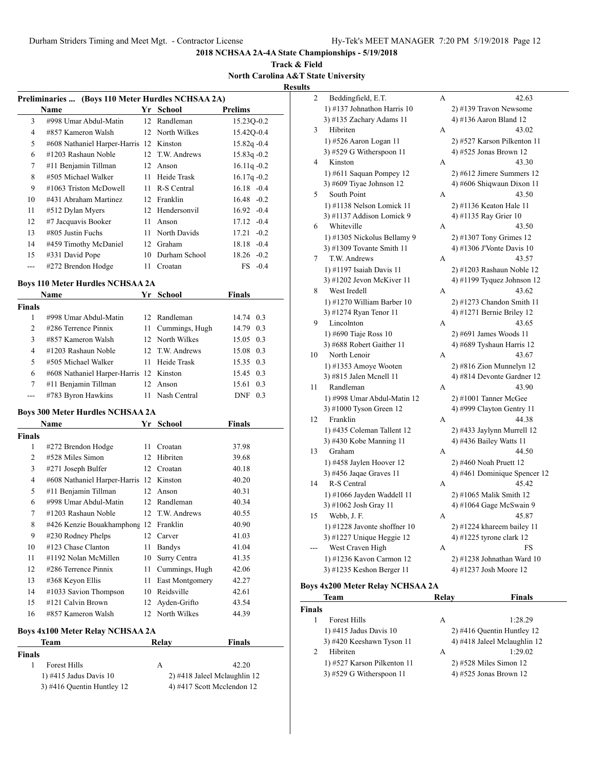**Track & Field North Carolina A&T State University Results**

| Preliminaries  (Boys 110 Meter Hurdles NCHSAA 2A) |     |               |                                                                                                                                                             |  |  |  |  |
|---------------------------------------------------|-----|---------------|-------------------------------------------------------------------------------------------------------------------------------------------------------------|--|--|--|--|
| School<br><b>Prelims</b><br>Name<br>Yr            |     |               |                                                                                                                                                             |  |  |  |  |
| #998 Umar Abdul-Matin                             |     |               | 15.230-0.2                                                                                                                                                  |  |  |  |  |
| #857 Kameron Walsh                                |     |               | 15.420-0.4                                                                                                                                                  |  |  |  |  |
|                                                   |     |               | $15.82q - 0.4$                                                                                                                                              |  |  |  |  |
| #1203 Rashaun Noble                               |     |               | $15.83q -0.2$                                                                                                                                               |  |  |  |  |
| #11 Benjamin Tillman                              | 12  | Anson         | $16.11q - 0.2$                                                                                                                                              |  |  |  |  |
| #505 Michael Walker                               | 11. | Heide Trask   | $16.17q - 0.2$                                                                                                                                              |  |  |  |  |
| #1063 Triston McDowell                            |     |               | $16.18 - 0.4$                                                                                                                                               |  |  |  |  |
| #431 Abraham Martinez                             | 12  |               | $16.48 - 0.2$                                                                                                                                               |  |  |  |  |
| #512 Dylan Myers                                  | 12  |               | $16.92 - 0.4$                                                                                                                                               |  |  |  |  |
| #7 Jacquavis Booker                               | 11  | Anson         | $17.12 - 0.4$                                                                                                                                               |  |  |  |  |
| $\#805$ Justin Fuchs                              | 11  |               | $17.21 - 0.2$                                                                                                                                               |  |  |  |  |
| #459 Timothy McDaniel                             | 12  | Graham        | $18.18 - 0.4$                                                                                                                                               |  |  |  |  |
| #331 David Pope                                   | 10  | Durham School | $18.26 - 0.2$                                                                                                                                               |  |  |  |  |
| #272 Brendon Hodge                                | 11  | Croatan       | $FS$ -0.4                                                                                                                                                   |  |  |  |  |
|                                                   |     |               | 12 Randleman<br>12 North Wilkes<br>#608 Nathaniel Harper-Harris 12 Kinston<br>12 T.W. Andrews<br>11 R-S Central<br>Franklin<br>Hendersonvil<br>North Davids |  |  |  |  |

# **Boys 110 Meter Hurdles NCHSAA 2A**

|        | Name                                    |    | Yr School         | <b>Finals</b> |     |
|--------|-----------------------------------------|----|-------------------|---------------|-----|
| Finals |                                         |    |                   |               |     |
|        | #998 Umar Abdul-Matin                   |    | 12 Randleman      | 14.74 0.3     |     |
| 2      | $\#286$ Terrence Pinnix                 |    | 11 Cummings, Hugh | 14.79 0.3     |     |
| 3      | #857 Kameron Walsh                      |    | 12 North Wilkes   | 15.05 0.3     |     |
| 4      | #1203 Rashaun Noble                     |    | 12 T.W. Andrews   | 15.08 0.3     |     |
| 5      | #505 Michael Walker                     |    | 11 Heide Trask    | 15.35 0.3     |     |
| 6      | #608 Nathaniel Harper-Harris 12 Kinston |    |                   | 15.45 0.3     |     |
| 7      | #11 Benjamin Tillman                    | 12 | Anson             | 15.61 0.3     |     |
|        | #783 Byron Hawkins                      |    | 11 Nash Central   | <b>DNF</b>    | 0.3 |

## **Boys 300 Meter Hurdles NCHSAA 2A**

|                | <b>Name</b>                     | Yr | <b>School</b>   | Finals |
|----------------|---------------------------------|----|-----------------|--------|
| <b>Finals</b>  |                                 |    |                 |        |
| 1              | #272 Brendon Hodge              | 11 | Croatan         | 37.98  |
| $\mathfrak{D}$ | #528 Miles Simon                | 12 | Hibriten        | 39.68  |
| 3              | #271 Joseph Bulfer              | 12 | Croatan         | 40.18  |
| 4              | #608 Nathaniel Harper-Harris 12 |    | Kinston         | 40.20  |
| 5              | #11 Benjamin Tillman            | 12 | Anson           | 40.31  |
| 6              | #998 Umar Abdul-Matin           |    | 12 Randleman    | 40.34  |
| 7              | #1203 Rashaun Noble             |    | 12 T.W. Andrews | 40.55  |
| 8              | #426 Kenzie Bouakhamphong 12    |    | Franklin        | 40.90  |
| 9              | #230 Rodney Phelps              | 12 | Carver          | 41.03  |
| 10             | #123 Chase Clanton              | 11 | Bandys          | 41.04  |
| 11             | #1192 Nolan McMillen            | 10 | Surry Centra    | 41.35  |
| 12             | #286 Terrence Pinnix            | 11 | Cummings, Hugh  | 42.06  |
| 13             | #368 Keyon Ellis                | 11 | East Montgomery | 42.27  |
| 14             | #1033 Savion Thompson           | 10 | Reidsville      | 42.61  |
| 15             | #121 Calvin Brown               | 12 | Ayden-Grifto    | 43.54  |
| 16             | #857 Kameron Walsh              |    | 12 North Wilkes | 44.39  |

#### **Boys 4x100 Meter Relay NCHSAA 2A**

|               | Team                         | Relav | <b>Finals</b>                  |
|---------------|------------------------------|-------|--------------------------------|
| <b>Finals</b> |                              |       |                                |
|               | <b>Forest Hills</b>          | А     | 42.20                          |
|               | $(1)$ #415 Jadus Davis 10    |       | $2)$ #418 Jaleel Mclaughlin 12 |
|               | $3)$ #416 Quentin Huntley 12 |       | 4) #417 Scott Mcclendon 12     |

| 2  | Beddingfield, E.T.             | А | 42.63                        |
|----|--------------------------------|---|------------------------------|
|    | 1) #137 Johnathon Harris 10    |   | 2) #139 Travon Newsome       |
|    | 3) #135 Zachary Adams 11       |   | 4) #136 Aaron Bland 12       |
| 3  | Hibriten                       | А | 43.02                        |
|    | 1) #526 Aaron Logan 11         |   | 2) #527 Karson Pilkenton 11  |
|    | 3) #529 G Witherspoon 11       |   | 4) #525 Jonas Brown 12       |
| 4  | Kinston                        | А | 43.30                        |
|    | 1) #611 Saquan Pompey 12       |   | $2)$ #612 Jimere Summers 12  |
|    | 3) #609 Tiyae Johnson 12       |   | 4) #606 Shiqwaun Dixon 11    |
| 5  | South Point                    | А | 43.50                        |
|    | 1) #1138 Nelson Lomick 11      |   | 2) #1136 Keaton Hale 11      |
|    | 3) #1137 Addison Lomick 9      |   | 4) #1135 Ray Grier 10        |
| 6  | Whiteville                     | А | 43.50                        |
|    | 1) #1305 Nickolus Bellamy 9    |   | 2) #1307 Tony Grimes 12      |
|    | 3) #1309 Tovante Smith 11      |   | 4) #1306 J'Vonte Davis 10    |
| 7  | T.W. Andrews                   | A | 43.57                        |
|    | 1) #1197 Isaiah Davis 11       |   | 2) #1203 Rashaun Noble 12    |
|    | 3) #1202 Jevon McKiver 11      |   | 4) #1199 Tyquez Johnson 12   |
| 8  | West Iredell                   | А | 43.62                        |
|    | 1) #1270 William Barber 10     |   | 2) #1273 Chandon Smith 11    |
|    | 3) #1274 Ryan Tenor 11         |   | 4) #1271 Bernie Briley 12    |
| 9  | Lincolnton                     | A | 43.65                        |
|    | 1) #690 Tiaje Ross 10          |   | 2) #691 James Woods 11       |
|    | 3) #688 Robert Gaither 11      |   | 4) #689 Tyshaun Harris 12    |
| 10 | North Lenoir                   | А | 43.67                        |
|    | 1) #1353 Amoye Wooten          |   | 2) #816 Zion Munnelyn 12     |
|    | 3) #815 Jalen Mcnell 11        |   | 4) #814 Devonte Gardner 12   |
| 11 | Randleman                      | A | 43.90                        |
|    | 1) #998 Umar Abdul-Matin 12    |   | 2) #1001 Tanner McGee        |
|    | 3) #1000 Tyson Green 12        |   | 4) #999 Clayton Gentry 11    |
| 12 | Franklin                       | А | 44.38                        |
|    | 1) #435 Coleman Tallent 12     |   | 2) #433 Jaylynn Murrell 12   |
|    | 3) #430 Kobe Manning 11        |   | 4) #436 Bailey Watts 11      |
| 13 | Graham                         | А | 44.50                        |
|    | 1) #458 Jaylen Hoover 12       |   | 2) #460 Noah Pruett 12       |
|    | 3) #456 Jaqae Graves 11        |   | 4) #461 Dominique Spencer 12 |
| 14 | R-S Central                    | А | 45.42                        |
|    | 1) #1066 Jayden Waddell 11     |   | 2) #1065 Malik Smith 12      |
|    | 3) #1062 Josh Gray 11          |   | 4) #1064 Gage McSwain 9      |
| 15 | Webb, J. F.                    | А | 45.87                        |
|    | 1) #1228 Javonte shoffner $10$ |   | 2) #1224 khareem bailey 11   |
|    | 3) #1227 Unique Heggie 12      |   | 4) #1225 tyrone clark 12     |
|    | West Craven High               | А | FS                           |
|    | 1) #1236 Kavon Carmon 12       |   | 2) #1238 Johnathan Ward 10   |
|    | 3) #1235 Keshon Berger 11      |   | 4) #1237 Josh Moore 12       |

# **Boys 4x200 Meter Relay NCHSAA 2A**

J.

|        | Team                        | Relav | <b>Finals</b>                |
|--------|-----------------------------|-------|------------------------------|
| Finals |                             |       |                              |
|        | <b>Forest Hills</b>         | А     | 1:28.29                      |
|        | 1) #415 Jadus Davis 10      |       | $2)$ #416 Quentin Huntley 12 |
|        | 3) #420 Keeshawn Tyson 11   |       | 4) #418 Jaleel Mclaughlin 12 |
|        | Hibriten                    | А     | 1:29.02                      |
|        | 1) #527 Karson Pilkenton 11 |       | $2)$ #528 Miles Simon 12     |
|        | 3) #529 G Witherspoon $11$  |       | 4) $#525$ Jonas Brown 12     |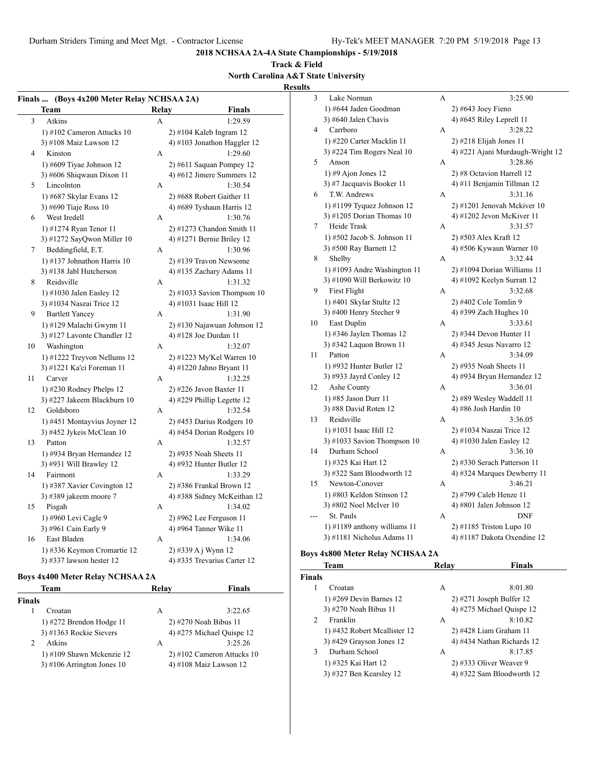**2018 NCHSAA 2A-4A State Championships - 5/19/2018**

# **Track & Field North Carolina A&T State University**

**Results**

|                | Finals  (Boys 4x200 Meter Relay NCHSAA 2A) |              |                               | 3             | Lake Norman                             | A     | 3:25.90                          |
|----------------|--------------------------------------------|--------------|-------------------------------|---------------|-----------------------------------------|-------|----------------------------------|
|                | <b>Team</b>                                | Relay        | <b>Finals</b>                 |               | 1) #644 Jaden Goodman                   |       | $2)$ #643 Joey Fieno             |
| 3              | Atkins                                     | A            | 1:29.59                       |               | 3) #640 Jalen Chavis                    |       | 4) #645 Riley Leprell $11$       |
|                | 1) #102 Cameron Attucks $10$               |              | $2)$ #104 Kaleb Ingram 12     | 4             | Carrboro                                | А     | 3:28.22                          |
|                | 3) #108 Maiz Lawson 12                     |              | 4) #103 Jonathon Haggler 12   |               | 1) #220 Carter Macklin 11               |       | $2)$ #218 Elijah Jones 11        |
| $\overline{4}$ | Kinston                                    | A            | 1:29.60                       |               | 3) #224 Tim Rogers Neal 10              |       | 4) #221 Ajani Murdaugh-Wright 12 |
|                | 1) #609 Tiyae Johnson $12$                 |              | $2)$ #611 Saquan Pompey 12    | 5             | Anson                                   | А     | 3:28.86                          |
|                | 3) #606 Shiqwaun Dixon 11                  |              | 4) #612 Jimere Summers 12     |               | 1) #9 Ajon Jones 12                     |       | 2) #8 Octavion Harrell 12        |
| 5              | Lincolnton                                 | A            | 1:30.54                       |               | 3) #7 Jacquavis Booker 11               |       | 4) #11 Benjamin Tillman 12       |
|                | 1) #687 Skylar Evans 12                    |              | 2) #688 Robert Gaither 11     | 6             | T.W. Andrews                            | А     | 3:31.16                          |
|                | 3) #690 Tiaje Ross 10                      |              | 4) #689 Tyshaun Harris 12     |               | 1) $\#1199$ Tyquez Johnson 12           |       | 2) #1201 Jenovah Mckiver 10      |
| 6              | West Iredell                               | A            | 1:30.76                       |               | 3) #1205 Dorian Thomas 10               |       | 4) #1202 Jevon McKiver 11        |
|                | 1) #1274 Ryan Tenor 11                     |              | $2)$ #1273 Chandon Smith 11   | 7             | Heide Trask                             | А     | 3:31.57                          |
|                | 3) #1272 SayQwon Miller 10                 |              | 4) #1271 Bernie Briley 12     |               | 1) #502 Jacob S. Johnson 11             |       | 2) #503 Alex Kraft 12            |
| 7              | Beddingfield, E.T.                         | A            | 1:30.96                       |               | 3) #500 Ray Barnett 12                  |       | 4) #506 Kywaun Warner 10         |
|                | 1) #137 Johnathon Harris $10$              |              | 2) #139 Travon Newsome        | 8             | Shelby                                  | A     | 3:32.44                          |
|                | 3) #138 Jabl Hutcherson                    |              | 4) #135 Zachary Adams 11      |               | 1) #1093 Andre Washington 11            |       | 2) #1094 Dorian Williams 11      |
| 8              | Reidsville                                 | A            | 1:31.32                       |               | 3) #1090 Will Berkowitz 10              |       | 4) #1092 Keelyn Surratt $12$     |
|                | 1) #1030 Jalen Easley 12                   |              | $2)$ #1033 Savion Thompson 10 | 9             | <b>First Flight</b>                     | A     | 3:32.68                          |
|                | 3) #1034 Naszai Trice 12                   |              | 4) #1031 Isaac Hill 12        |               | 1) #401 Skylar Stultz 12                |       | 2) #402 Cole Tomlin 9            |
| 9              | <b>Bartlett Yancey</b>                     | A            | 1:31.90                       |               | 3) #400 Henry Stecher 9                 |       | 4) #399 Zach Hughes 10           |
|                | 1) #129 Malachi Gwynn 11                   |              | 2) #130 Najawuan Johnson 12   | 10            | East Duplin                             | A     | 3:33.61                          |
|                | 3) #127 Lavonte Chandler 12                |              | 4) #128 Joe Durdan 11         |               | 1) #346 Jaylen Thomas $12$              |       | $2)$ #344 Devon Hunter 11        |
| 10             | Washington                                 | $\mathbf{A}$ | 1:32.07                       |               | 3) #342 Laquon Brown 11                 |       | 4) #345 Jesus Navarro 12         |
|                | 1) #1222 Treyvon Nellums 12                |              | 2) #1223 My'Kel Warren 10     | 11            | Patton                                  | A     | 3:34.09                          |
|                | 3) #1221 Ka'ci Foreman 11                  |              | 4) #1220 Jahno Bryant 11      |               | 1) #932 Hunter Butler 12                |       | 2) #935 Noah Sheets 11           |
| 11             | Carver                                     | A            | 1:32.25                       |               | 3) #933 Jayrd Conley 12                 |       | 4) #934 Bryan Hernandez 12       |
|                | 1) $#230$ Rodney Phelps 12                 |              | 2) #226 Javon Baxter 11       | 12            | Ashe County                             | A     | 3:36.01                          |
|                | 3) #227 Jakeem Blackburn 10                |              | 4) #229 Phillip Legette 12    |               | 1) #85 Jason Durr 11                    |       | 2) #89 Wesley Waddell 11         |
| 12             | Goldsboro                                  | $\mathbf{A}$ | 1:32.54                       |               | 3) #88 David Roten 12                   |       | 4) #86 Josh Hardin 10            |
|                | 1) #451 Montayvius Joyner 12               |              | 2) #453 Darius Rodgers 10     | 13            | Reidsville                              | A     | 3:36.05                          |
|                | 3) #452 Jykeis McClean 10                  |              | 4) #454 Dorian Rodgers 10     |               | 1) #1031 Isaac Hill 12                  |       | 2) #1034 Naszai Trice 12         |
| 13             | Patton                                     | A            | 1:32.57                       |               | 3) #1033 Savion Thompson 10             |       | 4) #1030 Jalen Easley 12         |
|                | 1) #934 Bryan Hernandez 12                 |              | 2) #935 Noah Sheets 11        | 14            | Durham School                           | A     | 3:36.10                          |
|                | 3) #931 Will Brawley 12                    |              | 4) #932 Hunter Butler 12      |               | 1) #325 Kai Hart 12                     |       | 2) #330 Serach Patterson 11      |
| 14             | Fairmont                                   | A            | 1:33.29                       |               | 3) #322 Sam Bloodworth 12               |       | 4) #324 Marques Dewberry 11      |
|                | 1) #387 Xavier Covington 12                |              | 2) #386 Frankal Brown 12      | 15            | Newton-Conover                          | А     | 3:46.21                          |
|                | 3) #389 jakeem moore $7$                   |              | 4) #388 Sidney McKeithan 12   |               | 1) #803 Keldon Stinson 12               |       | 2) #799 Caleb Henze 11           |
| 15             | Pisgah                                     | A            | 1:34.02                       |               | 3) #802 Noel McIver 10                  |       | 4) #801 Jalen Johnson $12$       |
|                | 1) #960 Levi Cagle 9                       |              | $2)$ #962 Lee Ferguson 11     | $\sim$        | St. Pauls                               | A     | <b>DNF</b>                       |
|                | 3) #961 Cain Early 9                       |              | 4) #964 Tanner Wike 11        |               | 1) $\#1189$ anthony williams 11         |       | 2) #1185 Triston Lupo 10         |
| 16             | East Bladen                                | A            | 1:34.06                       |               | 3) #1181 Nicholus Adams 11              |       | 4) #1187 Dakota Oxendine 12      |
|                | 1) #336 Keymon Cromartie 12                |              | 2) #339 A j Wynn 12           |               |                                         |       |                                  |
|                | 3) #337 lawson hester 12                   |              | 4) #335 Trevarius Carter 12   |               | <b>Boys 4x800 Meter Relay NCHSAA 2A</b> |       |                                  |
|                |                                            |              |                               |               | Team                                    | Relay | <b>Finals</b>                    |
|                | <b>Boys 4x400 Meter Relay NCHSAA 2A</b>    |              |                               | <b>Finals</b> |                                         |       |                                  |

# **Boys 4x400 Meter Relay NCHSAA 2A**

| Team                         | Relav | <b>Finals</b>                |
|------------------------------|-------|------------------------------|
| <b>Finals</b>                |       |                              |
| Croatan                      | А     | 3:22.65                      |
| 1) $\#272$ Brendon Hodge 11  |       | 2) #270 Noah Bibus 11        |
| 3) #1363 Rockie Sievers      |       | 4) #275 Michael Quispe 12    |
| Atkins                       | А     | 3:25.26                      |
| $1)$ #109 Shawn Mckenzie 12  |       | $2)$ #102 Cameron Attucks 10 |
| $3)$ #106 Arrington Jones 10 |       | 4) #108 Maiz Lawson $12$     |
|                              |       |                              |

| inals         |                              |   |                            |
|---------------|------------------------------|---|----------------------------|
|               | Croatan                      | А | 8:01.80                    |
|               | 1) #269 Devin Barnes $12$    |   | $2)$ #271 Joseph Bulfer 12 |
|               | 3) #270 Noah Bibus 11        |   | 4) #275 Michael Quispe 12  |
| $\mathcal{L}$ | Franklin                     | A | 8:10.82                    |
|               | 1) #432 Robert Mcallister 12 |   | $2)$ #428 Liam Graham 11   |
|               | $3)$ #429 Grayson Jones 12   |   | 4) #434 Nathan Richards 12 |
| 3             | Durham School                | A | 8:17.85                    |
|               | 1) #325 Kai Hart 12          |   | 2) #333 Oliver Weaver 9    |
|               | 3) #327 Ben Kearsley 12      |   | 4) #322 Sam Bloodworth 12  |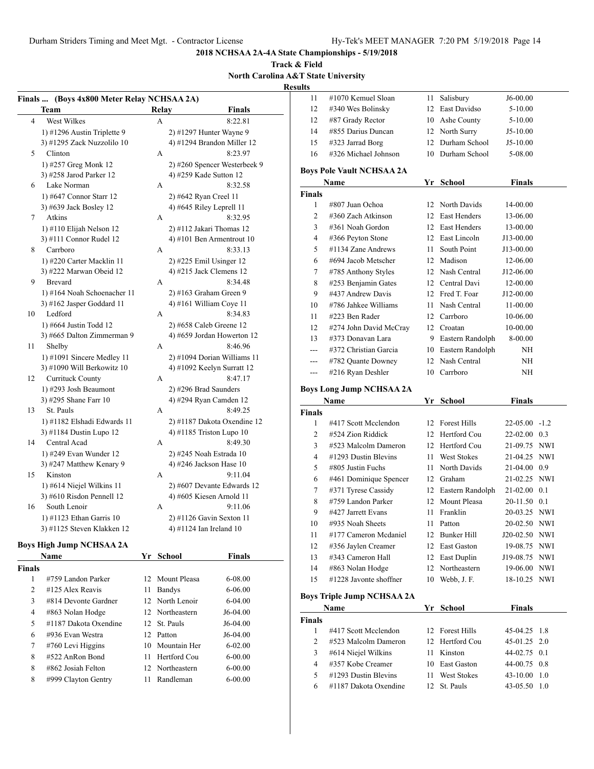# **Track & Field North Carolina A&T State University**

**Results**

|    | Finals  (Boys 4x800 Meter Relay NCHSAA 2A) |              |                              | 11            |
|----|--------------------------------------------|--------------|------------------------------|---------------|
|    | Team                                       | <b>Relay</b> | <b>Finals</b>                | 12            |
| 4  | West Wilkes                                | A            | 8:22.81                      | 12            |
|    | 1) #1296 Austin Triplette 9                |              | 2) #1297 Hunter Wayne 9      | 14            |
|    | 3) #1295 Zack Nuzzolilo 10                 |              | 4) #1294 Brandon Miller 12   | 15            |
| 5  | Clinton                                    | A            | 8:23.97                      | 16            |
|    | 1) #257 Greg Monk 12                       |              | 2) #260 Spencer Westerbeek 9 |               |
|    | 3) #258 Jarod Parker 12                    |              | 4) #259 Kade Sutton 12       | <b>Boys</b> I |
| 6  | Lake Norman                                | A            | 8:32.58                      |               |
|    | 1) #647 Connor Starr 12                    |              | 2) #642 Ryan Creel 11        | <b>Finals</b> |
|    | 3) #639 Jack Bosley 12                     |              | 4) #645 Riley Leprell $11$   |               |
| 7  | Atkins                                     | A            | 8:32.95                      |               |
|    | 1) #110 Elijah Nelson 12                   |              | $2)$ #112 Jakari Thomas 12   |               |
|    | 3) #111 Connor Rudel 12                    |              | 4) #101 Ben Armentrout 10    |               |
| 8  | Carrboro                                   | A            | 8:33.13                      |               |
|    | 1) #220 Carter Macklin 11                  |              | 2) #225 Emil Usinger 12      |               |
|    | 3) #222 Marwan Obeid 12                    |              | 4) #215 Jack Clemens 12      |               |
| 9  | <b>Brevard</b>                             | A            | 8:34.48                      |               |
|    | 1) #164 Noah Schoenacher 11                |              | $2)$ #163 Graham Green 9     |               |
|    | 3) $#162$ Jasper Goddard 11                |              | 4) #161 William Coye 11      | 10            |
| 10 | Ledford                                    | A            | 8:34.83                      |               |
|    | 1) #664 Justin Todd 12                     |              | 2) #658 Caleb Greene 12      | 12            |
|    | 3) #665 Dalton Zimmerman 9                 |              | 4) #659 Jordan Howerton 12   |               |
| 11 | Shelby                                     | A            | 8:46.96                      | 13            |
|    | 1) #1091 Sincere Medley 11                 |              | 2) #1094 Dorian Williams 11  |               |
|    | 3) #1090 Will Berkowitz 10                 |              | 4) #1092 Keelyn Surratt 12   |               |
| 12 | Currituck County                           | A            | 8:47.17                      | ---           |
|    | 1) #293 Josh Beaumont                      |              | 2) #296 Brad Saunders        | <b>Boys</b> I |
|    | 3) #295 Shane Farr 10                      |              | 4) #294 Ryan Camden 12       |               |
| 13 | St. Pauls                                  | A            | 8:49.25                      | <b>Finals</b> |
|    | 1) #1182 Elshadi Edwards 11                |              | 2) #1187 Dakota Oxendine 12  |               |
|    | 3) #1184 Dustin Lupo 12                    |              | 4) #1185 Triston Lupo 10     |               |
| 14 | Central Acad                               | A            | 8:49.30                      |               |
|    | 1) #249 Evan Wunder 12                     |              | 2) #245 Noah Estrada 10      |               |
|    | 3) #247 Matthew Kenary 9                   |              | 4) #246 Jackson Hase 10      |               |
| 15 | Kinston                                    | A            | 9:11.04                      |               |
|    | 1) #614 Niejel Wilkins 11                  |              | 2) #607 Devante Edwards 12   |               |
|    | 3) #610 Risdon Pennell 12                  |              | 4) #605 Kiesen Arnold 11     |               |
| 16 | South Lenoir                               | A            | 9:11.06                      |               |
|    | 1) #1123 Ethan Garris 10                   |              | 2) #1126 Gavin Sexton 11     |               |
|    | 3) #1125 Steven Klakken 12                 |              | 4) #1124 Ian Ireland 10      | 10            |
|    |                                            |              |                              | 11            |

# **Boys High Jump NCHSAA 2A**

|               | <b>Name</b>             |    | Yr School       | <b>Finals</b> |
|---------------|-------------------------|----|-----------------|---------------|
| <b>Finals</b> |                         |    |                 |               |
| 1             | #759 Landon Parker      |    | 12 Mount Pleasa | $6 - 08.00$   |
| 2             | #125 Alex Reavis        | 11 | Bandys          | $6 - 06.00$   |
| 3             | $\#814$ Devonte Gardner |    | 12 North Lenoir | $6 - 04.00$   |
| 4             | #863 Nolan Hodge        |    | 12 Northeastern | $J6-04.00$    |
| 5             | #1187 Dakota Oxendine   |    | 12 St. Pauls    | $J6-04.00$    |
| 6             | #936 Evan Westra        |    | 12 Patton       | $J6-04.00$    |
| 7             | $#760$ Levi Higgins     |    | 10 Mountain Her | $6 - 02.00$   |
| 8             | #522 AnRon Bond         | 11 | Hertford Cou    | $6 - 00.00$   |
| 8             | $\#862$ Josiah Felton   |    | 12 Northeastern | $6 - 00.00$   |
| 8             | #999 Clayton Gentry     | 11 | Randleman       | $6 - 00.00$   |

| 11     | #1070 Kemuel Sloan               | 11  | Salisbury          | J6-00.00      |  |
|--------|----------------------------------|-----|--------------------|---------------|--|
| 12     | #340 Wes Bolinsky                |     | 12 East Davidso    | 5-10.00       |  |
| 12     | #87 Grady Rector                 | 10  | Ashe County        | 5-10.00       |  |
| 14     | #855 Darius Duncan               |     | 12 North Surry     | $J5-10.00$    |  |
| 15     | #323 Jarrad Borg                 | 12  | Durham School      | $J5-10.00$    |  |
| 16     | #326 Michael Johnson             | 10  | Durham School      | 5-08.00       |  |
|        | <b>Boys Pole Vault NCHSAA 2A</b> |     |                    |               |  |
|        | Name                             | Yr  | School             | <b>Finals</b> |  |
| Finals |                                  |     |                    |               |  |
| 1      | #807 Juan Ochoa                  |     | 12 North Davids    | 14-00.00      |  |
| 2      | #360 Zach Atkinson               | 12  | East Henders       | 13-06.00      |  |
| 3      | #361 Noah Gordon                 | 12  | East Henders       | 13-00.00      |  |
| 4      | #366 Peyton Stone                | 12  | East Lincoln       | J13-00.00     |  |
| 5      | #1134 Zane Andrews               | 11. | South Point        | J13-00.00     |  |
| 6      | #694 Jacob Metscher              | 12  | Madison            | 12-06.00      |  |
| 7      | #785 Anthony Styles              |     | 12 Nash Central    | J12-06.00     |  |
| 8      | #253 Benjamin Gates              |     | 12 Central Davi    | 12-00.00      |  |
| 9      | #437 Andrew Davis                |     | 12 Fred T. Foar    | J12-00.00     |  |
| 10     | #786 Jahkee Williams             | 11  | Nash Central       | 11-00.00      |  |
| 11     | #223 Ben Rader                   | 12  | Carrboro           | 10-06.00      |  |
| 12     | #274 John David McCray           | 12  | Croatan            | 10-00.00      |  |
| 13     | #373 Donavan Lara                |     | 9 Eastern Randolph | 8-00.00       |  |
|        | #372 Christian Garcia            | 10  | Eastern Randolph   | NH            |  |
| ---    | #782 Quante Downey               | 12  | Nash Central       | NH            |  |
|        | #216 Rvan Deshler                | 10  | Carrboro           | NΗ            |  |

#### **Boys Long Jump NCHSAA 2A**

|                | Name                      |    | Yr School          | Finals             |     |
|----------------|---------------------------|----|--------------------|--------------------|-----|
| Finals         |                           |    |                    |                    |     |
| 1              | #417 Scott Mcclendon      |    | 12 Forest Hills    | $22 - 05.00 - 1.2$ |     |
| $\overline{c}$ | $#524$ Zion Riddick       | 12 | Hertford Cou       | $22 - 02.00$ 0.3   |     |
| 3              | #523 Malcolm Dameron      | 12 | Hertford Cou       | 21-09.75 NWI       |     |
| $\overline{4}$ | $\#1293$ Dustin Blevins   | 11 | <b>West Stokes</b> | 21-04.25 NWI       |     |
| 5              | #805 Justin Fuchs         | 11 | North Davids       | 21-04.00 0.9       |     |
| 6              | #461 Dominique Spencer    | 12 | Graham             | 21-02.25 NWI       |     |
| 7              | #371 Tyrese Cassidy       | 12 | Eastern Randolph   | $21-02.00$ 0.1     |     |
| 8              | #759 Landon Parker        | 12 | Mount Pleasa       | 20-11.50 0.1       |     |
| 9              | #427 Jarrett Evans        | 11 | Franklin           | 20-03.25 NWI       |     |
| 10             | #935 Noah Sheets          | 11 | Patton             | 20-02.50 NWI       |     |
| 11             | #177 Cameron Mcdaniel     | 12 | Bunker Hill        | J20-02.50 NWI      |     |
| 12             | #356 Jaylen Creamer       | 12 | East Gaston        | 19-08.75 NWI       |     |
| 13             | #343 Cameron Hall         | 12 | East Duplin        | J19-08.75 NWI      |     |
| 14             | #863 Nolan Hodge          | 12 | Northeastern       | 19-06.00           | NWI |
| 15             | $\#1228$ Javonte shoffner | 10 | Webb, J.F.         | 18-10.25 NWI       |     |
|                |                           |    |                    |                    |     |

# **Boys Triple Jump NCHSAA 2A**

| <b>Name</b>    |                       |     | Yr School          | <b>Finals</b>  |      |
|----------------|-----------------------|-----|--------------------|----------------|------|
| Finals         |                       |     |                    |                |      |
|                | #417 Scott Mcclendon  |     | 12 Forest Hills    | $45-04.25$ 1.8 |      |
| $\mathfrak{D}$ | #523 Malcolm Dameron  |     | 12 Hertford Cou    | $45-01.25$ 2.0 |      |
| 3              | #614 Niejel Wilkins   | 11. | Kinston            | $44-02.75$ 0.1 |      |
| 4              | #357 Kobe Creamer     |     | 10 East Gaston     | $44-00.75$ 0.8 |      |
| 5              | #1293 Dustin Blevins  | 11. | <b>West Stokes</b> | $43 - 10.00$   | -1.0 |
| 6              | #1187 Dakota Oxendine |     | 12 St. Pauls       | 43-05.50       | -1.0 |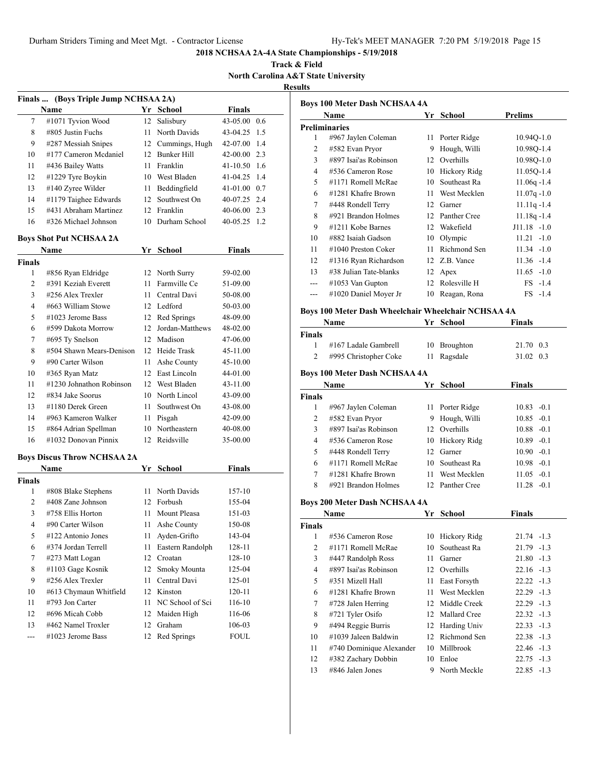**Track & Field North Carolina A&T State University Results**

| Finals  (Boys Triple Jump NCHSAA 2A) |                                    |      |                    |                |     |  |  |
|--------------------------------------|------------------------------------|------|--------------------|----------------|-----|--|--|
|                                      | Name                               |      | Yr School          | <b>Finals</b>  |     |  |  |
| 7                                    | #1071 Tyvion Wood                  | 12   | Salisbury          | 43-05.00 0.6   |     |  |  |
| 8                                    | #805 Justin Fuchs                  |      | 11 North Davids    | 43-04.25       | 1.5 |  |  |
| 9                                    | #287 Messiah Snipes                |      | 12 Cummings, Hugh  | 42-07.00       | 1.4 |  |  |
| 10                                   | #177 Cameron Mcdaniel              |      | 12 Bunker Hill     | 42-00.00 2.3   |     |  |  |
| 11                                   | #436 Bailey Watts                  | 11   | Franklin           | 41-10.50 1.6   |     |  |  |
| 12                                   | #1229 Tyre Boykin                  |      | 10 West Bladen     | 41-04.25       | 1.4 |  |  |
| 13                                   | #140 Zyree Wilder                  | 11 - | Beddingfield       | 41-01.00 0.7   |     |  |  |
| 14                                   | #1179 Taighee Edwards              | 12   | Southwest On       | 40-07.25 2.4   |     |  |  |
| 15                                   | #431 Abraham Martinez              |      | 12 Franklin        | 40-06.00 2.3   |     |  |  |
| 16                                   | #326 Michael Johnson               |      | 10 Durham School   | $40-05.25$ 1.2 |     |  |  |
|                                      | <b>Boys Shot Put NCHSAA 2A</b>     |      |                    |                |     |  |  |
|                                      | Name                               |      | Yr School          | <b>Finals</b>  |     |  |  |
| <b>Finals</b>                        |                                    |      |                    |                |     |  |  |
| 1                                    | #856 Ryan Eldridge                 |      | 12 North Surry     | 59-02.00       |     |  |  |
| $\overline{c}$                       | #391 Keziah Everett                | 11 - | Farmville Ce       | 51-09.00       |     |  |  |
| 3                                    | #256 Alex Trexler                  | 11 - | Central Davi       | 50-08.00       |     |  |  |
| 4                                    | #663 William Stowe                 |      | 12 Ledford         | 50-03.00       |     |  |  |
| 5                                    | $\#1023$ Jerome Bass               |      | 12 Red Springs     | 48-09.00       |     |  |  |
| 6                                    | #599 Dakota Morrow                 |      | 12 Jordan-Matthews | 48-02.00       |     |  |  |
| 7                                    | #695 Ty Snelson                    |      | 12 Madison         | 47-06.00       |     |  |  |
| 8                                    | #504 Shawn Mears-Denison           |      | 12 Heide Trask     | 45-11.00       |     |  |  |
| 9                                    | #90 Carter Wilson                  | 11 - | Ashe County        | 45-10.00       |     |  |  |
| 10                                   | #365 Ryan Matz                     |      | 12 East Lincoln    | 44-01.00       |     |  |  |
| 11                                   | #1230 Johnathon Robinson           |      | 12 West Bladen     | 43-11.00       |     |  |  |
| 12                                   | #834 Jake Soorus                   |      | 10 North Lincol    | 43-09.00       |     |  |  |
| 13                                   | #1180 Derek Green                  | 11.  | Southwest On       | 43-08.00       |     |  |  |
| 14                                   | #963 Kameron Walker                |      | 11 Pisgah          | 42-09.00       |     |  |  |
| 15                                   | #864 Adrian Spellman               |      | 10 Northeastern    | 40-08.00       |     |  |  |
| 16                                   | #1032 Donovan Pinnix               |      | 12 Reidsville      | 35-00.00       |     |  |  |
|                                      | <b>Boys Discus Throw NCHSAA 2A</b> |      |                    |                |     |  |  |
|                                      | Name                               |      | Yr School          | <b>Finals</b>  |     |  |  |
| <b>Finals</b>                        |                                    |      |                    |                |     |  |  |
| 1                                    | #808 Blake Stephens                | 11 - | North Davids       | 157-10         |     |  |  |
| $\overline{c}$                       | #408 Zane Johnson                  |      | 12 Forbush         | 155-04         |     |  |  |
| 3                                    | #758 Ellis Horton                  | 11 - | Mount Pleasa       | 151-03         |     |  |  |
| 4                                    | #90 Carter Wilson                  | 11   | Ashe County        | 150-08         |     |  |  |
| 5                                    | #122 Antonio Jones                 | 11   | Ayden-Grifto       | 143-04         |     |  |  |
| 6                                    | #374 Jordan Terrell                | 11   | Eastern Randolph   | 128-11         |     |  |  |
| 7                                    | #273 Matt Logan                    | 12   | Croatan            | 128-10         |     |  |  |
| 8                                    | #1103 Gage Kosnik                  | 12   | Smoky Mounta       | 125-04         |     |  |  |
| 9                                    | #256 Alex Trexler                  | 11   | Central Davi       | 125-01         |     |  |  |
| 10                                   | #613 Chymaun Whitfield             | 12   | Kinston            | 120-11         |     |  |  |
| 11                                   | #793 Jon Carter                    | 11   | NC School of Sci   | 116-10         |     |  |  |
| 12                                   | #696 Micah Cobb                    | 12   | Maiden High        | 116-06         |     |  |  |
| 13                                   | #462 Namel Troxler                 | 12   | Graham             | 106-03         |     |  |  |
| ---                                  | #1023 Jerome Bass                  | 12   | Red Springs        | <b>FOUL</b>    |     |  |  |
|                                      |                                    |      |                    |                |     |  |  |

|                          | Name                   | Yr | School       | Prelims        |
|--------------------------|------------------------|----|--------------|----------------|
|                          | <b>Preliminaries</b>   |    |              |                |
| 1                        | #967 Jaylen Coleman    | 11 | Porter Ridge | 10.94Q-1.0     |
| 2                        | #582 Evan Pryor        | 9  | Hough, Willi | 10.980-1.4     |
| 3                        | #897 Isai'as Robinson  | 12 | Overhills    | 10.98Q-1.0     |
| 4                        | #536 Cameron Rose      | 10 | Hickory Ridg | 11.05Q-1.4     |
| $\overline{\phantom{0}}$ | #1171 Romell McRae     | 10 | Southeast Ra | $11.06q - 1.4$ |
| 6                        | $\#1281$ Khafre Brown  | 11 | West Mecklen | $11.07q - 1.0$ |
| 7                        | #448 Rondell Terry     | 12 | Garner       | $11.11q - 1.4$ |
| 8                        | #921 Brandon Holmes    | 12 | Panther Cree | $11.18q - 1.4$ |
| 9                        | $\#1211$ Kobe Barnes   | 12 | Wakefield    | $J11.18 - 1.0$ |
| 10                       | #882 Isaiah Gadson     | 10 | Olympic      | $11.21 - 1.0$  |
| 11                       | $\#1040$ Preston Coker | 11 | Richmond Sen | $11.34 - 1.0$  |
| 12                       | #1316 Ryan Richardson  | 12 | Z.B. Vance   | $11.36 - 1.4$  |
| 13                       | #38 Julian Tate-blanks | 12 | Apex         | $11.65 - 1.0$  |
|                          | $\#1053$ Van Gupton    | 12 | Rolesville H | $FS -1.4$      |
| ---                      | #1020 Daniel Moyer Jr  | 10 | Reagan, Rona | $FS -1.4$      |

# **Boys 100 Meter Dash Wheelchair Wheelchair NCHSAA 4A**

|               | Name                                 |    | Yr School    | <b>Finals</b>   |
|---------------|--------------------------------------|----|--------------|-----------------|
| <b>Finals</b> |                                      |    |              |                 |
|               | #167 Ladale Gambrell                 | 10 | Broughton    | 21.70 0.3       |
| 2             | #995 Christopher Coke                | 11 | Ragsdale     | 31.02 0.3       |
|               | <b>Boys 100 Meter Dash NCHSAA 4A</b> |    |              |                 |
| <b>Name</b>   |                                      |    | Yr School    | <b>Finals</b>   |
| <b>Finals</b> |                                      |    |              |                 |
|               | #967 Jaylen Coleman                  | 11 | Porter Ridge | $-0.1$<br>10.83 |

|    | $\pi$ <i>j</i> $\theta$ / <i>ja</i> yieli Coleman | 11 TURKI KRIST  | 10.0 <i>J</i> - 0.1 |  |
|----|---------------------------------------------------|-----------------|---------------------|--|
| 2  | #582 Evan Pryor                                   | 9 Hough, Willi  | $10.85 - 0.1$       |  |
| 3  | #897 Isai'as Robinson                             | 12 Overhills    | $10.88 - 0.1$       |  |
| 4  | #536 Cameron Rose                                 | 10 Hickory Ridg | $10.89 - 0.1$       |  |
| 5. | #448 Rondell Terry                                | 12 Garner       | $10.90 - 0.1$       |  |
| 6  | #1171 Romell McRae                                | 10 Southeast Ra | $10.98 - 0.1$       |  |
|    | #1281 Khafre Brown                                | 11 West Mecklen | $11.05 - 0.1$       |  |
| 8  | #921 Brandon Holmes                               | 12 Panther Cree | $11.28 - 0.1$       |  |
|    |                                                   |                 |                     |  |

# **Boys 200 Meter Dash NCHSAA 4A**

|               | Name                     | Yr | <b>School</b>   | <b>Finals</b> |
|---------------|--------------------------|----|-----------------|---------------|
| <b>Finals</b> |                          |    |                 |               |
| 1             | #536 Cameron Rose        | 10 | Hickory Ridg    | $21.74 - 1.3$ |
| 2             | #1171 Romell McRae       | 10 | Southeast Ra    | $21.79 - 1.3$ |
| 3             | #447 Randolph Ross       | 11 | Garner          | $21.80 -1.3$  |
| 4             | #897 Isai'as Robinson    |    | 12 Overhills    | $22.16 - 1.3$ |
| 5             | #351 Mizell Hall         | 11 | East Forsyth    | $22.22 - 1.3$ |
| 6             | #1281 Khafre Brown       | 11 | West Mecklen    | $22.29 -1.3$  |
| 7             | $#728$ Jalen Herring     |    | 12 Middle Creek | $22.29 -1.3$  |
| 8             | #721 Tyler Osifo         |    | 12 Mallard Cree | $22.32 -1.3$  |
| 9             | #494 Reggie Burris       |    | 12 Harding Univ | $22.33 - 1.3$ |
| 10            | #1039 Jaleen Baldwin     |    | 12 Richmond Sen | $22.38 - 1.3$ |
| 11            | #740 Dominique Alexander | 10 | Millbrook       | $22.46 - 1.3$ |
| 12            | #382 Zachary Dobbin      | 10 | Enloe           | $22.75 - 1.3$ |
| 13            | #846 Jalen Jones         | 9  | North Meckle    | $22.85 - 1.3$ |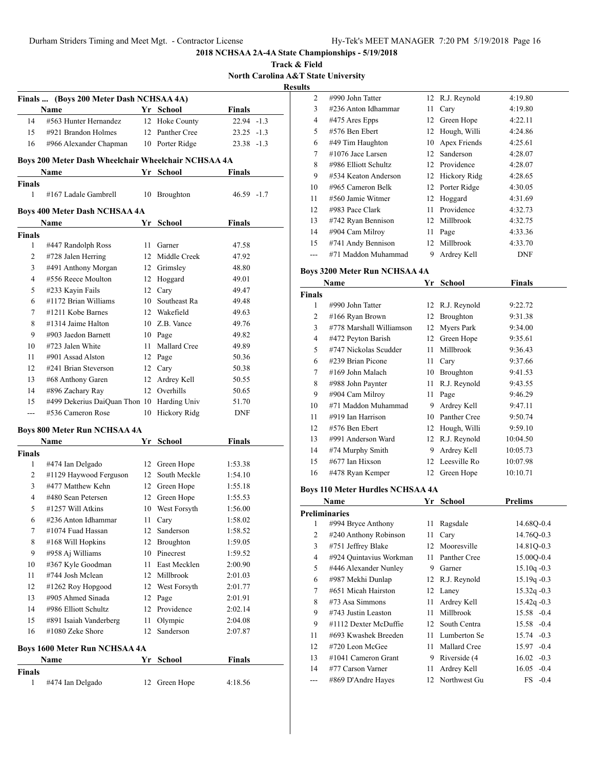**Track & Field North Carolina A&T State University Results**

|                    | Finals  (Boys 200 Meter Dash NCHSAA 4A)             |      |                                 |                     |
|--------------------|-----------------------------------------------------|------|---------------------------------|---------------------|
|                    | Name                                                |      | Yr School                       | Finals              |
| 14                 | #563 Hunter Hernandez                               |      | 12 Hoke County                  | $22.94 -1.3$        |
| 15                 | #921 Brandon Holmes                                 |      | 12 Panther Cree                 | $23.25 -1.3$        |
| 16                 | #966 Alexander Chapman                              |      | 10 Porter Ridge                 | 23.38 -1.3          |
|                    | Boys 200 Meter Dash Wheelchair Wheelchair NCHSAA 4A |      |                                 |                     |
|                    | Name                                                |      | Yr School                       | Finals              |
| <b>Finals</b><br>1 | #167 Ladale Gambrell                                |      | 10 Broughton                    | $46.59 - 1.7$       |
|                    | <b>Boys 400 Meter Dash NCHSAA 4A</b>                |      |                                 |                     |
|                    | Name                                                |      | Yr School                       | <b>Finals</b>       |
| <b>Finals</b>      |                                                     |      |                                 |                     |
| 1                  | #447 Randolph Ross                                  | 11 - | Garner                          | 47.58               |
| 2                  | #728 Jalen Herring                                  |      | 12 Middle Creek                 | 47.92               |
| 3                  | #491 Anthony Morgan                                 |      | 12 Grimsley                     | 48.80               |
| 4<br>5             | #556 Reece Moulton                                  |      | 12 Hoggard                      | 49.01               |
|                    | #233 Kayin Fails                                    |      | 12 Cary                         | 49.47               |
| 6<br>7             | #1172 Brian Williams<br>#1211 Kobe Barnes           |      | 10 Southeast Ra<br>12 Wakefield | 49.48<br>49.63      |
| 8                  | #1314 Jaime Halton                                  |      | 10 Z.B. Vance                   | 49.76               |
| 9                  | #903 Jaedon Barnett                                 |      |                                 |                     |
| 10                 | #723 Jalen White                                    |      | 10 Page<br>11 Mallard Cree      | 49.82<br>49.89      |
| 11                 | #901 Assad Alston                                   |      |                                 |                     |
|                    | #241 Brian Steverson                                |      | 12 Page                         | 50.36               |
| 12                 |                                                     |      | 12 Cary                         | 50.38               |
| 13<br>14           | #68 Anthony Garen                                   |      | 12 Ardrey Kell<br>12 Overhills  | 50.55               |
|                    | #896 Zachary Ray                                    |      |                                 | 50.65               |
| 15<br>$---$        | #499 Dekerius DaiQuan Thon 10<br>#536 Cameron Rose  | 10   | Harding Univ<br>Hickory Ridg    | 51.70<br><b>DNF</b> |
|                    |                                                     |      |                                 |                     |
|                    | <b>Boys 800 Meter Run NCHSAA 4A</b>                 |      |                                 |                     |
| <b>Finals</b>      | Name                                                |      | Yr School                       | <b>Finals</b>       |
| 1                  | #474 Ian Delgado                                    |      | 12 Green Hope                   | 1:53.38             |
| 2                  | #1129 Haywood Ferguson                              |      | 12 South Meckle                 | 1:54.10             |
| 3                  | #477 Matthew Kehn                                   |      | 12 Green Hope                   | 1:55.18             |
| 4                  | #480 Sean Petersen                                  | 12   | Green Hope                      | 1:55.53             |
| 5                  | #1257 Will Atkins                                   |      | 10 West Forsyth                 | 1:56.00             |
| 6                  | #236 Anton Idhammar                                 | 11   | Cary                            | 1:58.02             |
| 7                  | #1074 Fuad Hassan                                   | 12   | Sanderson                       | 1:58.52             |
| 8                  | #168 Will Hopkins                                   | 12   | Broughton                       | 1:59.05             |
| 9                  | #958 Aj Williams                                    |      | 10 Pinecrest                    | 1:59.52             |
| 10                 | #367 Kyle Goodman                                   | 11   | East Mecklen                    | 2:00.90             |
| 11                 | #744 Josh Mclean                                    |      | 12 Millbrook                    | 2:01.03             |
| 12                 | #1262 Roy Hopgood                                   |      | 12 West Forsyth                 | 2:01.77             |
| 13                 | #905 Ahmed Sinada                                   |      | 12 Page                         | 2:01.91             |
| 14                 | #986 Elliott Schultz                                |      | 12 Providence                   | 2:02.14             |
| 15                 | #891 Isaiah Vanderberg                              | 11   | Olympic                         | 2:04.08             |
| 16                 | #1080 Zeke Shore                                    | 12   | Sanderson                       | 2:07.87             |
|                    |                                                     |      |                                 |                     |
|                    | <b>Boys 1600 Meter Run NCHSAA 4A</b><br>Name        | Yr   | <b>School</b>                   | <b>Finals</b>       |
| <b>Finals</b>      |                                                     |      |                                 |                     |
| 1                  | #474 Ian Delgado                                    | 12   | Green Hope                      | 4:18.56             |

| 2  | #990 John Tatter     |    | 12 R.J. Reynold | 4:19.80    |
|----|----------------------|----|-----------------|------------|
| 3  | #236 Anton Idhammar  | 11 | Cary            | 4:19.80    |
| 4  | #475 Ares Epps       | 12 | Green Hope      | 4:22.11    |
| 5  | #576 Ben Ebert       | 12 | Hough, Willi    | 4:24.86    |
| 6  | #49 Tim Haughton     | 10 | Apex Friends    | 4:25.61    |
| 7  | #1076 Jace Larsen    | 12 | Sanderson       | 4:28.07    |
| 8  | #986 Elliott Schultz |    | 12 Providence   | 4:28.07    |
| 9  | #534 Keaton Anderson | 12 | Hickory Ridg    | 4:28.65    |
| 10 | #965 Cameron Belk    | 12 | Porter Ridge    | 4:30.05    |
| 11 | #560 Jamie Witmer    |    | 12 Hoggard      | 4:31.69    |
| 12 | #983 Pace Clark      | 11 | Providence      | 4:32.73    |
| 13 | #742 Ryan Bennison   |    | 12 Millbrook    | 4:32.75    |
| 14 | #904 Cam Milroy      | 11 | Page            | 4:33.36    |
| 15 | #741 Andy Bennison   | 12 | Millbrook       | 4:33.70    |
|    | #71 Maddon Muhammad  | 9  | Ardrey Kell     | <b>DNF</b> |
|    |                      |    |                 |            |

#### **Boys 3200 Meter Run NCHSAA 4A**

|        | Name                     |    | Yr School        | Finals   |  |  |  |
|--------|--------------------------|----|------------------|----------|--|--|--|
| Finals |                          |    |                  |          |  |  |  |
| 1      | #990 John Tatter         |    | 12 R.J. Reynold  | 9:22.72  |  |  |  |
| 2      | #166 Ryan Brown          |    | 12 Broughton     | 9:31.38  |  |  |  |
| 3      | #778 Marshall Williamson |    | 12 Myers Park    | 9:34.00  |  |  |  |
| 4      | #472 Peyton Barish       | 12 | Green Hope       | 9:35.61  |  |  |  |
| 5      | #747 Nickolas Scudder    | 11 | Millbrook        | 9:36.43  |  |  |  |
| 6      | #239 Brian Picone        | 11 | Cary             | 9:37.66  |  |  |  |
| 7      | #169 John Malach         | 10 | <b>Broughton</b> | 9:41.53  |  |  |  |
| 8      | #988 John Paynter        | 11 | R.J. Reynold     | 9:43.55  |  |  |  |
| 9      | #904 Cam Milroy          | 11 | Page             | 9:46.29  |  |  |  |
| 10     | #71 Maddon Muhammad      | 9  | Ardrey Kell      | 9:47.11  |  |  |  |
| 11     | #919 Ian Harrison        | 10 | Panther Cree     | 9:50.74  |  |  |  |
| 12     | #576 Ben Ebert           | 12 | Hough, Willi     | 9:59.10  |  |  |  |
| 13     | #991 Anderson Ward       |    | 12 R.J. Reynold  | 10:04.50 |  |  |  |
| 14     | #74 Murphy Smith         | 9  | Ardrey Kell      | 10:05.73 |  |  |  |
| 15     | $\#677$ Ian Hixson       |    | 12 Leesville Ro  | 10:07.98 |  |  |  |
| 16     | #478 Ryan Kemper         | 12 | Green Hope       | 10:10.71 |  |  |  |

#### **Boys 110 Meter Hurdles NCHSAA 4A**

|                | Name                    | Yr           | School          | <b>Prelims</b>  |
|----------------|-------------------------|--------------|-----------------|-----------------|
|                | <b>Preliminaries</b>    |              |                 |                 |
| 1              | #994 Bryce Anthony      | 11           | Ragsdale        | 14.68Q-0.4      |
| $\overline{c}$ | #240 Anthony Robinson   | 11           | Cary            | 14.76Q-0.3      |
| 3              | #751 Jeffrey Blake      | 12           | Mooresville     | 14.81Q-0.3      |
| 4              | #924 Quintavius Workman | 11           | Panther Cree    | 15.00O-0.4      |
| 5              | #446 Alexander Nunley   | 9            | Garner          | $15.10q - 0.3$  |
| 6              | #987 Mekhi Dunlap       |              | 12 R.J. Reynold | $15.19q - 0.3$  |
| 7              | #651 Micah Hairston     |              | 12 Laney        | $15.32q - 0.3$  |
| 8              | $#73$ Asa Simmons       | 11           | Ardrey Kell     | $15.42q - 0.3$  |
| 9              | $\#743$ Justin Leaston  | 11           | Millbrook       | 15.58 -0.4      |
| 9              | #1112 Dexter McDuffie   | $12^{\circ}$ | South Centra    | 15.58 -0.4      |
| 11             | #693 Kwashek Breeden    | 11           | Lumberton Se    | 15.74 - 0.3     |
| 12             | #720 Leon McGee         | 11           | Mallard Cree    | $-0.4$<br>15.97 |
| 13             | $\#1041$ Cameron Grant  | 9            | Riverside (4    | $16.02 -0.3$    |
| 14             | #77 Carson Varner       | 11           | Ardrey Kell     | $16.05 -0.4$    |
| ---            | #869 D'Andre Hayes      |              | 12 Northwest Gu | $FS -0.4$       |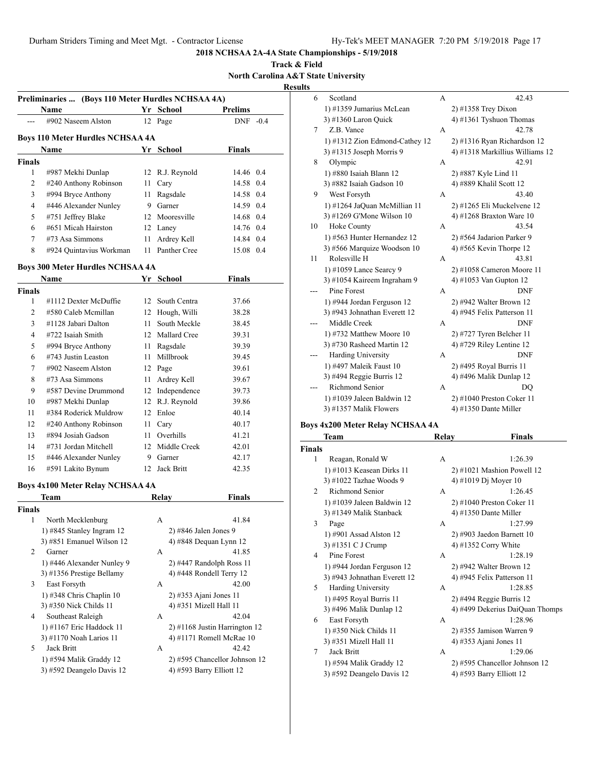**Track & Field North Carolina A&T State University**

**Results**

|               | Preliminaries  (Boys 110 Meter Hurdles NCHSAA 4A) |    |                 |            |  |
|---------------|---------------------------------------------------|----|-----------------|------------|--|
|               | Name                                              |    | Yr School       | Prelims    |  |
|               | #902 Naseem Alston                                |    | 12 Page         | $DNF -0.4$ |  |
|               | Boys 110 Meter Hurdles NCHSAA 4A                  |    |                 |            |  |
|               | <b>Name</b>                                       | Yr | School          | Finals     |  |
| <b>Finals</b> |                                                   |    |                 |            |  |
| 1             | #987 Mekhi Dunlap                                 |    | 12 R.J. Reynold | 14.46 0.4  |  |
| 2             | #240 Anthony Robinson                             | 11 | Cary            | 14.58 0.4  |  |
| 3             | #994 Bryce Anthony                                | 11 | Ragsdale        | 14.58 0.4  |  |
| 4             | #446 Alexander Nunley                             | 9  | Garner          | 14.59 0.4  |  |
| 5             | #751 Jeffrey Blake                                |    | 12 Mooresville  | 14.68 0.4  |  |
| 6             | #651 Micah Hairston                               |    | 12 Laney        | 14.76 0.4  |  |
| 7             | $#73$ Asa Simmons                                 | 11 | Ardrey Kell     | 14.84 0.4  |  |
| 8             | #924 Quintavius Workman                           | 11 | Panther Cree    | 15.08 0.4  |  |
|               | <b>Boys 300 Meter Hurdles NCHSAA 4A</b>           |    |                 |            |  |
|               | <b>Name</b>                                       | Yr | School          | Finals     |  |

|        | гуаше                 | YГ              | эспоог          | г шагу |  |
|--------|-----------------------|-----------------|-----------------|--------|--|
| Finals |                       |                 |                 |        |  |
| 1      | #1112 Dexter McDuffie | 12 <sub>1</sub> | South Centra    | 37.66  |  |
| 2      | #580 Caleb Mcmillan   | 12              | Hough, Willi    | 38.28  |  |
| 3      | #1128 Jabari Dalton   | 11              | South Meckle    | 38.45  |  |
| 4      | #722 Isaiah Smith     |                 | 12 Mallard Cree | 39.31  |  |
| 5      | #994 Bryce Anthony    | 11              | Ragsdale        | 39.39  |  |
| 6      | #743 Justin Leaston   | 11              | Millbrook       | 39.45  |  |
| 7      | #902 Naseem Alston    | 12              | Page            | 39.61  |  |
| 8      | #73 Asa Simmons       | 11              | Ardrey Kell     | 39.67  |  |
| 9      | #587 Devine Drummond  | 12              | Independence    | 39.73  |  |
| 10     | #987 Mekhi Dunlap     | 12              | R.J. Reynold    | 39.86  |  |
| 11     | #384 Roderick Muldrow | 12              | Enloe           | 40.14  |  |
| 12     | #240 Anthony Robinson | 11              | Cary            | 40.17  |  |
| 13     | #894 Josiah Gadson    | 11              | Overhills       | 41.21  |  |
| 14     | #731 Jordan Mitchell  | 12              | Middle Creek    | 42.01  |  |
| 15     | #446 Alexander Nunley | 9               | Garner          | 42.17  |  |
| 16     | #591 Lakito Bynum     | 12              | Jack Britt      | 42.35  |  |

# **Boys 4x100 Meter Relay NCHSAA 4A**

|                | Team                         | Relav | <b>Finals</b>                   |
|----------------|------------------------------|-------|---------------------------------|
| <b>Finals</b>  |                              |       |                                 |
| 1              | North Mecklenburg            | A     | 41.84                           |
|                | 1) #845 Stanley Ingram 12    |       | $2)$ #846 Jalen Jones 9         |
|                | $3)$ #851 Emanuel Wilson 12  |       | 4) #848 Dequan Lynn 12          |
| $\mathfrak{D}$ | Garner                       | A     | 41.85                           |
|                | 1) #446 Alexander Nunley 9   |       | $2)$ #447 Randolph Ross 11      |
|                | 3) #1356 Prestige Bellamy    |       | 4) $\#448$ Rondell Terry 12     |
| 3              | East Forsyth                 | A     | 42.00                           |
|                | $1)$ #348 Chris Chaplin $10$ |       | $2)$ #353 Ajani Jones 11        |
|                | 3) #350 Nick Childs 11       |       | 4) #351 Mizell Hall 11          |
| 4              | Southeast Raleigh            | A     | 42.04                           |
|                | 1) #1167 Eric Haddock 11     |       | $2)$ #1168 Justin Harrington 12 |
|                | 3) #1170 Noah Larios 11      |       | 4) #1171 Romell McRae 10        |
| 5.             | Jack Britt                   | A     | 42.42                           |
|                | 1) #594 Malik Graddy 12      |       | 2) #595 Chancellor Johnson 12   |
|                | 3) #592 Deangelo Davis 12    |       | 4) #593 Barry Elliott 12        |
|                |                              |       |                                 |

| 6   | Scotland                       | А | 42.43                           |
|-----|--------------------------------|---|---------------------------------|
|     | 1) #1359 Jumarius McLean       |   | 2) #1358 Trey Dixon             |
|     | 3) #1360 Laron Quick           |   | 4) #1361 Tyshuon Thomas         |
| 7   | Z.B. Vance                     | А | 42.78                           |
|     | 1) #1312 Zion Edmond-Cathey 12 |   | 2) #1316 Ryan Richardson 12     |
|     | 3) #1315 Joseph Morris 9       |   | 4) #1318 Markillius Williams 12 |
| 8   | Olympic                        | A | 42.91                           |
|     | 1) #880 Isaiah Blann 12        |   | 2) #887 Kyle Lind 11            |
|     | 3) #882 Isaiah Gadson 10       |   | 4) #889 Khalil Scott 12         |
| 9   | West Forsyth                   | A | 43.40                           |
|     | 1) #1264 JaQuan McMillian 11   |   | 2) #1265 Eli Muckelvene 12      |
|     | 3) #1269 G'Mone Wilson 10      |   | 4) #1268 Braxton Ware 10        |
| 10  | Hoke County                    | A | 43.54                           |
|     | 1) #563 Hunter Hernandez 12    |   | 2) #564 Jadarion Parker 9       |
|     | 3) #566 Marquize Woodson 10    |   | 4) #565 Kevin Thorpe $12$       |
| 11  | Rolesville H                   | A | 43.81                           |
|     | 1) #1059 Lance Searcy 9        |   | $2)$ #1058 Cameron Moore 11     |
|     | 3) #1054 Kaireem Ingraham 9    |   | 4) #1053 Van Gupton 12          |
|     | Pine Forest                    | А | <b>DNF</b>                      |
|     | 1) #944 Jordan Ferguson 12     |   | 2) #942 Walter Brown 12         |
|     | 3) #943 Johnathan Everett 12   |   | 4) #945 Felix Patterson 11      |
|     | Middle Creek                   | A | <b>DNF</b>                      |
|     | 1) #732 Matthew Moore 10       |   | 2) #727 Tyren Belcher 11        |
|     | 3) #730 Rasheed Martin 12      |   | 4) #729 Riley Lentine 12        |
| --- | Harding University             | A | <b>DNF</b>                      |
|     | 1) #497 Maleik Faust 10        |   | 2) #495 Royal Burris 11         |
|     | 3) #494 Reggie Burris 12       |   | 4) #496 Malik Dunlap 12         |
|     | Richmond Senior                | A | DO                              |
|     | 1) #1039 Jaleen Baldwin 12     |   | 2) #1040 Preston Coker 11       |
|     | 3) #1357 Malik Flowers         |   | 4) #1350 Dante Miller           |

# **Boys 4x200 Meter Relay NCHSAA 4A**

| Team                         |   | Finals                          |
|------------------------------|---|---------------------------------|
| <b>Finals</b>                |   |                                 |
| Reagan, Ronald W             | A | 1:26.39                         |
| 1) #1013 Keasean Dirks 11    |   | $2)$ #1021 Mashion Powell 12    |
| 3) #1022 Tazhae Woods 9      |   | 4) #1019 Dj Moyer 10            |
| Richmond Senior              | A | 1:26.45                         |
| 1) #1039 Jaleen Baldwin 12   |   | $2)$ #1040 Preston Coker 11     |
| 3) #1349 Malik Stanback      |   | 4) #1350 Dante Miller           |
| Page                         | A | 1:27.99                         |
| 1) #901 Assad Alston 12      |   | $2)$ #903 Jaedon Barnett 10     |
| 3) #1351 C J Crump           |   | 4) #1352 Corry White            |
| Pine Forest                  | A | 1:28.19                         |
| 1) #944 Jordan Ferguson 12   |   | $2)$ #942 Walter Brown 12       |
| 3) #943 Johnathan Everett 12 |   | 4) #945 Felix Patterson 11      |
| <b>Harding University</b>    | A | 1:28.85                         |
| 1) #495 Royal Burris 11      |   | $2)$ #494 Reggie Burris 12      |
| 3) #496 Malik Dunlap 12      |   | 4) #499 Dekerius DaiQuan Thomps |
| East Forsyth                 | A | 1:28.96                         |
| 1) #350 Nick Childs 11       |   | 2) #355 Jamison Warren 9        |
| 3) #351 Mizell Hall 11       |   | 4) #353 Ajani Jones 11          |
| Jack Britt                   | A | 1:29.06                         |
| 1) #594 Malik Graddy 12      |   | 2) #595 Chancellor Johnson 12   |
| 3) #592 Deangelo Davis 12    |   | 4) #593 Barry Elliott 12        |
|                              |   | Relay                           |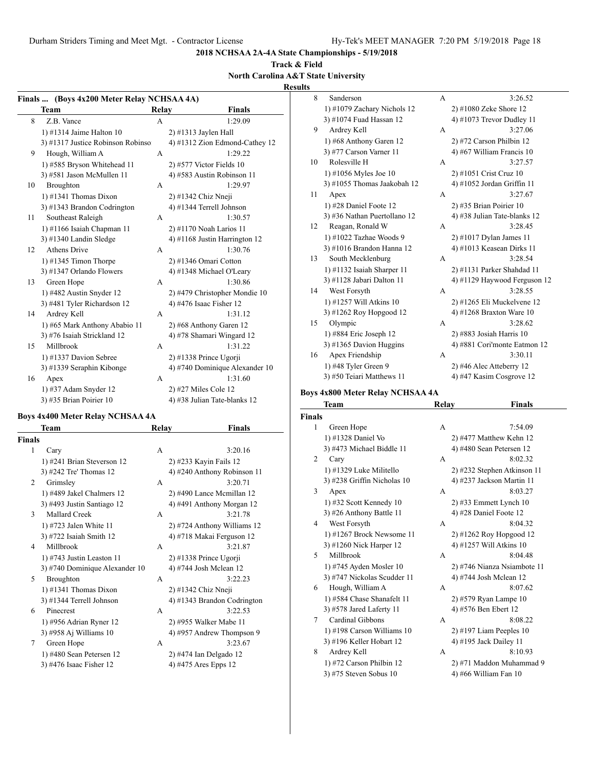**2018 NCHSAA 2A-4A State Championships - 5/19/2018**

## **Track & Field North Carolina A&T State University**

#### **Results**

**Finals ... (Boys 4x200 Meter Relay NCHSAA 4A) Team Relay Finals** 8 Z.B. Vance A 1:29.09 1) #1314 Jaime Halton 10 2) #1313 Jaylen Hall 3) #1317 Justice Robinson Robinso  $4$ ) #1312 Zion Edmond-Cathey 12 9 Hough, William A A 1:29.22 1) #585 Bryson Whitehead 11 2) #577 Victor Fields 10 3) #581 Jason McMullen 11 4) #583 Austin Robinson 11 10 Broughton A 1:29.97 1) #1341 Thomas Dixon 2) #1342 Chiz Nneji 3) #1343 Brandon Codrington 4) #1344 Terrell Johnson 11 Southeast Raleigh A 1:30.57 1) #1166 Isaiah Chapman 11 2) #1170 Noah Larios 11 3) #1340 Landin Sledge 4) #1168 Justin Harrington 12 12 Athens Drive A 1:30.76 1) #1345 Timon Thorpe 2) #1346 Omari Cotton 3) #1347 Orlando Flowers 4) #1348 Michael O'Leary 13 Green Hope A 1:30.86 1) #482 Austin Snyder 12 2) #479 Christopher Mondie 10 3) #481 Tyler Richardson 12  $\qquad \qquad$  4) #476 Isaac Fisher 12 14 Ardrey Kell A 1:31.12 1) #65 Mark Anthony Ababio 11 2) #68 Anthony Garen 12 3) #76 Isaiah Strickland 12 4) #78 Shamari Wingard 12 15 Millbrook A 1:31.22 1) #1337 Davion Sebree 2) #1338 Prince Ugorji 3) #1339 Seraphin Kibonge 4) #740 Dominique Alexander 10 16 Apex A 1:31.60 1) #37 Adam Snyder 12 2) #27 Miles Cole 12 3) #35 Brian Poirier 10 4) #38 Julian Tate-blanks 12

#### **Boys 4x400 Meter Relay NCHSAA 4A**

|               | Team                           | Relay        | <b>Finals</b>               | 1 | Green Hope         |
|---------------|--------------------------------|--------------|-----------------------------|---|--------------------|
| <b>Finals</b> |                                |              |                             |   | 1) #1328 Daniel    |
| 1             | Cary                           | $\mathsf{A}$ | 3:20.16                     |   | 3) #473 Michael    |
|               | 1) #241 Brian Steverson 12     |              | 2) #233 Kayin Fails 12      | 2 | Cary               |
|               | 3) #242 Tre' Thomas 12         |              | 4) #240 Anthony Robinson 11 |   | 1) #1329 Luke M    |
| 2             | Grimsley                       | $\mathsf{A}$ | 3:20.71                     |   | 3) #238 Griffin N  |
|               | 1) #489 Jakel Chalmers 12      |              | 2) #490 Lance Mcmillan 12   | 3 | Apex               |
|               | 3) #493 Justin Santiago 12     |              | 4) #491 Anthony Morgan 12   |   | 1) #32 Scott Ken   |
| 3             | Mallard Creek                  | $\mathsf{A}$ | 3:21.78                     |   | $3)$ #26 Anthony E |
|               | 1) #723 Jalen White 11         |              | 2) #724 Anthony Williams 12 | 4 | West Forsyth       |
|               | 3) #722 Isaiah Smith 12        |              | 4) #718 Makai Ferguson 12   |   | 1) #1267 Brock N   |
| 4             | Millbrook                      | $\mathsf{A}$ | 3:21.87                     |   | 3) #1260 Nick Ha   |
|               | $1)$ #743 Justin Leaston 11    |              | $2)$ #1338 Prince Ugorji    | 5 | Millbrook          |
|               | 3) #740 Dominique Alexander 10 |              | 4) #744 Josh Mclean 12      |   | 1) #745 Ayden M    |
| 5             | Broughton                      | A            | 3:22.23                     |   | 3) #747 Nickolas   |
|               | $1)$ #1341 Thomas Dixon        |              | 2) #1342 Chiz Nneji         | 6 | Hough, Willian     |
|               | 3) #1344 Terrell Johnson       |              | 4) #1343 Brandon Codrington |   | 1) #584 Chase Sh   |
| 6             | Pinecrest                      | $\mathsf{A}$ | 3:22.53                     |   | 3) #578 Jared Lat  |
|               | 1) #956 Adrian Ryner 12        |              | 2) #955 Walker Mabe 11      | 7 | Cardinal Gibbo     |
|               | 3) #958 Aj Williams 10         |              | 4) #957 Andrew Thompson 9   |   | 1) #198 Carson V   |
| 7             | Green Hope                     | $\mathsf{A}$ | 3:23.67                     |   | 3) #196 Keller H   |
|               | 1) #480 Sean Petersen 12       |              | 2) #474 Ian Delgado 12      | 8 | Ardrey Kell        |
|               | 3) #476 Isaac Fisher 12        |              | 4) #475 Ares Epps 12        |   | 1) #72 Carson Ph   |

| 8  | Sanderson                    | A              | 3:26.52                      |
|----|------------------------------|----------------|------------------------------|
|    | 1) #1079 Zachary Nichols 12  |                | 2) #1080 Zeke Shore 12       |
|    | 3) #1074 Fuad Hassan 12      |                | 4) #1073 Trevor Dudley 11    |
| 9  | Ardrey Kell                  | A              | 3:27.06                      |
|    | 1) #68 Anthony Garen 12      |                | 2) #72 Carson Philbin 12     |
|    | 3) #77 Carson Varner 11      |                | 4) #67 William Francis 10    |
| 10 | Rolesville H                 | A              | 3:27.57                      |
|    | 1) #1056 Myles Joe 10        |                | 2) #1051 Crist Cruz 10       |
|    | 3) #1055 Thomas Jaakobah 12  |                | 4) #1052 Jordan Griffin 11   |
| 11 | Apex                         | A              | 3:27.67                      |
|    | 1) #28 Daniel Foote 12       |                | 2) #35 Brian Poirier 10      |
|    | 3) #36 Nathan Puertollano 12 |                | 4) #38 Julian Tate-blanks 12 |
| 12 | Reagan, Ronald W             | $\overline{A}$ | 3:28.45                      |
|    | 1) #1022 Tazhae Woods 9      |                | $2)$ #1017 Dylan James 11    |
|    | 3) #1016 Brandon Hanna 12    |                | 4) #1013 Keasean Dirks 11    |
| 13 | South Mecklenburg            | A              | 3:28.54                      |
|    | 1) #1132 Isaiah Sharper 11   |                | $2)$ #1131 Parker Shahdad 11 |
|    | 3) #1128 Jabari Dalton 11    |                | 4) #1129 Haywood Ferguson 12 |
| 14 | West Forsyth                 | A              | 3:28.55                      |
|    | 1) #1257 Will Atkins 10      |                | 2) #1265 Eli Muckelvene 12   |
|    | 3) #1262 Roy Hopgood 12      |                | 4) #1268 Braxton Ware $10$   |
| 15 | Olympic                      | A              | 3:28.62                      |
|    | 1) #884 Eric Joseph 12       |                | $2)$ #883 Josiah Harris 10   |
|    | 3) #1365 Davion Huggins      |                | 4) #881 Cori'monte Eatmon 12 |
| 16 | Apex Friendship              | A              | 3:30.11                      |
|    | 1) #48 Tyler Green 9         |                | 2) #46 Alec Atteberry 12     |
|    | 3) #50 Teiari Matthews 11    |                | 4) #47 Kasim Cosgrove 12     |
|    |                              |                |                              |

#### **Boys 4x800 Meter Relay NCHSAA 4A**

|               | Team                        | Relay          | <b>Finals</b>               |
|---------------|-----------------------------|----------------|-----------------------------|
| <b>Finals</b> |                             |                |                             |
| 1             | Green Hope                  | $\overline{A}$ | 7:54.09                     |
|               | 1) #1328 Daniel Vo          |                | 2) #477 Matthew Kehn 12     |
|               | 3) #473 Michael Biddle 11   |                | 4) #480 Sean Petersen 12    |
| 2             | Cary                        | A              | 8:02.32                     |
|               | 1) #1329 Luke Militello     |                | 2) #232 Stephen Atkinson 11 |
|               | 3) #238 Griffin Nicholas 10 |                | 4) #237 Jackson Martin 11   |
| 3             | Apex                        | A              | 8:03.27                     |
|               | 1) #32 Scott Kennedy $10$   |                | $2)$ #33 Emmett Lynch 10    |
|               | 3) #26 Anthony Battle 11    |                | 4) #28 Daniel Foote 12      |
| 4             | West Forsyth                | A              | 8:04.32                     |
|               | 1) #1267 Brock Newsome 11   |                | 2) #1262 Roy Hopgood 12     |
|               | 3) #1260 Nick Harper 12     |                | 4) #1257 Will Atkins 10     |
| 5             | Millbrook                   | A              | 8:04.48                     |
|               | 1) #745 Ayden Mosler 10     |                | 2) #746 Nianza Nsiambote 11 |
|               | 3) #747 Nickolas Scudder 11 |                | 4) #744 Josh Mclean 12      |
| 6             | Hough, William A            | A              | 8:07.62                     |
|               | 1) #584 Chase Shanafelt 11  |                | 2) #579 Ryan Lampe 10       |
|               | 3) #578 Jared Laferty 11    |                | 4) #576 Ben Ebert 12        |
| 7             | Cardinal Gibbons            | A              | 8:08.22                     |
|               | 1) #198 Carson Williams 10  |                | $2)$ #197 Liam Peeples 10   |
|               | 3) #196 Keller Hobart 12    |                | 4) #195 Jack Dailey 11      |
| 8             | Ardrey Kell                 | A              | 8:10.93                     |
|               | 1) #72 Carson Philbin 12    |                | 2) #71 Maddon Muhammad 9    |
|               | 3) #75 Steven Sobus 10      |                | 4) #66 William Fan 10       |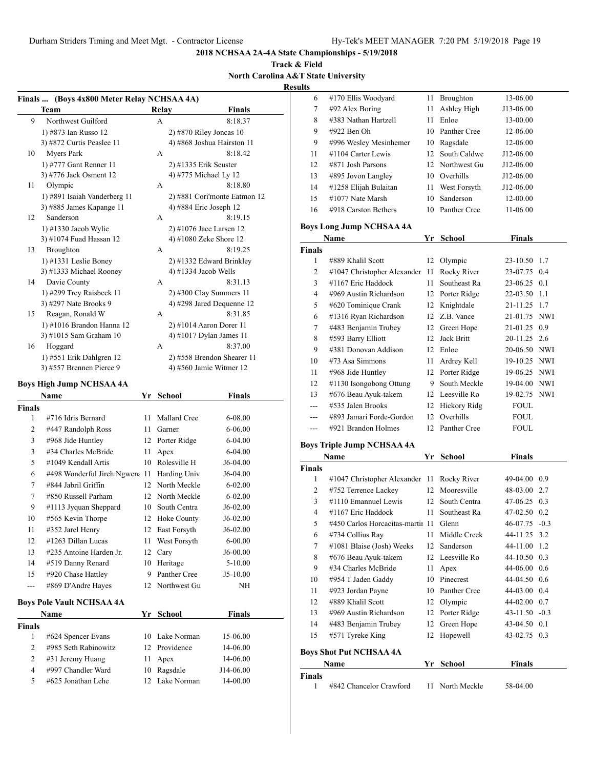**Track & Field North Carolina A&T State University**

**Results**

|                | Finals  (Boys 4x800 Meter Relay NCHSAA 4A)          |    |                 |                                    |
|----------------|-----------------------------------------------------|----|-----------------|------------------------------------|
|                | Team                                                |    | <b>Relay</b>    | <b>Finals</b>                      |
| 9              | Northwest Guilford                                  |    | А               | 8:18.37                            |
|                | 1) #873 Ian Russo 12                                |    |                 | $2)$ #870 Riley Joncas 10          |
|                | 3) #872 Curtis Peaslee 11                           |    |                 | 4) #868 Joshua Hairston 11         |
| 10             | Myers Park                                          |    | А               | 8:18.42                            |
|                | 1) #777 Gant Renner 11                              |    |                 | $2)$ #1335 Erik Seuster            |
|                | 3) #776 Jack Osment 12                              |    |                 | 4) #775 Michael Ly 12              |
| 11             | Olympic                                             |    | A               | 8:18.80                            |
|                | 1) #891 Isaiah Vanderberg 11                        |    |                 | 2) #881 Cori'monte Eatmon 12       |
|                | 3) #885 James Kapange 11                            |    |                 | 4) #884 Eric Joseph 12             |
| 12             | Sanderson                                           |    | А               | 8:19.15                            |
|                | 1) #1330 Jacob Wylie                                |    |                 | 2) #1076 Jace Larsen 12            |
|                | 3) #1074 Fuad Hassan 12                             |    |                 | 4) #1080 Zeke Shore 12             |
| 13             | Broughton                                           |    | А               | 8:19.25                            |
|                | 1) #1331 Leslie Boney                               |    |                 | 2) #1332 Edward Brinkley           |
|                | 3) #1333 Michael Rooney                             |    |                 | 4) #1334 Jacob Wells               |
| 14             | Davie County                                        |    | А               | 8:31.13                            |
|                | 1) #299 Trey Raisbeck 11                            |    |                 | $2)$ #300 Clay Summers 11          |
|                | 3) #297 Nate Brooks 9                               |    |                 | 4) #298 Jared Dequenne 12          |
| 15             | Reagan, Ronald W                                    |    | A               | 8:31.85                            |
|                | 1) #1016 Brandon Hanna 12<br>3) #1015 Sam Graham 10 |    |                 | $2)$ #1014 Aaron Dorer 11          |
| 16             | Hoggard                                             |    | A               | 4) #1017 Dylan James 11<br>8:37.00 |
|                | $1)$ #551 Erik Dahlgren 12                          |    |                 | 2) #558 Brendon Shearer 11         |
|                | 3) #557 Brennen Pierce 9                            |    |                 | 4) #560 Jamie Witmer 12            |
|                |                                                     |    |                 |                                    |
|                | <b>Boys High Jump NCHSAA 4A</b>                     |    |                 |                                    |
|                | Name                                                | Yr | <b>School</b>   | Finals                             |
| <b>Finals</b>  |                                                     |    |                 |                                    |
| 1              | #716 Idris Bernard                                  |    | 11 Mallard Cree | 6-08.00                            |
| 2              | #447 Randolph Ross                                  |    | 11 Garner       | 6-06.00                            |
| 3              | #968 Jide Huntley                                   |    | 12 Porter Ridge | 6-04.00                            |
| 3              | #34 Charles McBride                                 | 11 | Apex            | 6-04.00                            |
| 5              | #1049 Kendall Artis                                 |    | 10 Rolesville H | J6-04.00                           |
| 6              | #498 Wonderful Jireh Ngwen: 11 Harding Univ         |    |                 | J6-04.00                           |
| 7              | #844 Jabril Griffin<br>#850 Russell Parham          |    | 12 North Meckle | 6-02.00                            |
| 7              |                                                     |    | 12 North Meckle | $6 - 02.00$                        |
| 9              | #1113 Jyquan Sheppard                               |    | 10 South Centra | J6-02.00                           |
| 10             | #565 Kevin Thorpe                                   |    | 12 Hoke County  | $J6-02.00$                         |
| 11             | #352 Jarel Henry<br>#1263 Dillan Lucas              | 12 | East Forsyth    | $J6-02.00$                         |
| 12             |                                                     | 11 | West Forsyth    | $6 - 00.00$                        |
| 13             | #235 Antoine Harden Jr.                             | 12 | Cary            | J6-00.00                           |
| 14             | #519 Danny Renard                                   | 10 | Heritage        | 5-10.00                            |
| 15             | #920 Chase Hattley                                  | 9  | Panther Cree    | J5-10.00                           |
| ---            | #869 D'Andre Hayes                                  | 12 | Northwest Gu    | ΝH                                 |
|                | <b>Boys Pole Vault NCHSAA 4A</b>                    |    |                 |                                    |
|                | Name                                                | Yr | <b>School</b>   | Finals                             |
| <b>Finals</b>  |                                                     |    |                 |                                    |
| 1              | #624 Spencer Evans                                  |    | 10 Lake Norman  | 15-06.00                           |
| 2              | #985 Seth Rabinowitz                                |    | 12 Providence   | 14-06.00                           |
| 2              | #31 Jeremy Huang                                    | 11 | Apex            | 14-06.00                           |
| $\overline{4}$ | #997 Chandler Ward                                  | 10 | Ragsdale        | J14-06.00                          |
| 5              | #625 Jonathan Lehe                                  | 12 | Lake Norman     | 14-00.00                           |
|                |                                                     |    |                 |                                    |

| 6              | #170 Ellis Woodyard               | 11 | Broughton       | 13-06.00      |        |
|----------------|-----------------------------------|----|-----------------|---------------|--------|
| 7              | #92 Alex Boring                   | 11 | Ashley High     | J13-06.00     |        |
| 8              | #383 Nathan Hartzell              | 11 | Enloe           | 13-00.00      |        |
| 9              | #922 Ben Oh                       | 10 | Panther Cree    | 12-06.00      |        |
| 9              | #996 Wesley Mesinhemer            | 10 | Ragsdale        | 12-06.00      |        |
| 11             | #1104 Carter Lewis                | 12 | South Caldwe    | J12-06.00     |        |
| 12             | #871 Josh Parsons                 |    | 12 Northwest Gu | J12-06.00     |        |
| 13             | #895 Jovon Langley                |    | 10 Overhills    | J12-06.00     |        |
| 14             | #1258 Elijah Bulaitan             | 11 | West Forsyth    | J12-06.00     |        |
| 15             | #1077 Nate Marsh                  | 10 | Sanderson       | 12-00.00      |        |
| 16             | #918 Carston Bethers              | 10 | Panther Cree    | 11-06.00      |        |
|                | <b>Boys Long Jump NCHSAA 4A</b>   |    |                 |               |        |
|                | Name                              | Yr | <b>School</b>   | <b>Finals</b> |        |
| <b>Finals</b>  |                                   |    |                 |               |        |
| 1              | #889 Khalil Scott                 | 12 | Olympic         | 23-10.50      | 1.7    |
| 2              | #1047 Christopher Alexander       | 11 | Rocky River     | 23-07.75      | 0.4    |
| 3              | #1167 Eric Haddock                | 11 | Southeast Ra    | 23-06.25      | 0.1    |
| 4              | #969 Austin Richardson            |    | 12 Porter Ridge | 22-03.50      | 1.1    |
| 5              | #620 Tominique Crank              | 12 | Knightdale      | 21-11.25 1.7  |        |
| 6              | #1316 Ryan Richardson             | 12 | Z.B. Vance      | 21-01.75      | NWI    |
| 7              | #483 Benjamin Trubey              | 12 | Green Hope      | 21-01.25      | 0.9    |
| $\,$ 8 $\,$    | #593 Barry Elliott                | 12 | Jack Britt      | 20-11.25      | 2.6    |
| 9              | #381 Donovan Addison              |    | 12 Enloe        | 20-06.50 NWI  |        |
| 10             | #73 Asa Simmons                   | 11 | Ardrey Kell     | 19-10.25 NWI  |        |
| 11             | #968 Jide Huntley                 |    | 12 Porter Ridge | 19-06.25 NWI  |        |
| 12             | #1130 Isongobong Ottung           |    | 9 South Meckle  | 19-04.00 NWI  |        |
| 13             | #676 Beau Ayuk-takem              |    | 12 Leesville Ro | 19-02.75 NWI  |        |
|                | #535 Jalen Brooks                 | 12 | Hickory Ridg    | FOUL          |        |
| $---$          | #893 Jamari Forde-Gordon          | 12 | Overhills       | FOUL          |        |
| $---$          | #921 Brandon Holmes               | 12 | Panther Cree    | FOUL          |        |
|                |                                   |    |                 |               |        |
|                | <b>Boys Triple Jump NCHSAA 4A</b> |    | <b>School</b>   | <b>Finals</b> |        |
| <b>Finals</b>  | Name                              | Yr |                 |               |        |
| 1              | #1047 Christopher Alexander       | 11 | Rocky River     | 49-04.00      | 0.9    |
| 2              | #752 Terrence Lackey              |    | 12 Mooresville  | 48-03.00      | 2.7    |
| 3              | #1110 Emannuel Lewis              |    | 12 South Centra | 47-06.25      | 0.3    |
| $\overline{4}$ | #1167 Eric Haddock                | 11 | Southeast Ra    | 47-02.50      | 0.2    |
| 5              | #450 Carlos Horcacitas-martii 11  |    | Glenn           | 46-07.75      | $-0.3$ |
| 6              | #734 Collius Ray                  | 11 | Middle Creek    | 44-11.25      | 3.2    |
| 7              | #1081 Blaise (Josh) Weeks         | 12 | Sanderson       | 44-11.00      | 1.2    |
| 8              | #676 Beau Ayuk-takem              |    | 12 Leesville Ro | 44-10.50      | 0.3    |
| 9              | #34 Charles McBride               | 11 | Apex            | 44-06.00      | 0.6    |
| 10             | #954 T Jaden Gaddy                | 10 | Pinecrest       | 44-04.50      | 0.6    |
| 11             | #923 Jordan Payne                 | 10 | Panther Cree    | 44-03.00      | 0.4    |
| 12             | #889 Khalil Scott                 | 12 | Olympic         | 44-02.00      | 0.7    |
| 13             | #969 Austin Richardson            | 12 | Porter Ridge    | 43-11.50      | $-0.3$ |
| 14             | #483 Benjamin Trubey              | 12 | Green Hope      | 43-04.50      | 0.1    |
| 15             | #571 Tyreke King                  | 12 | Hopewell        | 43-02.75      | 0.3    |
|                |                                   |    |                 |               |        |
|                | <b>Boys Shot Put NCHSAA 4A</b>    |    |                 |               |        |
|                | Name                              | Yr | School          | <b>Finals</b> |        |
| <b>Finals</b>  |                                   |    | North Meckle    | 58-04.00      |        |
| 1              | #842 Chancelor Crawford           | 11 |                 |               |        |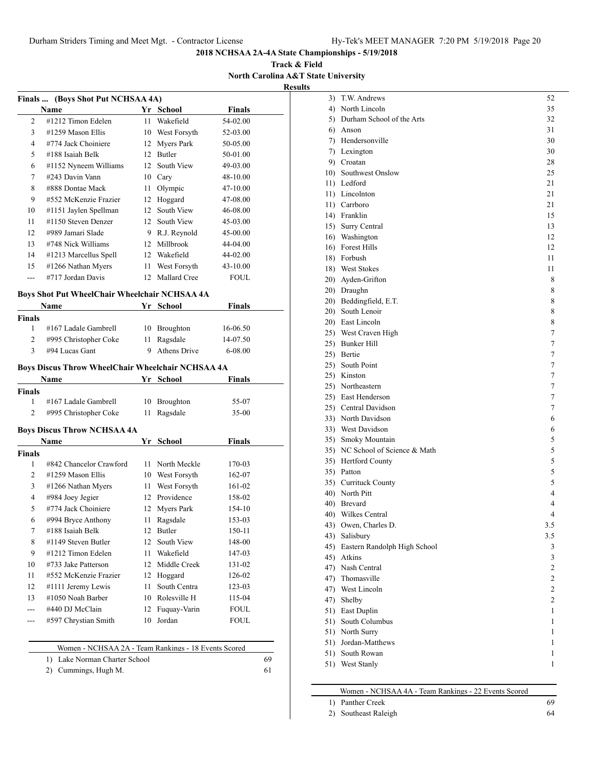3) T.W. Andrews 52 4) North Lincoln 35 5) Durham School of the Arts 32 6) Anson 31 7) Hendersonville 30

**2018 NCHSAA 2A-4A State Championships - 5/19/2018**

**Track & Field North Carolina A&T State University Results**

|                |                                                   |    |                              | <b>NOLUI CALOM</b> |  |
|----------------|---------------------------------------------------|----|------------------------------|--------------------|--|
|                | Finals  (Boys Shot Put NCHSAA 4A)                 |    |                              |                    |  |
|                | Name                                              |    | Yr School                    | <b>Finals</b>      |  |
| 2              | #1212 Timon Edelen                                | 11 | Wakefield                    | 54-02.00           |  |
| 3              | #1259 Mason Ellis                                 | 10 | West Forsyth                 | 52-03.00           |  |
| $\overline{4}$ | #774 Jack Choiniere                               | 12 | <b>Myers Park</b>            | 50-05.00           |  |
| 5              | #188 Isaiah Belk                                  | 12 | Butler                       | 50-01.00           |  |
| 6              | #1152 Nyneem Williams                             | 12 | South View                   | 49-03.00           |  |
| 7              | #243 Davin Vann                                   |    | 10 Cary                      | 48-10.00           |  |
| 8              | #888 Dontae Mack                                  | 11 | Olympic                      | 47-10.00           |  |
| 9              | #552 McKenzie Frazier                             | 12 | Hoggard                      | 47-08.00           |  |
| 10             | #1151 Jaylen Spellman                             | 12 | South View                   | 46-08.00           |  |
| 11             | #1150 Steven Denzer                               | 12 | South View                   | 45-03.00           |  |
| 12             | #989 Jamari Slade                                 |    | 9 R.J. Reynold               | 45-00.00           |  |
| 13             | #748 Nick Williams                                | 12 | Millbrook                    | 44-04.00           |  |
| 14             | #1213 Marcellus Spell                             | 12 | Wakefield                    | 44-02.00           |  |
| 15             | #1266 Nathan Myers                                | 11 | West Forsyth                 | 43-10.00           |  |
| $\sim$         | #717 Jordan Davis                                 | 12 | Mallard Cree                 | <b>FOUL</b>        |  |
|                |                                                   |    |                              |                    |  |
|                | Boys Shot Put WheelChair Wheelchair NCHSAA 4A     |    |                              |                    |  |
|                | Name                                              | Yr | <b>School</b>                | Finals             |  |
| Finals<br>1    | #167 Ladale Gambrell                              | 10 |                              | 16-06.50           |  |
| 2              | #995 Christopher Coke                             | 11 | <b>Broughton</b><br>Ragsdale | 14-07.50           |  |
| 3              | #94 Lucas Gant                                    | 9  | <b>Athens Drive</b>          | $6 - 08.00$        |  |
|                |                                                   |    |                              |                    |  |
|                | Boys Discus Throw WheelChair Wheelchair NCHSAA 4A |    |                              |                    |  |
|                | Name                                              | Yr | <b>School</b>                | Finals             |  |
| Finals         |                                                   |    |                              |                    |  |
| 1              | #167 Ladale Gambrell                              | 10 | Broughton                    | 55-07              |  |
| 2              | #995 Christopher Coke                             | 11 | Ragsdale                     | $35-00$            |  |
|                | <b>Boys Discus Throw NCHSAA 4A</b>                |    |                              |                    |  |
|                | Name                                              |    | Yr School                    | Finals             |  |
| Finals         |                                                   |    |                              |                    |  |
| 1              | #842 Chancelor Crawford                           | 11 | North Meckle                 | 170-03             |  |
| 2              | #1259 Mason Ellis                                 | 10 | West Forsyth                 | 162-07             |  |
| 3              | #1266 Nathan Myers                                | 11 | West Forsyth                 | 161-02             |  |
| $\overline{4}$ | #984 Joey Jegier                                  | 12 | Providence                   | 158-02             |  |
| 5              | #774 Jack Choiniere                               | 12 | Myers Park                   | 154-10             |  |
| 6              | #994 Bryce Anthony                                | 11 | Ragsdale                     | 153-03             |  |
| 7              | #188 Isaiah Belk                                  | 12 | Butler                       | 150-11             |  |
| 8              | #1149 Steven Butler                               | 12 | South View                   | 148-00             |  |
| 9              | #1212 Timon Edelen                                | 11 | Wakefield                    | 147-03             |  |
| 10             | #733 Jake Patterson                               | 12 | Middle Creek                 | 131-02             |  |
| 11             | #552 McKenzie Frazier                             | 12 | Hoggard                      | 126-02             |  |

12 #1111 Jeremy Lewis 11 South Centra 123-03 13 #1050 Noah Barber 10 Rolesville H 115-04 --- #440 DJ McClain 12 Fuquay-Varin FOUL --- #597 Chrystian Smith 10 Jordan FOUL

Women - NCHSAA 2A - Team Rankings - 18 Events Scored 1) Lake Norman Charter School 69 2) Cummings, Hugh M. 61

|     | 7) Lexington                                   | 30             |
|-----|------------------------------------------------|----------------|
|     | 9) Croatan                                     | 28             |
|     | 10) Southwest Onslow                           | 25             |
|     | 11) Ledford                                    | 21             |
|     | 11) Lincolnton                                 | 21             |
|     | 11) Carrboro                                   | 21             |
|     | 14) Franklin                                   | 15             |
|     | 15) Surry Central                              | 13             |
|     | 16) Washington                                 | 12             |
|     | 16) Forest Hills                               | 12             |
|     | 18) Forbush                                    | 11             |
|     | 18) West Stokes                                | 11             |
|     | 20) Ayden-Grifton                              | 8              |
|     | 20) Draughn                                    | 8              |
|     | 20) Beddingfield, E.T.                         | 8              |
|     | 20) South Lenoir                               | 8              |
|     | 20) East Lincoln                               | 8              |
|     | 25) West Craven High                           | 7              |
|     | 25) Bunker Hill                                | 7              |
|     | 25) Bertie                                     | 7              |
|     | 25) South Point                                | 7              |
|     | 25) Kinston                                    | 7              |
|     | 25) Northeastern                               | 7              |
|     | 25) East Henderson                             | 7              |
|     | 25) Central Davidson                           | 7              |
|     | 33) North Davidson                             | 6              |
|     | 33) West Davidson                              | 6              |
|     | 35) Smoky Mountain                             | 5              |
|     | 35) NC School of Science & Math                | 5              |
|     | 35) Hertford County                            | 5              |
|     | 35) Patton                                     | 5              |
|     | 35) Currituck County                           | 5              |
|     | 40) North Pitt                                 | $\overline{4}$ |
|     | 40) Brevard                                    | 4              |
|     | 40) Wilkes Central                             | $\overline{4}$ |
|     | 43) Owen, Charles D.                           | 3.5            |
|     | 43) Salisbury                                  | 3.5            |
|     | 45) Eastern Randolph High School<br>45) Atkins | 3              |
|     | 47) Nash Central                               | 3<br>2         |
| 47) | Thomasville                                    | $\overline{2}$ |
| 47) | West Lincoln                                   | 2              |
| 47) | Shelby                                         | $\mathbf{2}$   |
| 51) | East Duplin                                    | 1              |
| 51) | South Columbus                                 | 1              |
| 51) | North Surry                                    | 1              |
| 51) | Jordan-Matthews                                | 1              |
| 51) | South Rowan                                    | 1              |
|     | 51) West Stanly                                | 1              |
|     |                                                |                |

| Women - NCHSAA 4A - Team Rankings - 22 Events Scored |  |
|------------------------------------------------------|--|
|                                                      |  |

| 1) Panther Creek     |  |
|----------------------|--|
| 2) Southeast Raleigh |  |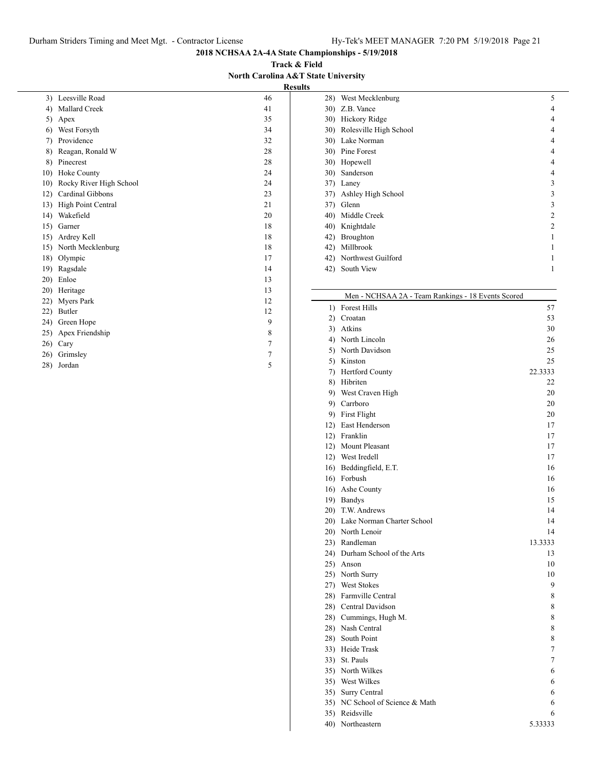**Track & Field North Carolina A&T State University Results**

| 3)  | Leesville Road          | 46             |
|-----|-------------------------|----------------|
| 4)  | Mallard Creek           | 41             |
| 5)  | Apex                    | 35             |
| 6)  | West Forsyth            | 34             |
| 7)  | Providence              | 32             |
| 8)  | Reagan, Ronald W        | 28             |
| 8)  | Pinecrest               | 28             |
| 10) | Hoke County             | 24             |
| 10) | Rocky River High School | 24             |
| 12) | Cardinal Gibbons        | 23             |
| 13) | High Point Central      | 21             |
| 14) | Wakefield               | 20             |
| 15) | Garner                  | 18             |
| 15) | Ardrey Kell             | 18             |
| 15) | North Mecklenburg       | 18             |
| 18) | Olympic                 | 17             |
| 19) | Ragsdale                | 14             |
| 20) | Enloe                   | 13             |
| 20) | Heritage                | 13             |
| 22) | <b>Myers Park</b>       | 12             |
| 22) | Butler                  | 12             |
| 24) | Green Hope              | 9              |
| 25) | Apex Friendship         | 8              |
| 26) | Cary                    | $\overline{7}$ |
| 26) | Grimsley                | 7              |
| 28) | Jordan                  | 5              |

| 28) | West Mecklenburg       | 5              |
|-----|------------------------|----------------|
| 30) | Z.B. Vance             | 4              |
| 30) | Hickory Ridge          | 4              |
| 30) | Rolesville High School | 4              |
| 30) | Lake Norman            | 4              |
|     | 30) Pine Forest        | 4              |
| 30) | Hopewell               | 4              |
| 30) | Sanderson              | 4              |
| 37) | Laney                  | 3              |
| 37) | Ashley High School     | 3              |
| 37) | Glenn                  | 3              |
|     | 40) Middle Creek       | $\mathfrak{D}$ |
| 40) | Knightdale             | $\mathfrak{D}$ |
| 42) | <b>Broughton</b>       |                |
| 42) | Millbrook              |                |
|     | 42) Northwest Guilford |                |
| 42) | South View             |                |
|     |                        |                |

#### Men - NCHSAA 2A - Team Rankings - 18 Events Scored

|     | 1) Forest Hills                 | 57      |
|-----|---------------------------------|---------|
|     | 2) Croatan                      | 53      |
|     | 3) Atkins                       | 30      |
|     | 4) North Lincoln                | 26      |
|     | 5) North Davidson               | 25      |
|     | 5) Kinston                      | 25      |
|     | 7) Hertford County              | 22.3333 |
|     | 8) Hibriten                     | 22      |
|     | 9) West Craven High             | 20      |
|     | 9) Carrboro                     | 20      |
|     | 9) First Flight                 | 20      |
|     | 12) East Henderson              | 17      |
|     | 12) Franklin                    | 17      |
|     | 12) Mount Pleasant              | 17      |
|     | 12) West Iredell                | 17      |
|     | 16) Beddingfield, E.T.          | 16      |
|     | 16) Forbush                     | 16      |
|     | 16) Ashe County                 | 16      |
|     | 19) Bandys                      | 15      |
|     | 20) T.W. Andrews                | 14      |
|     | 20) Lake Norman Charter School  | 14      |
|     | 20) North Lenoir                | 14      |
|     | 23) Randleman                   | 13.3333 |
|     | 24) Durham School of the Arts   | 13      |
|     | 25) Anson                       | 10      |
|     | 25) North Surry                 | 10      |
|     | 27) West Stokes                 | 9       |
|     | 28) Farmville Central           | 8       |
|     | 28) Central Davidson            | 8       |
|     | 28) Cummings, Hugh M.           | 8       |
|     | 28) Nash Central                | 8       |
|     | 28) South Point                 | 8       |
|     | 33) Heide Trask                 | 7       |
|     | 33) St. Pauls                   | 7       |
|     | 35) North Wilkes                | 6       |
|     | 35) West Wilkes                 | 6       |
|     | 35) Surry Central               | 6       |
|     | 35) NC School of Science & Math | 6       |
|     | 35) Reidsville                  | 6       |
| 40) | Northeastern                    | 5.33333 |